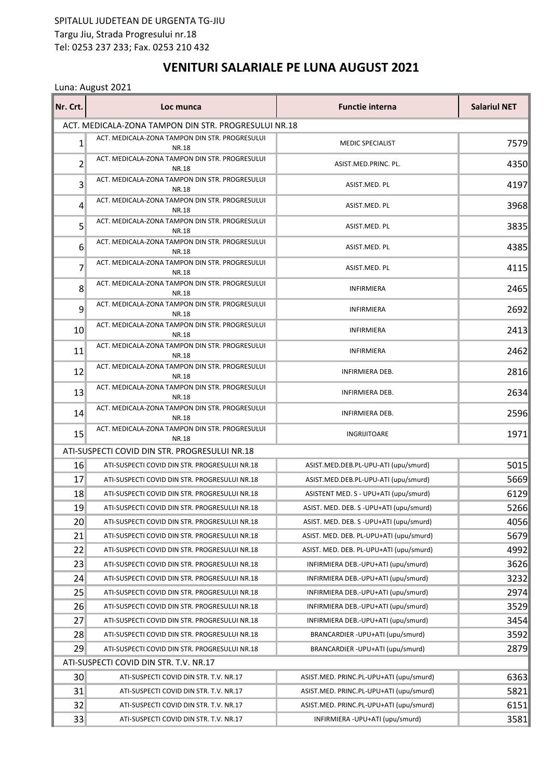## SPITALUL JUDETEAN DE URGENTA TG-JIU Targu Jiu, Strada Progresului nr.18 Tel: 0253 237 233; Fax. 0253 210 432

## **VENITURI SALARIALE PE LUNA AUGUST 2021**

## Luna: August 2021

| Nr. Crt.        | Loc munca                                                      | <b>Functie interna</b>                   | <b>Salariul NET</b> |
|-----------------|----------------------------------------------------------------|------------------------------------------|---------------------|
|                 | ACT. MEDICALA-ZONA TAMPON DIN STR. PROGRESULUI NR.18           |                                          |                     |
| $1\vert$        | ACT. MEDICALA-ZONA TAMPON DIN STR. PROGRESULUI<br><b>NR.18</b> | <b>MEDIC SPECIALIST</b>                  | 7579                |
| 2               | ACT. MEDICALA-ZONA TAMPON DIN STR. PROGRESULUI<br><b>NR.18</b> | ASIST.MED.PRINC. PL.                     | 4350                |
| 3               | ACT. MEDICALA-ZONA TAMPON DIN STR. PROGRESULUI<br><b>NR.18</b> | ASIST.MED. PL                            | 4197                |
| 4               | ACT. MEDICALA-ZONA TAMPON DIN STR. PROGRESULUI<br><b>NR.18</b> | ASIST.MED. PL                            | 3968                |
| 5               | ACT. MEDICALA-ZONA TAMPON DIN STR. PROGRESULUI<br><b>NR.18</b> | ASIST.MED. PL                            | 3835                |
| 6               | ACT. MEDICALA-ZONA TAMPON DIN STR. PROGRESULUI<br><b>NR.18</b> | ASIST.MED. PL                            | 4385                |
| 7               | ACT. MEDICALA-ZONA TAMPON DIN STR. PROGRESULUI<br><b>NR.18</b> | ASIST.MED. PL                            | 4115                |
| 8               | ACT. MEDICALA-ZONA TAMPON DIN STR. PROGRESULUI<br><b>NR.18</b> | <b>INFIRMIERA</b>                        | 2465                |
| 9               | ACT. MEDICALA-ZONA TAMPON DIN STR. PROGRESULUI<br><b>NR.18</b> | <b>INFIRMIERA</b>                        | 2692                |
| 10              | ACT. MEDICALA-ZONA TAMPON DIN STR. PROGRESULUI<br><b>NR.18</b> | <b>INFIRMIERA</b>                        | 2413                |
| 11              | ACT. MEDICALA-ZONA TAMPON DIN STR. PROGRESULUI<br><b>NR.18</b> | <b>INFIRMIERA</b>                        | 2462                |
| 12              | ACT. MEDICALA-ZONA TAMPON DIN STR. PROGRESULUI<br><b>NR.18</b> | INFIRMIERA DEB.                          | 2816                |
| 13              | ACT. MEDICALA-ZONA TAMPON DIN STR. PROGRESULUI<br><b>NR.18</b> | INFIRMIERA DEB.                          | 2634                |
| 14              | ACT. MEDICALA-ZONA TAMPON DIN STR. PROGRESULUI<br><b>NR.18</b> | INFIRMIERA DEB.                          | 2596                |
| 15              | ACT. MEDICALA-ZONA TAMPON DIN STR. PROGRESULUI<br><b>NR.18</b> | INGRIJITOARE                             | 1971                |
|                 | ATI-SUSPECTI COVID DIN STR. PROGRESULUI NR.18                  |                                          |                     |
| 16              | ATI-SUSPECTI COVID DIN STR. PROGRESULUI NR.18                  | ASIST.MED.DEB.PL-UPU-ATI (upu/smurd)     | 5015                |
| 17              | ATI-SUSPECTI COVID DIN STR. PROGRESULUI NR.18                  | ASIST.MED.DEB.PL-UPU-ATI (upu/smurd)     | 5669                |
| 18              | ATI-SUSPECTI COVID DIN STR. PROGRESULUI NR.18                  | ASISTENT MED. S - UPU+ATI (upu/smurd)    | 6129                |
| 19              | ATI-SUSPECTI COVID DIN STR. PROGRESULUI NR.18                  | ASIST. MED. DEB. S -UPU+ATI (upu/smurd)  | 5266                |
| 20 <sup>°</sup> | ATI-SUSPECTI COVID DIN STR. PROGRESULUI NR.18                  | ASIST. MED. DEB. S - UPU+ATI (upu/smurd) | 4056                |
| 21              | ATI-SUSPECTI COVID DIN STR. PROGRESULUI NR.18                  | ASIST. MED. DEB. PL-UPU+ATI (upu/smurd)  | 5679                |
| 22              | ATI-SUSPECTI COVID DIN STR. PROGRESULUI NR.18                  | ASIST. MED. DEB. PL-UPU+ATI (upu/smurd)  | 4992                |
| 23              | ATI-SUSPECTI COVID DIN STR. PROGRESULUI NR.18                  | INFIRMIERA DEB.-UPU+ATI (upu/smurd)      | 3626                |
| 24              | ATI-SUSPECTI COVID DIN STR. PROGRESULUI NR.18                  | INFIRMIERA DEB.-UPU+ATI (upu/smurd)      | 3232                |
| 25              | ATI-SUSPECTI COVID DIN STR. PROGRESULUI NR.18                  | INFIRMIERA DEB.-UPU+ATI (upu/smurd)      | 2974                |
| 26              | ATI-SUSPECTI COVID DIN STR. PROGRESULUI NR.18                  | INFIRMIERA DEB.-UPU+ATI (upu/smurd)      | 3529                |
| 27              | ATI-SUSPECTI COVID DIN STR. PROGRESULUI NR.18                  | INFIRMIERA DEB.-UPU+ATI (upu/smurd)      | 3454                |
| 28              | ATI-SUSPECTI COVID DIN STR. PROGRESULUI NR.18                  | BRANCARDIER - UPU+ATI (upu/smurd)        | 3592                |
| 29              | ATI-SUSPECTI COVID DIN STR. PROGRESULUI NR.18                  | BRANCARDIER - UPU+ATI (upu/smurd)        | 2879                |
|                 | ATI-SUSPECTI COVID DIN STR. T.V. NR.17                         |                                          |                     |
| 30              | ATI-SUSPECTI COVID DIN STR. T.V. NR.17                         | ASIST.MED. PRINC.PL-UPU+ATI (upu/smurd)  | 6363                |
| 31              | ATI-SUSPECTI COVID DIN STR. T.V. NR.17                         | ASIST.MED. PRINC.PL-UPU+ATI (upu/smurd)  | 5821                |
| 32              | ATI-SUSPECTI COVID DIN STR. T.V. NR.17                         | ASIST.MED. PRINC.PL-UPU+ATI (upu/smurd)  | 6151                |
| 33              | ATI-SUSPECTI COVID DIN STR. T.V. NR.17                         | INFIRMIERA - UPU+ATI (upu/smurd)         | 3581                |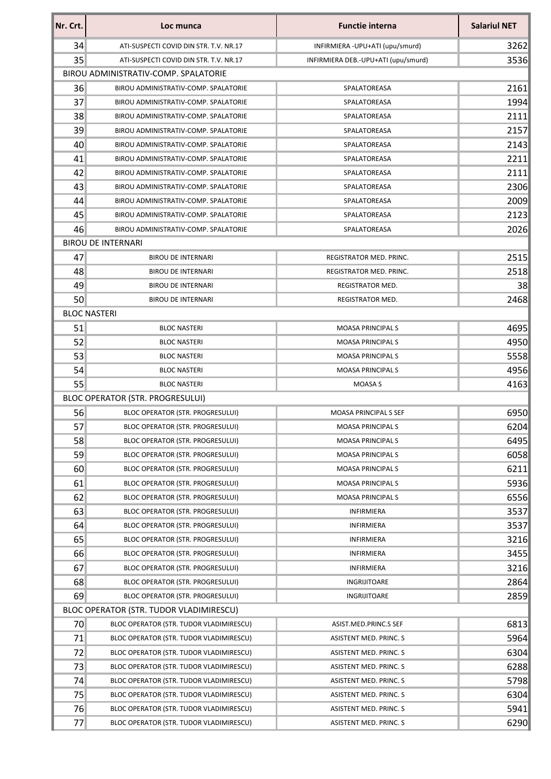| Nr. Crt.        | Loc munca                               | <b>Functie interna</b>              | <b>Salariul NET</b> |
|-----------------|-----------------------------------------|-------------------------------------|---------------------|
| 34              | ATI-SUSPECTI COVID DIN STR. T.V. NR.17  | INFIRMIERA - UPU+ATI (upu/smurd)    | 3262                |
| 35              | ATI-SUSPECTI COVID DIN STR. T.V. NR.17  | INFIRMIERA DEB.-UPU+ATI (upu/smurd) | 3536                |
|                 | BIROU ADMINISTRATIV-COMP. SPALATORIE    |                                     |                     |
| 36              | BIROU ADMINISTRATIV-COMP. SPALATORIE    | SPALATOREASA                        | 2161                |
| 37              | BIROU ADMINISTRATIV-COMP. SPALATORIE    | SPALATOREASA                        | 1994                |
| 38              | BIROU ADMINISTRATIV-COMP. SPALATORIE    | SPALATOREASA                        | 2111                |
| 39              | BIROU ADMINISTRATIV-COMP. SPALATORIE    | SPALATOREASA                        | 2157                |
| 40              | BIROU ADMINISTRATIV-COMP. SPALATORIE    | SPALATOREASA                        | 2143                |
| 41              | BIROU ADMINISTRATIV-COMP. SPALATORIE    | SPALATOREASA                        | 2211                |
| 42              | BIROU ADMINISTRATIV-COMP. SPALATORIE    | SPALATOREASA                        | 2111                |
| 43              | BIROU ADMINISTRATIV-COMP. SPALATORIE    | SPALATOREASA                        | 2306                |
| 44              | BIROU ADMINISTRATIV-COMP. SPALATORIE    | SPALATOREASA                        | 2009                |
| 45              | BIROU ADMINISTRATIV-COMP. SPALATORIE    | SPALATOREASA                        | 2123                |
| 46              | BIROU ADMINISTRATIV-COMP. SPALATORIE    | SPALATOREASA                        | 2026                |
|                 | <b>BIROU DE INTERNARI</b>               |                                     |                     |
| 47              | <b>BIROU DE INTERNARI</b>               | REGISTRATOR MED. PRINC.             | 2515                |
| 48              | <b>BIROU DE INTERNARI</b>               | <b>REGISTRATOR MED. PRINC.</b>      | 2518                |
| 49              | <b>BIROU DE INTERNARI</b>               | REGISTRATOR MED.                    | 38                  |
| 50              | <b>BIROU DE INTERNARI</b>               | REGISTRATOR MED.                    | 2468                |
|                 | <b>BLOC NASTERI</b>                     |                                     |                     |
| 51              | <b>BLOC NASTERI</b>                     | <b>MOASA PRINCIPALS</b>             | 4695                |
| 52              | <b>BLOC NASTERI</b>                     | <b>MOASA PRINCIPALS</b>             | 4950                |
| 53              | <b>BLOC NASTERI</b>                     | <b>MOASA PRINCIPALS</b>             | 5558                |
| 54              | <b>BLOC NASTERI</b>                     | <b>MOASA PRINCIPALS</b>             | 4956                |
| 55              | <b>BLOC NASTERI</b>                     | MOASA S                             | 4163                |
|                 | BLOC OPERATOR (STR. PROGRESULUI)        |                                     |                     |
| 56              | BLOC OPERATOR (STR. PROGRESULUI)        | MOASA PRINCIPAL S SEF               | 6950                |
| 57              | BLOC OPERATOR (STR. PROGRESULUI)        | MOASA PRINCIPAL S                   | 6204                |
| 58              | BLOC OPERATOR (STR. PROGRESULUI)        | <b>MOASA PRINCIPALS</b>             | 6495                |
| 59              | BLOC OPERATOR (STR. PROGRESULUI)        | <b>MOASA PRINCIPALS</b>             | 6058                |
| 60 <sup>°</sup> | <b>BLOC OPERATOR (STR. PROGRESULUI)</b> | <b>MOASA PRINCIPALS</b>             | 6211                |
| 61              | <b>BLOC OPERATOR (STR. PROGRESULUI)</b> | <b>MOASA PRINCIPALS</b>             | 5936                |
| 62              | BLOC OPERATOR (STR. PROGRESULUI)        | <b>MOASA PRINCIPALS</b>             | 6556                |
| 63              | <b>BLOC OPERATOR (STR. PROGRESULUI)</b> | <b>INFIRMIERA</b>                   | 3537                |
| 64              | BLOC OPERATOR (STR. PROGRESULUI)        | <b>INFIRMIERA</b>                   | 3537                |
| 65              | BLOC OPERATOR (STR. PROGRESULUI)        | <b>INFIRMIERA</b>                   | 3216                |
| 66              | BLOC OPERATOR (STR. PROGRESULUI)        | <b>INFIRMIERA</b>                   | 3455                |
| 67              | BLOC OPERATOR (STR. PROGRESULUI)        | <b>INFIRMIERA</b>                   | 3216                |
| 68              | BLOC OPERATOR (STR. PROGRESULUI)        | INGRIJITOARE                        | 2864                |
| 69              | BLOC OPERATOR (STR. PROGRESULUI)        | INGRIJITOARE                        | 2859                |
|                 | BLOC OPERATOR (STR. TUDOR VLADIMIRESCU) |                                     |                     |
| 70              | BLOC OPERATOR (STR. TUDOR VLADIMIRESCU) | ASIST.MED.PRINC.S SEF               | 6813                |
| 71              | BLOC OPERATOR (STR. TUDOR VLADIMIRESCU) | ASISTENT MED. PRINC. S              | 5964                |
| 72              | BLOC OPERATOR (STR. TUDOR VLADIMIRESCU) | ASISTENT MED. PRINC. S              | 6304                |
| 73              | BLOC OPERATOR (STR. TUDOR VLADIMIRESCU) | <b>ASISTENT MED. PRINC. S</b>       | 6288                |
| 74              | BLOC OPERATOR (STR. TUDOR VLADIMIRESCU) | ASISTENT MED. PRINC. S              | 5798                |
| 75              | BLOC OPERATOR (STR. TUDOR VLADIMIRESCU) | ASISTENT MED. PRINC. S              | 6304                |
| 76              | BLOC OPERATOR (STR. TUDOR VLADIMIRESCU) | ASISTENT MED. PRINC. S              | 5941                |
| 77              | BLOC OPERATOR (STR. TUDOR VLADIMIRESCU) | ASISTENT MED. PRINC. S              | 6290                |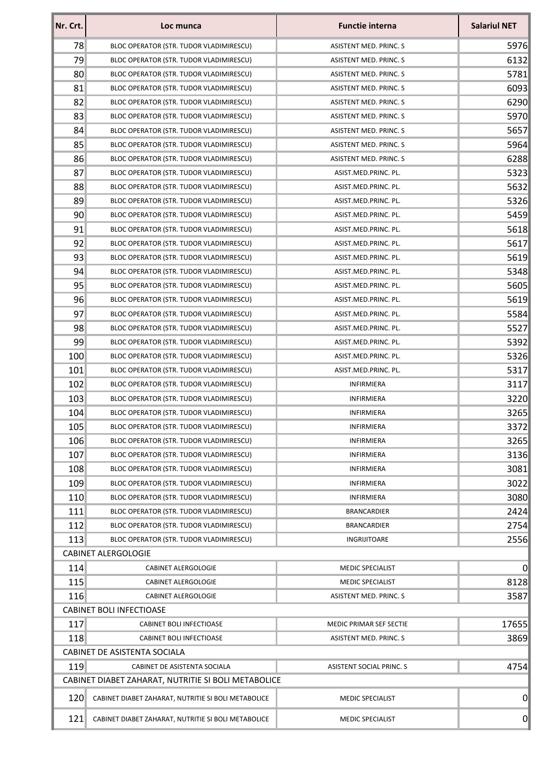| Nr. Crt.                                                                | Loc munca                                           | <b>Functie interna</b>        | <b>Salariul NET</b> |  |
|-------------------------------------------------------------------------|-----------------------------------------------------|-------------------------------|---------------------|--|
| 78                                                                      | BLOC OPERATOR (STR. TUDOR VLADIMIRESCU)             | ASISTENT MED. PRINC. S        | 5976                |  |
| 79                                                                      | BLOC OPERATOR (STR. TUDOR VLADIMIRESCU)             | <b>ASISTENT MED. PRINC. S</b> | 6132                |  |
| 80                                                                      | BLOC OPERATOR (STR. TUDOR VLADIMIRESCU)             | ASISTENT MED. PRINC. S        | 5781                |  |
| 81                                                                      | BLOC OPERATOR (STR. TUDOR VLADIMIRESCU)             | ASISTENT MED. PRINC. S        | 6093                |  |
| 82                                                                      | BLOC OPERATOR (STR. TUDOR VLADIMIRESCU)             | ASISTENT MED. PRINC. S        | 6290                |  |
| 83                                                                      | BLOC OPERATOR (STR. TUDOR VLADIMIRESCU)             | ASISTENT MED. PRINC. S        | 5970                |  |
| 84                                                                      | BLOC OPERATOR (STR. TUDOR VLADIMIRESCU)             | ASISTENT MED. PRINC. S        | 5657                |  |
| 85                                                                      | BLOC OPERATOR (STR. TUDOR VLADIMIRESCU)             | ASISTENT MED. PRINC. S        | 5964                |  |
| 86                                                                      | BLOC OPERATOR (STR. TUDOR VLADIMIRESCU)             | ASISTENT MED. PRINC. S        | 6288                |  |
| 87                                                                      | BLOC OPERATOR (STR. TUDOR VLADIMIRESCU)             | ASIST.MED.PRINC. PL.          | 5323                |  |
| 88                                                                      | BLOC OPERATOR (STR. TUDOR VLADIMIRESCU)             | ASIST.MED.PRINC. PL.          | 5632                |  |
| 89                                                                      | BLOC OPERATOR (STR. TUDOR VLADIMIRESCU)             | ASIST.MED.PRINC. PL.          | 5326                |  |
| 90                                                                      | BLOC OPERATOR (STR. TUDOR VLADIMIRESCU)             | ASIST.MED.PRINC. PL.          | 5459                |  |
| 91                                                                      | BLOC OPERATOR (STR. TUDOR VLADIMIRESCU)             | ASIST.MED.PRINC. PL.          | 5618                |  |
| 92                                                                      | BLOC OPERATOR (STR. TUDOR VLADIMIRESCU)             | ASIST.MED.PRINC. PL.          | 5617                |  |
| 93                                                                      | BLOC OPERATOR (STR. TUDOR VLADIMIRESCU)             | ASIST.MED.PRINC. PL.          | 5619                |  |
| 94                                                                      | BLOC OPERATOR (STR. TUDOR VLADIMIRESCU)             | ASIST.MED.PRINC. PL.          | 5348                |  |
| 95                                                                      | BLOC OPERATOR (STR. TUDOR VLADIMIRESCU)             | ASIST.MED.PRINC. PL.          | 5605                |  |
| 96                                                                      | BLOC OPERATOR (STR. TUDOR VLADIMIRESCU)             | ASIST.MED.PRINC. PL.          | 5619                |  |
| 97                                                                      | BLOC OPERATOR (STR. TUDOR VLADIMIRESCU)             | ASIST.MED.PRINC. PL.          | 5584                |  |
| 98                                                                      | BLOC OPERATOR (STR. TUDOR VLADIMIRESCU)             | ASIST.MED.PRINC. PL.          | 5527                |  |
| 99                                                                      | BLOC OPERATOR (STR. TUDOR VLADIMIRESCU)             | ASIST.MED.PRINC. PL.          | 5392                |  |
| 100                                                                     | BLOC OPERATOR (STR. TUDOR VLADIMIRESCU)             | ASIST.MED.PRINC. PL.          | 5326                |  |
| 101                                                                     | BLOC OPERATOR (STR. TUDOR VLADIMIRESCU)             | ASIST.MED.PRINC. PL.          | 5317                |  |
| 102                                                                     | BLOC OPERATOR (STR. TUDOR VLADIMIRESCU)             | <b>INFIRMIERA</b>             | 3117                |  |
| 103                                                                     | BLOC OPERATOR (STR. TUDOR VLADIMIRESCU)             | <b>INFIRMIERA</b>             | 3220                |  |
| 104                                                                     | BLOC OPERATOR (STR. TUDOR VLADIMIRESCU)             | <b>INFIRMIERA</b>             | 3265                |  |
| 105                                                                     | BLOC OPERATOR (STR. TUDOR VLADIMIRESCU)             | <b>INFIRMIERA</b>             | 3372                |  |
| 106                                                                     | BLOC OPERATOR (STR. TUDOR VLADIMIRESCU)             | <b>INFIRMIERA</b>             | 3265                |  |
| 107                                                                     | BLOC OPERATOR (STR. TUDOR VLADIMIRESCU)             | INFIRMIERA                    | 3136                |  |
| 108                                                                     | BLOC OPERATOR (STR. TUDOR VLADIMIRESCU)             | <b>INFIRMIERA</b>             | 3081                |  |
| 109                                                                     | BLOC OPERATOR (STR. TUDOR VLADIMIRESCU)             | INFIRMIERA                    | 3022                |  |
| 110                                                                     | BLOC OPERATOR (STR. TUDOR VLADIMIRESCU)             | <b>INFIRMIERA</b>             | 3080                |  |
| 111                                                                     | BLOC OPERATOR (STR. TUDOR VLADIMIRESCU)             | <b>BRANCARDIER</b>            | 2424                |  |
| 112                                                                     | BLOC OPERATOR (STR. TUDOR VLADIMIRESCU)             | <b>BRANCARDIER</b>            | 2754                |  |
| 113                                                                     | BLOC OPERATOR (STR. TUDOR VLADIMIRESCU)             | INGRIJITOARE                  | 2556                |  |
|                                                                         | <b>CABINET ALERGOLOGIE</b>                          |                               |                     |  |
| 114                                                                     | <b>CABINET ALERGOLOGIE</b>                          | <b>MEDIC SPECIALIST</b>       | 0                   |  |
| 115                                                                     | <b>CABINET ALERGOLOGIE</b>                          | <b>MEDIC SPECIALIST</b>       | 8128                |  |
| 116                                                                     | <b>CABINET ALERGOLOGIE</b>                          | ASISTENT MED. PRINC. S        | 3587                |  |
| <b>CABINET BOLI INFECTIOASE</b>                                         |                                                     |                               |                     |  |
| 117                                                                     | CABINET BOLI INFECTIOASE                            | MEDIC PRIMAR SEF SECTIE       | 17655               |  |
| 118                                                                     | CABINET BOLI INFECTIOASE                            | ASISTENT MED. PRINC. S        | 3869                |  |
| CABINET DE ASISTENTA SOCIALA                                            |                                                     |                               |                     |  |
| 119<br>4754<br>CABINET DE ASISTENTA SOCIALA<br>ASISTENT SOCIAL PRINC. S |                                                     |                               |                     |  |
| CABINET DIABET ZAHARAT, NUTRITIE SI BOLI METABOLICE                     |                                                     |                               |                     |  |
| 120                                                                     | CABINET DIABET ZAHARAT, NUTRITIE SI BOLI METABOLICE | <b>MEDIC SPECIALIST</b>       | $\overline{0}$      |  |
| 121                                                                     | CABINET DIABET ZAHARAT, NUTRITIE SI BOLI METABOLICE | <b>MEDIC SPECIALIST</b>       | $\overline{0}$      |  |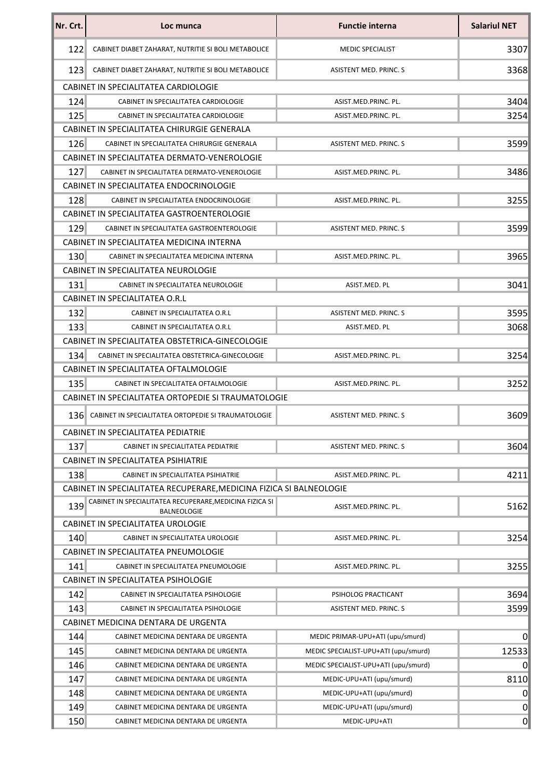| Nr. Crt.                            | Loc munca                                                              | <b>Functie interna</b>               | <b>Salariul NET</b> |  |
|-------------------------------------|------------------------------------------------------------------------|--------------------------------------|---------------------|--|
| 122                                 | CABINET DIABET ZAHARAT, NUTRITIE SI BOLI METABOLICE                    | <b>MEDIC SPECIALIST</b>              | 3307                |  |
| 123                                 | CABINET DIABET ZAHARAT, NUTRITIE SI BOLI METABOLICE                    | <b>ASISTENT MED. PRINC. S</b>        | 3368                |  |
|                                     | CABINET IN SPECIALITATEA CARDIOLOGIE                                   |                                      |                     |  |
| 124                                 | CABINET IN SPECIALITATEA CARDIOLOGIE                                   | ASIST.MED.PRINC. PL.                 | 3404                |  |
| 125                                 | CABINET IN SPECIALITATEA CARDIOLOGIE                                   | ASIST.MED.PRINC. PL.                 | 3254                |  |
|                                     | CABINET IN SPECIALITATEA CHIRURGIE GENERALA                            |                                      |                     |  |
| 126                                 | CABINET IN SPECIALITATEA CHIRURGIE GENERALA                            | ASISTENT MED. PRINC. S               | 3599                |  |
|                                     | CABINET IN SPECIALITATEA DERMATO-VENEROLOGIE                           |                                      |                     |  |
| 127                                 | CABINET IN SPECIALITATEA DERMATO-VENEROLOGIE                           | ASIST.MED.PRINC. PL.                 | 3486                |  |
|                                     | CABINET IN SPECIALITATEA ENDOCRINOLOGIE                                |                                      |                     |  |
| 128                                 | CABINET IN SPECIALITATEA ENDOCRINOLOGIE                                | ASIST.MED.PRINC. PL.                 | 3255                |  |
|                                     | CABINET IN SPECIALITATEA GASTROENTEROLOGIE                             |                                      |                     |  |
| 129                                 | CABINET IN SPECIALITATEA GASTROENTEROLOGIE                             | ASISTENT MED. PRINC. S               | 3599                |  |
|                                     | CABINET IN SPECIALITATEA MEDICINA INTERNA                              |                                      |                     |  |
| 130                                 | CABINET IN SPECIALITATEA MEDICINA INTERNA                              | ASIST.MED.PRINC. PL.                 | 3965                |  |
|                                     | CABINET IN SPECIALITATEA NEUROLOGIE                                    |                                      |                     |  |
| 131                                 | CABINET IN SPECIALITATEA NEUROLOGIE                                    | ASIST.MED. PL                        | 3041                |  |
|                                     | CABINET IN SPECIALITATEA O.R.L                                         |                                      |                     |  |
| 132                                 | CABINET IN SPECIALITATEA O.R.L                                         | <b>ASISTENT MED. PRINC. S</b>        | 3595                |  |
| 133                                 | CABINET IN SPECIALITATEA O.R.L                                         | ASIST.MED. PL                        | 3068                |  |
|                                     | CABINET IN SPECIALITATEA OBSTETRICA-GINECOLOGIE                        |                                      |                     |  |
| 134                                 | CABINET IN SPECIALITATEA OBSTETRICA-GINECOLOGIE                        | ASIST.MED.PRINC. PL.                 | 3254                |  |
|                                     | CABINET IN SPECIALITATEA OFTALMOLOGIE                                  |                                      |                     |  |
| 135                                 | CABINET IN SPECIALITATEA OFTALMOLOGIE                                  | ASIST.MED.PRINC. PL.                 | 3252                |  |
|                                     | CABINET IN SPECIALITATEA ORTOPEDIE SI TRAUMATOLOGIE                    |                                      |                     |  |
| 136                                 | CABINET IN SPECIALITATEA ORTOPEDIE SI TRAUMATOLOGIE                    | ASISTENT MED. PRINC. S               | 3609                |  |
|                                     | CABINET IN SPECIALITATEA PEDIATRIE                                     |                                      |                     |  |
| 137                                 | CABINET IN SPECIALITATEA PEDIATRIE                                     | <b>ASISTENT MED. PRINC. S</b>        | 3604                |  |
|                                     | CABINET IN SPECIALITATEA PSIHIATRIE                                    |                                      |                     |  |
| 138                                 | CABINET IN SPECIALITATEA PSIHIATRIE                                    | ASIST.MED.PRINC. PL.                 | 4211                |  |
|                                     | CABINET IN SPECIALITATEA RECUPERARE, MEDICINA FIZICA SI BALNEOLOGIE    |                                      |                     |  |
| 139                                 | CABINET IN SPECIALITATEA RECUPERARE, MEDICINA FIZICA SI<br>BALNEOLOGIE | ASIST.MED.PRINC. PL.                 | 5162                |  |
|                                     | CABINET IN SPECIALITATEA UROLOGIE                                      |                                      |                     |  |
| 140                                 | CABINET IN SPECIALITATEA UROLOGIE                                      | ASIST.MED.PRINC. PL.                 | 3254                |  |
|                                     | CABINET IN SPECIALITATEA PNEUMOLOGIE                                   |                                      |                     |  |
| 141                                 | CABINET IN SPECIALITATEA PNEUMOLOGIE                                   | ASIST.MED.PRINC. PL.                 | 3255                |  |
|                                     | CABINET IN SPECIALITATEA PSIHOLOGIE                                    |                                      |                     |  |
| 142                                 | CABINET IN SPECIALITATEA PSIHOLOGIE                                    | PSIHOLOG PRACTICANT                  | 3694                |  |
| 143                                 | CABINET IN SPECIALITATEA PSIHOLOGIE                                    | ASISTENT MED. PRINC. S               | 3599                |  |
| CABINET MEDICINA DENTARA DE URGENTA |                                                                        |                                      |                     |  |
| 144                                 | CABINET MEDICINA DENTARA DE URGENTA                                    | MEDIC PRIMAR-UPU+ATI (upu/smurd)     | 0                   |  |
| 145                                 | CABINET MEDICINA DENTARA DE URGENTA                                    | MEDIC SPECIALIST-UPU+ATI (upu/smurd) | 12533               |  |
| 146                                 | CABINET MEDICINA DENTARA DE URGENTA                                    | MEDIC SPECIALIST-UPU+ATI (upu/smurd) | $\mathbf 0$         |  |
| 147                                 | CABINET MEDICINA DENTARA DE URGENTA                                    | MEDIC-UPU+ATI (upu/smurd)            | 8110                |  |
| 148                                 | CABINET MEDICINA DENTARA DE URGENTA                                    | MEDIC-UPU+ATI (upu/smurd)            | 0                   |  |
| 149                                 | CABINET MEDICINA DENTARA DE URGENTA                                    | MEDIC-UPU+ATI (upu/smurd)            | $\overline{0}$      |  |
| 150                                 | CABINET MEDICINA DENTARA DE URGENTA                                    | MEDIC-UPU+ATI                        | 0                   |  |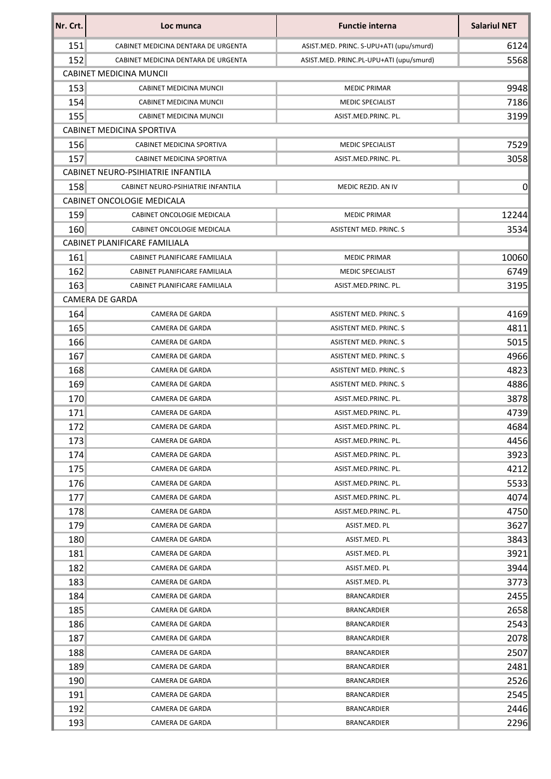| Nr. Crt. | Loc munca                           | <b>Functie interna</b>                  | <b>Salariul NET</b> |  |  |
|----------|-------------------------------------|-----------------------------------------|---------------------|--|--|
| 151      | CABINET MEDICINA DENTARA DE URGENTA | ASIST.MED. PRINC. S-UPU+ATI (upu/smurd) | 6124                |  |  |
| 152      | CABINET MEDICINA DENTARA DE URGENTA | ASIST.MED. PRINC.PL-UPU+ATI (upu/smurd) | 5568                |  |  |
|          | <b>CABINET MEDICINA MUNCIL</b>      |                                         |                     |  |  |
| 153      | CABINET MEDICINA MUNCII             | <b>MEDIC PRIMAR</b>                     | 9948                |  |  |
| 154      | CABINET MEDICINA MUNCII             | <b>MEDIC SPECIALIST</b>                 | 7186                |  |  |
| 155      | CABINET MEDICINA MUNCII             | ASIST.MED.PRINC. PL.                    | 3199                |  |  |
|          | CABINET MEDICINA SPORTIVA           |                                         |                     |  |  |
| 156      | CABINET MEDICINA SPORTIVA           | <b>MEDIC SPECIALIST</b>                 | 7529                |  |  |
| 157      | <b>CABINET MEDICINA SPORTIVA</b>    | ASIST.MED.PRINC. PL.                    | 3058                |  |  |
|          | CABINET NEURO-PSIHIATRIE INFANTILA  |                                         |                     |  |  |
| 158      | CABINET NEURO-PSIHIATRIE INFANTILA  | MEDIC REZID. AN IV                      | $\overline{0}$      |  |  |
|          | <b>CABINET ONCOLOGIE MEDICALA</b>   |                                         |                     |  |  |
| 159      | CABINET ONCOLOGIE MEDICALA          | <b>MEDIC PRIMAR</b>                     | 12244               |  |  |
| 160      | CABINET ONCOLOGIE MEDICALA          | <b>ASISTENT MED. PRINC. S</b>           | 3534                |  |  |
|          | CABINET PLANIFICARE FAMILIALA       |                                         |                     |  |  |
| 161      | CABINET PLANIFICARE FAMILIALA       | <b>MEDIC PRIMAR</b>                     | 10060               |  |  |
| 162      | CABINET PLANIFICARE FAMILIALA       | <b>MEDIC SPECIALIST</b>                 | 6749                |  |  |
| 163      | CABINET PLANIFICARE FAMILIALA       | ASIST.MED.PRINC. PL.                    | 3195                |  |  |
|          | <b>CAMERA DE GARDA</b>              |                                         |                     |  |  |
| 164      | <b>CAMERA DE GARDA</b>              | <b>ASISTENT MED. PRINC. S</b>           | 4169                |  |  |
| 165      | CAMERA DE GARDA                     | ASISTENT MED. PRINC. S                  | 4811                |  |  |
| 166      | CAMERA DE GARDA                     | <b>ASISTENT MED. PRINC. S</b>           | 5015                |  |  |
| 167      | CAMERA DE GARDA                     | ASISTENT MED. PRINC. S                  | 4966                |  |  |
| 168      | CAMERA DE GARDA                     | ASISTENT MED. PRINC. S                  | 4823                |  |  |
| 169      | CAMERA DE GARDA                     | ASISTENT MED. PRINC. S                  | 4886                |  |  |
| 170      | CAMERA DE GARDA                     | ASIST.MED.PRINC. PL.                    | 3878                |  |  |
| 171      | CAMERA DE GARDA                     | ASIST.MED.PRINC. PL.                    | 4739                |  |  |
| 172      | CAMERA DE GARDA                     | ASIST.MED.PRINC. PL.                    | 4684                |  |  |
| 173      | CAMERA DE GARDA                     | ASIST.MED.PRINC. PL.                    | 4456                |  |  |
| 174      | CAMERA DE GARDA                     | ASIST.MED.PRINC. PL.                    | 3923                |  |  |
| 175      | CAMERA DE GARDA                     | ASIST.MED.PRINC. PL.                    | 4212                |  |  |
| 176      | CAMERA DE GARDA                     | ASIST.MED.PRINC. PL.                    | 5533                |  |  |
| 177      | CAMERA DE GARDA                     | ASIST.MED.PRINC. PL.                    | 4074                |  |  |
| 178      | CAMERA DE GARDA                     | ASIST.MED.PRINC. PL.                    | 4750                |  |  |
| 179      | CAMERA DE GARDA                     | ASIST.MED. PL                           | 3627                |  |  |
| 180      | CAMERA DE GARDA                     | ASIST.MED. PL                           | 3843                |  |  |
| 181      | CAMERA DE GARDA                     | ASIST.MED. PL                           | 3921                |  |  |
| 182      | CAMERA DE GARDA                     | ASIST.MED. PL                           | 3944                |  |  |
| 183      | CAMERA DE GARDA                     | ASIST.MED. PL                           | 3773                |  |  |
| 184      | CAMERA DE GARDA                     | <b>BRANCARDIER</b>                      | 2455                |  |  |
| 185      | CAMERA DE GARDA                     | BRANCARDIER                             | 2658                |  |  |
| 186      | CAMERA DE GARDA                     | <b>BRANCARDIER</b>                      | 2543                |  |  |
| 187      | CAMERA DE GARDA                     | BRANCARDIER                             | 2078                |  |  |
| 188      | CAMERA DE GARDA                     | <b>BRANCARDIER</b>                      | 2507                |  |  |
| 189      | CAMERA DE GARDA                     | <b>BRANCARDIER</b>                      | 2481                |  |  |
| 190      | CAMERA DE GARDA                     | BRANCARDIER                             | 2526                |  |  |
| 191      | CAMERA DE GARDA                     | BRANCARDIER                             | 2545                |  |  |
| 192      | CAMERA DE GARDA                     | BRANCARDIER                             | 2446                |  |  |
| 193      | CAMERA DE GARDA                     | <b>BRANCARDIER</b>                      | 2296                |  |  |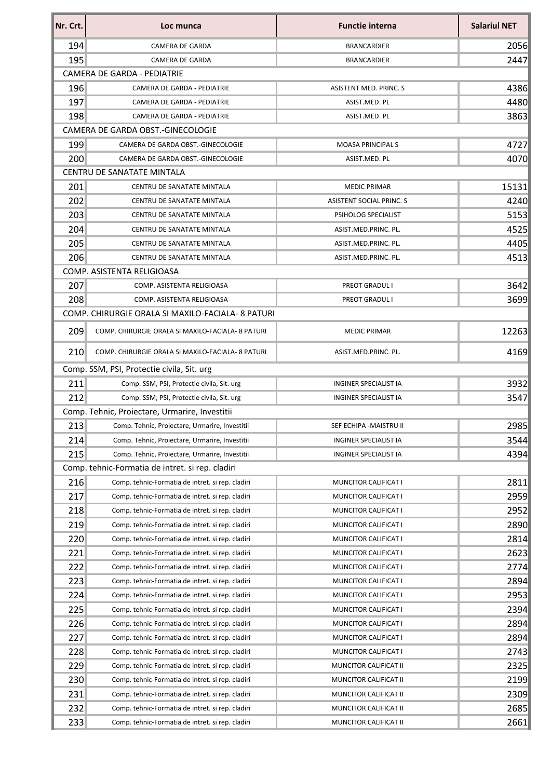| Nr. Crt. | Loc munca                                         | <b>Functie interna</b>       | <b>Salariul NET</b> |
|----------|---------------------------------------------------|------------------------------|---------------------|
| 194      | <b>CAMERA DE GARDA</b>                            | <b>BRANCARDIER</b>           | 2056                |
| 195      | CAMERA DE GARDA                                   | <b>BRANCARDIER</b>           | 2447                |
|          | <b>CAMERA DE GARDA - PEDIATRIE</b>                |                              |                     |
| 196      | CAMERA DE GARDA - PEDIATRIE                       | ASISTENT MED. PRINC. S       | 4386                |
| 197      | CAMERA DE GARDA - PEDIATRIE                       | ASIST.MED. PL                | 4480                |
| 198      | CAMERA DE GARDA - PEDIATRIE                       | ASIST.MED. PL                | 3863                |
|          | CAMERA DE GARDA OBST.-GINECOLOGIE                 |                              |                     |
| 199      | CAMERA DE GARDA OBST.-GINECOLOGIE                 | <b>MOASA PRINCIPALS</b>      | 4727                |
| 200      | CAMERA DE GARDA OBST.-GINECOLOGIE                 | ASIST.MED. PL                | 4070                |
|          | CENTRU DE SANATATE MINTALA                        |                              |                     |
| 201      | CENTRU DE SANATATE MINTALA                        | <b>MEDIC PRIMAR</b>          | 15131               |
| 202      | CENTRU DE SANATATE MINTALA                        | ASISTENT SOCIAL PRINC. S     | 4240                |
| 203      | CENTRU DE SANATATE MINTALA                        | PSIHOLOG SPECIALIST          | 5153                |
| 204      | CENTRU DE SANATATE MINTALA                        | ASIST.MED.PRINC. PL.         | 4525                |
| 205      | CENTRU DE SANATATE MINTALA                        | ASIST.MED.PRINC. PL.         | 4405                |
| 206      | <b>CENTRU DE SANATATE MINTALA</b>                 | ASIST.MED.PRINC. PL.         | 4513                |
|          | COMP. ASISTENTA RELIGIOASA                        |                              |                     |
| 207      | COMP. ASISTENTA RELIGIOASA                        | PREOT GRADUL I               | 3642                |
| 208      | COMP. ASISTENTA RELIGIOASA                        | PREOT GRADUL I               | 3699                |
|          | COMP. CHIRURGIE ORALA SI MAXILO-FACIALA-8 PATURI  |                              |                     |
| 209      | COMP. CHIRURGIE ORALA SI MAXILO-FACIALA- 8 PATURI | <b>MEDIC PRIMAR</b>          | 12263               |
| 210      | COMP. CHIRURGIE ORALA SI MAXILO-FACIALA- 8 PATURI | ASIST.MED.PRINC. PL.         | 4169                |
|          | Comp. SSM, PSI, Protectie civila, Sit. urg        |                              |                     |
| 211      | Comp. SSM, PSI, Protectie civila, Sit. urg        | <b>INGINER SPECIALIST IA</b> | 3932                |
| 212      | Comp. SSM, PSI, Protectie civila, Sit. urg        | <b>INGINER SPECIALIST IA</b> | 3547                |
|          | Comp. Tehnic, Proiectare, Urmarire, Investitii    |                              |                     |
| 213      | Comp. Tehnic, Proiectare, Urmarire, Investitii    | SEF ECHIPA - MAISTRU II      | 2985                |
| 214      | Comp. Tehnic, Proiectare, Urmarire, Investitii    | INGINER SPECIALIST IA        | 3544                |
| 215      | Comp. Tehnic, Proiectare, Urmarire, Investitii    | INGINER SPECIALIST IA        | 4394                |
|          | Comp. tehnic-Formatia de intret. si rep. cladiri  |                              |                     |
| 216      | Comp. tehnic-Formatia de intret. si rep. cladiri  | MUNCITOR CALIFICAT I         | 2811                |
| 217      | Comp. tehnic-Formatia de intret. si rep. cladiri  | MUNCITOR CALIFICAT I         | 2959                |
| 218      | Comp. tehnic-Formatia de intret. si rep. cladiri  | MUNCITOR CALIFICAT I         | 2952                |
| 219      | Comp. tehnic-Formatia de intret. si rep. cladiri  | MUNCITOR CALIFICAT I         | 2890                |
| 220      | Comp. tehnic-Formatia de intret. si rep. cladiri  | MUNCITOR CALIFICAT I         | 2814                |
| 221      | Comp. tehnic-Formatia de intret. si rep. cladiri  | MUNCITOR CALIFICAT I         | 2623                |
| 222      | Comp. tehnic-Formatia de intret. si rep. cladiri  | MUNCITOR CALIFICAT I         | 2774                |
| 223      | Comp. tehnic-Formatia de intret. si rep. cladiri  | MUNCITOR CALIFICAT I         | 2894                |
| 224      | Comp. tehnic-Formatia de intret. si rep. cladiri  | MUNCITOR CALIFICAT I         | 2953                |
| 225      | Comp. tehnic-Formatia de intret. si rep. cladiri  | MUNCITOR CALIFICAT I         | 2394                |
| 226      | Comp. tehnic-Formatia de intret. si rep. cladiri  | MUNCITOR CALIFICAT I         | 2894                |
| 227      | Comp. tehnic-Formatia de intret. si rep. cladiri  | MUNCITOR CALIFICAT I         | 2894                |
| 228      | Comp. tehnic-Formatia de intret. si rep. cladiri  | MUNCITOR CALIFICAT I         | 2743                |
| 229      | Comp. tehnic-Formatia de intret. si rep. cladiri  | MUNCITOR CALIFICAT II        | 2325                |
| 230      | Comp. tehnic-Formatia de intret. si rep. cladiri  | MUNCITOR CALIFICAT II        | 2199                |
| 231      | Comp. tehnic-Formatia de intret. si rep. cladiri  | MUNCITOR CALIFICAT II        | 2309                |
| 232      | Comp. tehnic-Formatia de intret. si rep. cladiri  | MUNCITOR CALIFICAT II        | 2685                |
| 233      | Comp. tehnic-Formatia de intret. si rep. cladiri  | MUNCITOR CALIFICAT II        | 2661                |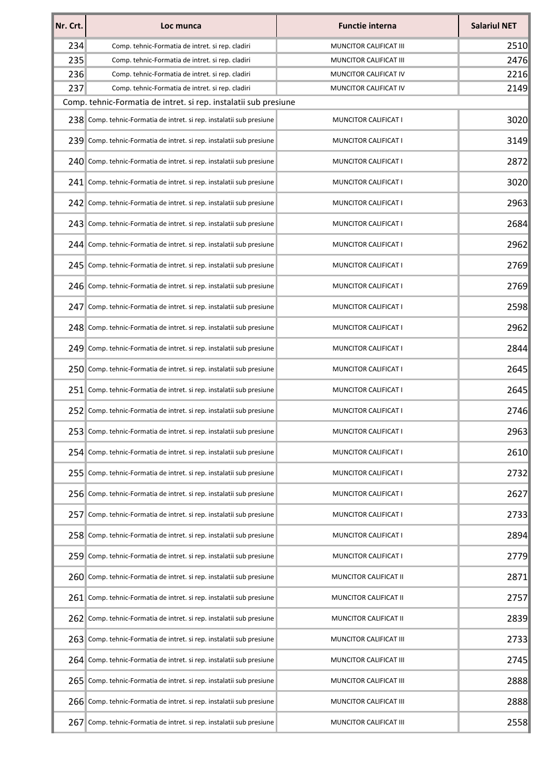| Nr. Crt. | Loc munca                                                            | <b>Functie interna</b>      | <b>Salariul NET</b> |
|----------|----------------------------------------------------------------------|-----------------------------|---------------------|
| 234      | Comp. tehnic-Formatia de intret. si rep. cladiri                     | MUNCITOR CALIFICAT III      | 2510                |
| 235      | Comp. tehnic-Formatia de intret. si rep. cladiri                     | MUNCITOR CALIFICAT III      | 2476                |
| 236      | Comp. tehnic-Formatia de intret. si rep. cladiri                     | MUNCITOR CALIFICAT IV       | 2216                |
| 237      | Comp. tehnic-Formatia de intret. si rep. cladiri                     | MUNCITOR CALIFICAT IV       | 2149                |
|          | Comp. tehnic-Formatia de intret. si rep. instalatii sub presiune     |                             |                     |
|          | 238 Comp. tehnic-Formatia de intret. si rep. instalatii sub presiune | MUNCITOR CALIFICAT I        | 3020                |
|          | 239 Comp. tehnic-Formatia de intret. si rep. instalatii sub presiune | MUNCITOR CALIFICAT I        | 3149                |
|          | 240 Comp. tehnic-Formatia de intret. si rep. instalatii sub presiune | <b>MUNCITOR CALIFICAT I</b> | 2872                |
|          | 241 Comp. tehnic-Formatia de intret. si rep. instalatii sub presiune | <b>MUNCITOR CALIFICAT I</b> | 3020                |
|          | 242 Comp. tehnic-Formatia de intret. si rep. instalatii sub presiune | MUNCITOR CALIFICAT I        | 2963                |
|          | 243 Comp. tehnic-Formatia de intret. si rep. instalatii sub presiune | MUNCITOR CALIFICAT I        | 2684                |
|          | 244 Comp. tehnic-Formatia de intret. si rep. instalatii sub presiune | MUNCITOR CALIFICAT I        | 2962                |
|          | 245 Comp. tehnic-Formatia de intret. si rep. instalatii sub presiune | MUNCITOR CALIFICAT I        | 2769                |
|          | 246 Comp. tehnic-Formatia de intret. si rep. instalatii sub presiune | MUNCITOR CALIFICAT I        | 2769                |
|          | 247 Comp. tehnic-Formatia de intret. si rep. instalatii sub presiune | MUNCITOR CALIFICAT I        | 2598                |
|          | 248 Comp. tehnic-Formatia de intret. si rep. instalatii sub presiune | MUNCITOR CALIFICAT I        | 2962                |
|          | 249 Comp. tehnic-Formatia de intret. si rep. instalatii sub presiune | MUNCITOR CALIFICAT I        | 2844                |
|          | 250 Comp. tehnic-Formatia de intret. si rep. instalatii sub presiune | MUNCITOR CALIFICAT I        | 2645                |
|          | 251 Comp. tehnic-Formatia de intret. si rep. instalatii sub presiune | MUNCITOR CALIFICAT I        | 2645                |
|          | 252 Comp. tehnic-Formatia de intret. si rep. instalatii sub presiune | MUNCITOR CALIFICAT I        | 2746                |
|          | 253 Comp. tehnic-Formatia de intret. si rep. instalatii sub presiune | MUNCITOR CALIFICAT I        | 2963                |
|          | 254 Comp. tehnic-Formatia de intret. si rep. instalatii sub presiune | MUNCITOR CALIFICAT I        | 2610                |
|          | 255 Comp. tehnic-Formatia de intret. si rep. instalatii sub presiune | MUNCITOR CALIFICAT I        | 2732                |
|          | 256 Comp. tehnic-Formatia de intret. si rep. instalatii sub presiune | MUNCITOR CALIFICAT I        | 2627                |
| 2571     | Comp. tehnic-Formatia de intret. si rep. instalatii sub presiune     | <b>MUNCITOR CALIFICAT I</b> | 2733                |
|          | 258 Comp. tehnic-Formatia de intret. si rep. instalatii sub presiune | <b>MUNCITOR CALIFICAT I</b> | 2894                |
|          | 259 Comp. tehnic-Formatia de intret. si rep. instalatii sub presiune | <b>MUNCITOR CALIFICAT I</b> | 2779                |
|          | 260 Comp. tehnic-Formatia de intret. si rep. instalatii sub presiune | MUNCITOR CALIFICAT II       | 2871                |
|          | 261 Comp. tehnic-Formatia de intret. si rep. instalatii sub presiune | MUNCITOR CALIFICAT II       | 2757                |
|          | 262 Comp. tehnic-Formatia de intret. si rep. instalatii sub presiune | MUNCITOR CALIFICAT II       | 2839                |
|          | 263 Comp. tehnic-Formatia de intret. si rep. instalatii sub presiune | MUNCITOR CALIFICAT III      | 2733                |
|          | 264 Comp. tehnic-Formatia de intret. si rep. instalatii sub presiune | MUNCITOR CALIFICAT III      | 2745                |
|          | 265 Comp. tehnic-Formatia de intret. si rep. instalatii sub presiune | MUNCITOR CALIFICAT III      | 2888                |
|          | 266 Comp. tehnic-Formatia de intret. si rep. instalatii sub presiune | MUNCITOR CALIFICAT III      | 2888                |
| 2671     | Comp. tehnic-Formatia de intret. si rep. instalatii sub presiune     | MUNCITOR CALIFICAT III      | 2558                |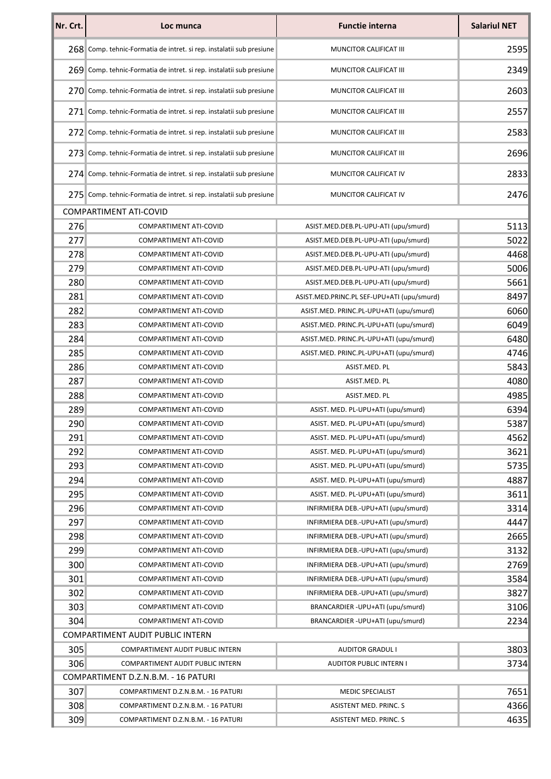| Nr. Crt.                                | Loc munca                                                            | <b>Functie interna</b>                     | <b>Salariul NET</b> |
|-----------------------------------------|----------------------------------------------------------------------|--------------------------------------------|---------------------|
|                                         | 268 Comp. tehnic-Formatia de intret. si rep. instalatii sub presiune | MUNCITOR CALIFICAT III                     | 2595                |
|                                         | 269 Comp. tehnic-Formatia de intret. si rep. instalatii sub presiune | <b>MUNCITOR CALIFICAT III</b>              | 2349                |
|                                         | 270 Comp. tehnic-Formatia de intret. si rep. instalatii sub presiune | MUNCITOR CALIFICAT III                     | 2603                |
|                                         | 271 Comp. tehnic-Formatia de intret. si rep. instalatii sub presiune | MUNCITOR CALIFICAT III                     | 2557                |
|                                         | 272 Comp. tehnic-Formatia de intret. si rep. instalatii sub presiune | MUNCITOR CALIFICAT III                     | 2583                |
|                                         | 273 Comp. tehnic-Formatia de intret. si rep. instalatii sub presiune | MUNCITOR CALIFICAT III                     | 2696                |
|                                         | 274 Comp. tehnic-Formatia de intret. si rep. instalatii sub presiune | MUNCITOR CALIFICAT IV                      | 2833                |
|                                         | 275 Comp. tehnic-Formatia de intret. si rep. instalatii sub presiune | MUNCITOR CALIFICAT IV                      | 2476                |
|                                         | <b>COMPARTIMENT ATI-COVID</b>                                        |                                            |                     |
| 276                                     | <b>COMPARTIMENT ATI-COVID</b>                                        | ASIST.MED.DEB.PL-UPU-ATI (upu/smurd)       | 5113                |
| 277                                     | <b>COMPARTIMENT ATI-COVID</b>                                        | ASIST.MED.DEB.PL-UPU-ATI (upu/smurd)       | 5022                |
| 278                                     | COMPARTIMENT ATI-COVID                                               | ASIST.MED.DEB.PL-UPU-ATI (upu/smurd)       | 4468                |
| 279                                     | COMPARTIMENT ATI-COVID                                               | ASIST.MED.DEB.PL-UPU-ATI (upu/smurd)       | 5006                |
| 280                                     | COMPARTIMENT ATI-COVID                                               | ASIST.MED.DEB.PL-UPU-ATI (upu/smurd)       | 5661                |
| 281                                     | <b>COMPARTIMENT ATI-COVID</b>                                        | ASIST.MED.PRINC.PL SEF-UPU+ATI (upu/smurd) | 8497                |
| 282                                     | COMPARTIMENT ATI-COVID                                               | ASIST.MED. PRINC.PL-UPU+ATI (upu/smurd)    | 6060                |
| 283                                     | COMPARTIMENT ATI-COVID                                               | ASIST.MED. PRINC.PL-UPU+ATI (upu/smurd)    | 6049                |
| 284                                     | COMPARTIMENT ATI-COVID                                               | ASIST.MED. PRINC.PL-UPU+ATI (upu/smurd)    | 6480                |
| 285                                     | COMPARTIMENT ATI-COVID                                               | ASIST.MED. PRINC.PL-UPU+ATI (upu/smurd)    | 4746                |
| 286                                     | COMPARTIMENT ATI-COVID                                               | ASIST.MED. PL                              | 5843                |
| 287                                     | COMPARTIMENT ATI-COVID                                               | ASIST.MED. PL                              | 4080                |
| 288                                     | <b>COMPARTIMENT ATI-COVID</b>                                        | ASIST.MED. PL                              | 4985                |
| 289                                     | COMPARTIMENT ATI-COVID                                               | ASIST. MED. PL-UPU+ATI (upu/smurd)         | 6394                |
| 290                                     | COMPARTIMENT ATI-COVID                                               | ASIST. MED. PL-UPU+ATI (upu/smurd)         | 5387                |
| 291                                     | COMPARTIMENT ATI-COVID                                               | ASIST. MED. PL-UPU+ATI (upu/smurd)         | 4562                |
| 292                                     | COMPARTIMENT ATI-COVID                                               | ASIST. MED. PL-UPU+ATI (upu/smurd)         | 3621                |
| 293                                     | COMPARTIMENT ATI-COVID                                               | ASIST. MED. PL-UPU+ATI (upu/smurd)         | 5735                |
| 294                                     | COMPARTIMENT ATI-COVID                                               | ASIST. MED. PL-UPU+ATI (upu/smurd)         | 4887                |
| 295                                     | COMPARTIMENT ATI-COVID                                               | ASIST. MED. PL-UPU+ATI (upu/smurd)         | 3611                |
| 296                                     | COMPARTIMENT ATI-COVID                                               | INFIRMIERA DEB.-UPU+ATI (upu/smurd)        | 3314                |
| 297                                     | COMPARTIMENT ATI-COVID                                               | INFIRMIERA DEB.-UPU+ATI (upu/smurd)        | 4447                |
| 298                                     | COMPARTIMENT ATI-COVID                                               | INFIRMIERA DEB.-UPU+ATI (upu/smurd)        | 2665                |
| 299                                     | COMPARTIMENT ATI-COVID                                               | INFIRMIERA DEB.-UPU+ATI (upu/smurd)        | 3132                |
| 300                                     | COMPARTIMENT ATI-COVID                                               | INFIRMIERA DEB.-UPU+ATI (upu/smurd)        | 2769                |
| 301                                     | COMPARTIMENT ATI-COVID                                               | INFIRMIERA DEB.-UPU+ATI (upu/smurd)        | 3584                |
| 302                                     | COMPARTIMENT ATI-COVID                                               | INFIRMIERA DEB.-UPU+ATI (upu/smurd)        | 3827                |
| 303                                     | <b>COMPARTIMENT ATI-COVID</b>                                        | BRANCARDIER - UPU+ATI (upu/smurd)          | 3106                |
| 304                                     | COMPARTIMENT ATI-COVID                                               | BRANCARDIER - UPU+ATI (upu/smurd)          | 2234                |
| <b>COMPARTIMENT AUDIT PUBLIC INTERN</b> |                                                                      |                                            |                     |
| 305                                     | COMPARTIMENT AUDIT PUBLIC INTERN                                     | <b>AUDITOR GRADUL I</b>                    | 3803                |
| 306                                     | COMPARTIMENT AUDIT PUBLIC INTERN                                     | <b>AUDITOR PUBLIC INTERN I</b>             | 3734                |
|                                         | COMPARTIMENT D.Z.N.B.M. - 16 PATURI                                  |                                            |                     |
| 307                                     |                                                                      |                                            | 7651                |
|                                         | COMPARTIMENT D.Z.N.B.M. - 16 PATURI                                  | MEDIC SPECIALIST                           |                     |
| 308                                     | COMPARTIMENT D.Z.N.B.M. - 16 PATURI                                  | ASISTENT MED. PRINC. S                     | 4366                |
| 309                                     | COMPARTIMENT D.Z.N.B.M. - 16 PATURI                                  | ASISTENT MED. PRINC. S                     | 4635                |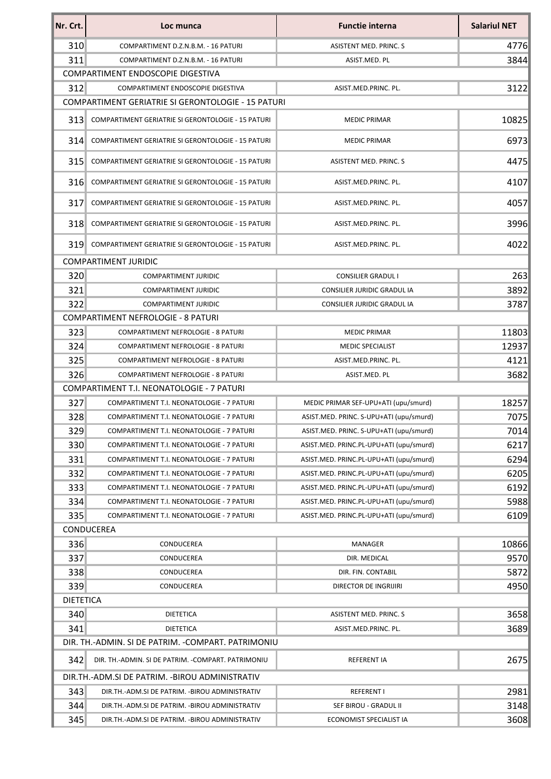| Nr. Crt.         | Loc munca                                           | <b>Functie interna</b>                  | <b>Salariul NET</b> |
|------------------|-----------------------------------------------------|-----------------------------------------|---------------------|
| 310              | COMPARTIMENT D.Z.N.B.M. - 16 PATURI                 | ASISTENT MED. PRINC. S                  | 4776                |
| 311              | COMPARTIMENT D.Z.N.B.M. - 16 PATURI                 | ASIST.MED. PL                           | 3844                |
|                  | COMPARTIMENT ENDOSCOPIE DIGESTIVA                   |                                         |                     |
| 312              | COMPARTIMENT ENDOSCOPIE DIGESTIVA                   | ASIST.MED.PRINC. PL.                    | 3122                |
|                  | COMPARTIMENT GERIATRIE SI GERONTOLOGIE - 15 PATURI  |                                         |                     |
| 313              | COMPARTIMENT GERIATRIE SI GERONTOLOGIE - 15 PATURI  | <b>MEDIC PRIMAR</b>                     | 10825               |
| 314              | COMPARTIMENT GERIATRIE SI GERONTOLOGIE - 15 PATURI  | <b>MEDIC PRIMAR</b>                     | 6973                |
| 315              | COMPARTIMENT GERIATRIE SI GERONTOLOGIE - 15 PATURI  | ASISTENT MED. PRINC. S                  | 4475                |
| 316              | COMPARTIMENT GERIATRIE SI GERONTOLOGIE - 15 PATURI  | ASIST.MED.PRINC. PL.                    | 4107                |
| 317              | COMPARTIMENT GERIATRIE SI GERONTOLOGIE - 15 PATURI  | ASIST.MED.PRINC. PL.                    | 4057                |
| 318              | COMPARTIMENT GERIATRIE SI GERONTOLOGIE - 15 PATURI  | ASIST.MED.PRINC. PL.                    | 3996                |
| 319              | COMPARTIMENT GERIATRIE SI GERONTOLOGIE - 15 PATURI  | ASIST.MED.PRINC. PL.                    | 4022                |
|                  | <b>COMPARTIMENT JURIDIC</b>                         |                                         |                     |
| 320              | <b>COMPARTIMENT JURIDIC</b>                         | <b>CONSILIER GRADUL I</b>               | 263                 |
| 321              | <b>COMPARTIMENT JURIDIC</b>                         | CONSILIER JURIDIC GRADUL IA             | 3892                |
| 322              | <b>COMPARTIMENT JURIDIC</b>                         | CONSILIER JURIDIC GRADUL IA             | 3787                |
|                  | <b>COMPARTIMENT NEFROLOGIE - 8 PATURI</b>           |                                         |                     |
| 323              | <b>COMPARTIMENT NEFROLOGIE - 8 PATURI</b>           | <b>MEDIC PRIMAR</b>                     | 11803               |
| 324              | <b>COMPARTIMENT NEFROLOGIE - 8 PATURI</b>           | <b>MEDIC SPECIALIST</b>                 | 12937               |
| 325              | <b>COMPARTIMENT NEFROLOGIE - 8 PATURI</b>           | ASIST.MED.PRINC. PL.                    | 4121                |
| 326              | <b>COMPARTIMENT NEFROLOGIE - 8 PATURI</b>           | ASIST.MED. PL                           | 3682                |
|                  | COMPARTIMENT T.I. NEONATOLOGIE - 7 PATURI           |                                         |                     |
| 327              | COMPARTIMENT T.I. NEONATOLOGIE - 7 PATURI           | MEDIC PRIMAR SEF-UPU+ATI (upu/smurd)    | 18257               |
| 328              | COMPARTIMENT T.I. NEONATOLOGIE - 7 PATURI           | ASIST.MED. PRINC. S-UPU+ATI (upu/smurd) | 7075                |
| 329              | COMPARTIMENT T.I. NEONATOLOGIE - 7 PATURI           | ASIST.MED. PRINC. S-UPU+ATI (upu/smurd) | 7014                |
| 330              | COMPARTIMENT T.I. NEONATOLOGIE - 7 PATURI           | ASIST.MED. PRINC.PL-UPU+ATI (upu/smurd) | 6217                |
| 331              | COMPARTIMENT T.I. NEONATOLOGIE - 7 PATURI           | ASIST.MED. PRINC.PL-UPU+ATI (upu/smurd) | 6294                |
| 332              | COMPARTIMENT T.I. NEONATOLOGIE - 7 PATURI           | ASIST.MED. PRINC.PL-UPU+ATI (upu/smurd) | 6205                |
| 333              | COMPARTIMENT T.I. NEONATOLOGIE - 7 PATURI           | ASIST.MED. PRINC.PL-UPU+ATI (upu/smurd) | 6192                |
| 334              | COMPARTIMENT T.I. NEONATOLOGIE - 7 PATURI           | ASIST.MED. PRINC.PL-UPU+ATI (upu/smurd) | 5988                |
| 335              | COMPARTIMENT T.I. NEONATOLOGIE - 7 PATURI           | ASIST.MED. PRINC.PL-UPU+ATI (upu/smurd) | 6109                |
|                  | CONDUCEREA                                          |                                         |                     |
| 336              | CONDUCEREA                                          | MANAGER                                 | 10866               |
| 337              | CONDUCEREA                                          | DIR. MEDICAL                            | 9570                |
| 338              | CONDUCEREA                                          | DIR. FIN. CONTABIL                      | 5872                |
| 339              | CONDUCEREA                                          | DIRECTOR DE INGRIJIRI                   | 4950                |
| <b>DIETETICA</b> |                                                     |                                         |                     |
| 340              | <b>DIETETICA</b>                                    | ASISTENT MED. PRINC. S                  | 3658                |
| 341              | <b>DIETETICA</b>                                    | ASIST.MED.PRINC. PL.                    | 3689                |
|                  | DIR. TH.-ADMIN. SI DE PATRIM. - COMPART. PATRIMONIU |                                         |                     |
| 342              | DIR. TH.-ADMIN. SI DE PATRIM. - COMPART. PATRIMONIU | <b>REFERENT IA</b>                      | 2675                |
|                  | DIR. TH. - ADM. SI DE PATRIM. - BIROU ADMINISTRATIV |                                         |                     |
| 343              | DIR.TH.-ADM.SI DE PATRIM. - BIROU ADMINISTRATIV     | <b>REFERENT I</b>                       | 2981                |
| 344              | DIR.TH.-ADM.SI DE PATRIM. - BIROU ADMINISTRATIV     | SEF BIROU - GRADUL II                   | 3148                |
| 345              | DIR.TH.-ADM.SI DE PATRIM. - BIROU ADMINISTRATIV     | ECONOMIST SPECIALIST IA                 | 3608                |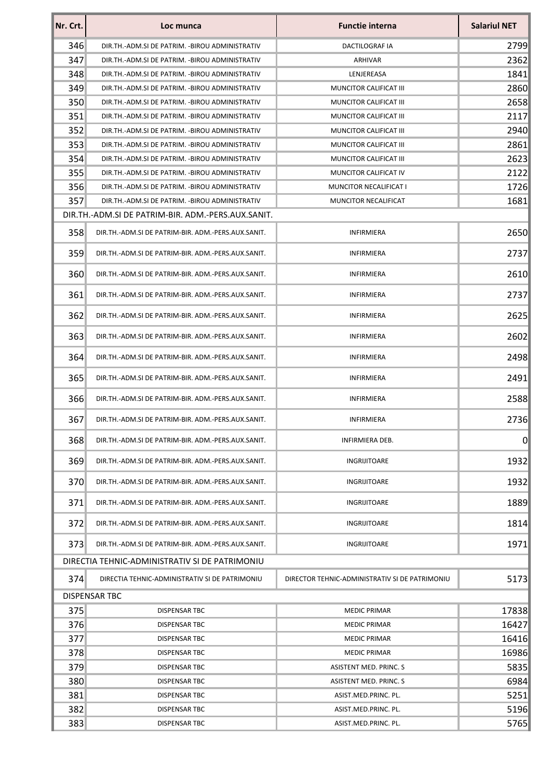| Nr. Crt.             | Loc munca                                          | <b>Functie interna</b>                         | <b>Salariul NET</b> |  |
|----------------------|----------------------------------------------------|------------------------------------------------|---------------------|--|
| 346                  | DIR.TH.-ADM.SI DE PATRIM. - BIROU ADMINISTRATIV    | DACTILOGRAF IA                                 | 2799                |  |
| 347                  | DIR.TH.-ADM.SI DE PATRIM. - BIROU ADMINISTRATIV    | ARHIVAR                                        | 2362                |  |
| 348                  | DIR.TH.-ADM.SI DE PATRIM. - BIROU ADMINISTRATIV    | LENJEREASA                                     | 1841                |  |
| 349                  | DIR.TH.-ADM.SI DE PATRIM. - BIROU ADMINISTRATIV    | MUNCITOR CALIFICAT III                         | 2860                |  |
| 350                  | DIR.TH.-ADM.SI DE PATRIM. -BIROU ADMINISTRATIV     | MUNCITOR CALIFICAT III                         | 2658                |  |
| 351                  | DIR.TH.-ADM.SI DE PATRIM. - BIROU ADMINISTRATIV    | <b>MUNCITOR CALIFICAT III</b>                  | 2117                |  |
| 352                  | DIR.TH.-ADM.SI DE PATRIM. - BIROU ADMINISTRATIV    | MUNCITOR CALIFICAT III                         | 2940                |  |
| 353                  | DIR.TH.-ADM.SI DE PATRIM. -BIROU ADMINISTRATIV     | MUNCITOR CALIFICAT III                         | 2861                |  |
| 354                  | DIR.TH.-ADM.SI DE PATRIM. -BIROU ADMINISTRATIV     | MUNCITOR CALIFICAT III                         | 2623                |  |
| 355                  | DIR.TH.-ADM.SI DE PATRIM. -BIROU ADMINISTRATIV     | MUNCITOR CALIFICAT IV                          | 2122                |  |
| 356                  | DIR.TH.-ADM.SI DE PATRIM. - BIROU ADMINISTRATIV    | MUNCITOR NECALIFICAT I                         | 1726                |  |
| 357                  | DIR.TH.-ADM.SI DE PATRIM. -BIROU ADMINISTRATIV     | MUNCITOR NECALIFICAT                           | 1681                |  |
|                      | DIR.TH.-ADM.SI DE PATRIM-BIR. ADM.-PERS.AUX.SANIT. |                                                |                     |  |
| 358                  | DIR.TH.-ADM.SI DE PATRIM-BIR. ADM.-PERS.AUX.SANIT. | <b>INFIRMIERA</b>                              | 2650                |  |
| 359                  | DIR.TH.-ADM.SI DE PATRIM-BIR. ADM.-PERS.AUX.SANIT. | <b>INFIRMIERA</b>                              | 2737                |  |
| 360                  | DIR.TH.-ADM.SI DE PATRIM-BIR. ADM.-PERS.AUX.SANIT. | <b>INFIRMIERA</b>                              | 2610                |  |
| 361                  | DIR.TH.-ADM.SI DE PATRIM-BIR. ADM.-PERS.AUX.SANIT. | <b>INFIRMIERA</b>                              | 2737                |  |
| 362                  | DIR.TH.-ADM.SI DE PATRIM-BIR. ADM.-PERS.AUX.SANIT. | INFIRMIERA                                     | 2625                |  |
| 363                  | DIR.TH.-ADM.SI DE PATRIM-BIR. ADM.-PERS.AUX.SANIT. | <b>INFIRMIERA</b>                              | 2602                |  |
| 364                  | DIR.TH.-ADM.SI DE PATRIM-BIR. ADM.-PERS.AUX.SANIT. | INFIRMIERA                                     | 2498                |  |
| 365                  | DIR.TH.-ADM.SI DE PATRIM-BIR. ADM.-PERS.AUX.SANIT. | INFIRMIERA                                     | 2491                |  |
| 366                  | DIR.TH.-ADM.SI DE PATRIM-BIR. ADM.-PERS.AUX.SANIT. | <b>INFIRMIERA</b>                              | 2588                |  |
| 367                  | DIR.TH.-ADM.SI DE PATRIM-BIR. ADM.-PERS.AUX.SANIT. | <b>INFIRMIERA</b>                              | 2736                |  |
| 368                  | DIR.TH.-ADM.SI DE PATRIM-BIR. ADM.-PERS.AUX.SANIT. | <b>INFIRMIERA DEB.</b>                         | $\overline{0}$      |  |
| 369                  | DIR.TH.-ADM.SI DE PATRIM-BIR. ADM.-PERS.AUX.SANIT. | INGRIJITOARE                                   | 1932                |  |
| 370                  | DIR.TH.-ADM.SI DE PATRIM-BIR. ADM.-PERS.AUX.SANIT. | <b>INGRIJITOARE</b>                            | 1932                |  |
| 371                  | DIR.TH.-ADM.SI DE PATRIM-BIR. ADM.-PERS.AUX.SANIT. | INGRIJITOARE                                   | 1889                |  |
| 372                  | DIR.TH.-ADM.SI DE PATRIM-BIR. ADM.-PERS.AUX.SANIT. | INGRIJITOARE                                   | 1814                |  |
| 373                  | DIR.TH.-ADM.SI DE PATRIM-BIR. ADM.-PERS.AUX.SANIT. | INGRIJITOARE                                   | 1971                |  |
|                      | DIRECTIA TEHNIC-ADMINISTRATIV SI DE PATRIMONIU     |                                                |                     |  |
| 374                  | DIRECTIA TEHNIC-ADMINISTRATIV SI DE PATRIMONIU     | DIRECTOR TEHNIC-ADMINISTRATIV SI DE PATRIMONIU | 5173                |  |
| <b>DISPENSAR TBC</b> |                                                    |                                                |                     |  |
| 375                  | <b>DISPENSAR TBC</b>                               | <b>MEDIC PRIMAR</b>                            | 17838               |  |
| 376                  | DISPENSAR TBC                                      | <b>MEDIC PRIMAR</b>                            | 16427               |  |
| 377                  | DISPENSAR TBC                                      | <b>MEDIC PRIMAR</b>                            | 16416               |  |
| 378                  | DISPENSAR TBC                                      | <b>MEDIC PRIMAR</b>                            | 16986               |  |
| 379                  | DISPENSAR TBC                                      | ASISTENT MED. PRINC. S                         | 5835                |  |
| 380                  | DISPENSAR TBC                                      | ASISTENT MED. PRINC. S                         | 6984                |  |
| 381                  | <b>DISPENSAR TBC</b>                               | ASIST.MED.PRINC. PL.                           | 5251                |  |
| 382                  | <b>DISPENSAR TBC</b>                               | ASIST.MED.PRINC. PL.                           | 5196                |  |
| 383                  | DISPENSAR TBC                                      | ASIST.MED.PRINC. PL.                           | 5765                |  |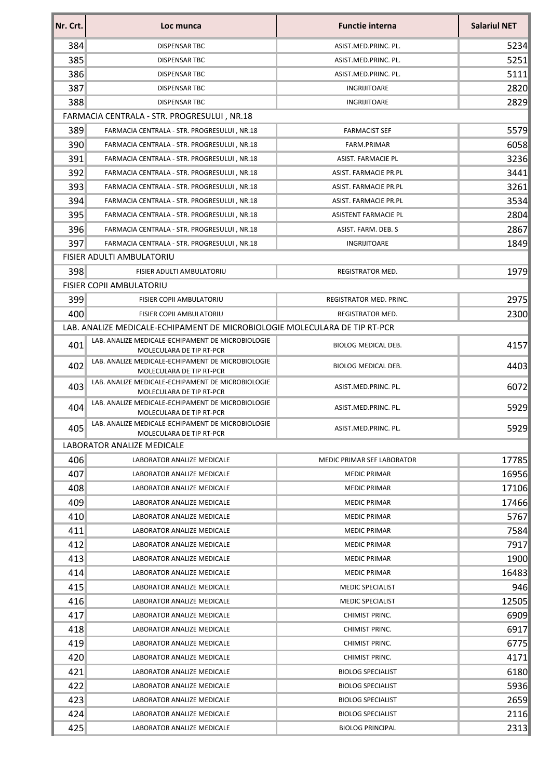| Nr. Crt. | Loc munca                                                                     | <b>Functie interna</b>     | <b>Salariul NET</b> |
|----------|-------------------------------------------------------------------------------|----------------------------|---------------------|
| 384      | DISPENSAR TBC                                                                 | ASIST.MED.PRINC. PL.       | 5234                |
| 385      | DISPENSAR TBC                                                                 | ASIST.MED.PRINC. PL.       | 5251                |
| 386      | DISPENSAR TBC                                                                 | ASIST.MED.PRINC. PL.       | 5111                |
| 387      | DISPENSAR TBC                                                                 | INGRIJITOARE               | 2820                |
| 388      | DISPENSAR TBC                                                                 | INGRIJITOARE               | 2829                |
|          | FARMACIA CENTRALA - STR. PROGRESULUI, NR.18                                   |                            |                     |
| 389      | FARMACIA CENTRALA - STR. PROGRESULUI, NR.18                                   | <b>FARMACIST SEF</b>       | 5579                |
| 390      | FARMACIA CENTRALA - STR. PROGRESULUI, NR.18                                   | FARM.PRIMAR                | 6058                |
| 391      | FARMACIA CENTRALA - STR. PROGRESULUI, NR.18                                   | <b>ASIST. FARMACIE PL</b>  | 3236                |
| 392      | FARMACIA CENTRALA - STR. PROGRESULUI, NR.18                                   | ASIST. FARMACIE PR.PL      | 3441                |
| 393      | FARMACIA CENTRALA - STR. PROGRESULUI, NR.18                                   | ASIST. FARMACIE PR.PL      | 3261                |
| 394      | FARMACIA CENTRALA - STR. PROGRESULUI, NR.18                                   | ASIST. FARMACIE PR.PL      | 3534                |
| 395      | FARMACIA CENTRALA - STR. PROGRESULUI, NR.18                                   | ASISTENT FARMACIE PL       | 2804                |
| 396      | FARMACIA CENTRALA - STR. PROGRESULUI, NR.18                                   | ASIST. FARM. DEB. S        | 2867                |
| 397      | FARMACIA CENTRALA - STR. PROGRESULUI, NR.18                                   | INGRIJITOARE               | 1849                |
|          | FISIER ADULTI AMBULATORIU                                                     |                            |                     |
| 398      | <b>FISIER ADULTI AMBULATORIU</b>                                              | REGISTRATOR MED.           | 1979                |
|          | <b>FISIER COPII AMBULATORIU</b>                                               |                            |                     |
| 399      | FISIER COPII AMBULATORIU                                                      | REGISTRATOR MED. PRINC.    | 2975                |
| 400      | FISIER COPII AMBULATORIU                                                      | REGISTRATOR MED.           | 2300                |
|          | LAB. ANALIZE MEDICALE-ECHIPAMENT DE MICROBIOLOGIE MOLECULARA DE TIP RT-PCR    |                            |                     |
| 401      | LAB. ANALIZE MEDICALE-ECHIPAMENT DE MICROBIOLOGIE<br>MOLECULARA DE TIP RT-PCR | BIOLOG MEDICAL DEB.        | 4157                |
| 402      | LAB. ANALIZE MEDICALE-ECHIPAMENT DE MICROBIOLOGIE<br>MOLECULARA DE TIP RT-PCR | BIOLOG MEDICAL DEB.        | 4403                |
| 403      | LAB. ANALIZE MEDICALE-ECHIPAMENT DE MICROBIOLOGIE<br>MOLECULARA DE TIP RT-PCR | ASIST.MED.PRINC. PL.       | 6072                |
| 404      | LAB. ANALIZE MEDICALE-ECHIPAMENT DE MICROBIOLOGIE<br>MOLECULARA DE TIP RT-PCR | ASIST.MED.PRINC. PL.       | 5929                |
| 405      | LAB. ANALIZE MEDICALE-ECHIPAMENT DE MICROBIOLOGIE<br>MOLECULARA DE TIP RT-PCR | ASIST.MED.PRINC. PL.       | 5929                |
|          | LABORATOR ANALIZE MEDICALE                                                    |                            |                     |
| 406      | LABORATOR ANALIZE MEDICALE                                                    | MEDIC PRIMAR SEF LABORATOR | 17785               |
| 407      | LABORATOR ANALIZE MEDICALE                                                    | <b>MEDIC PRIMAR</b>        | 16956               |
| 408      | LABORATOR ANALIZE MEDICALE                                                    | <b>MEDIC PRIMAR</b>        | 17106               |
| 409      | LABORATOR ANALIZE MEDICALE                                                    | <b>MEDIC PRIMAR</b>        | 17466               |
| 410      | LABORATOR ANALIZE MEDICALE                                                    | <b>MEDIC PRIMAR</b>        | 5767                |
| 411      | LABORATOR ANALIZE MEDICALE                                                    | <b>MEDIC PRIMAR</b>        | 7584                |
| 412      | LABORATOR ANALIZE MEDICALE                                                    | <b>MEDIC PRIMAR</b>        | 7917                |
| 413      | LABORATOR ANALIZE MEDICALE                                                    | <b>MEDIC PRIMAR</b>        | 1900                |
| 414      | LABORATOR ANALIZE MEDICALE                                                    | <b>MEDIC PRIMAR</b>        | 16483               |
| 415      | LABORATOR ANALIZE MEDICALE                                                    | <b>MEDIC SPECIALIST</b>    | 946                 |
| 416      | LABORATOR ANALIZE MEDICALE                                                    | <b>MEDIC SPECIALIST</b>    | 12505               |
| 417      | LABORATOR ANALIZE MEDICALE                                                    | CHIMIST PRINC.             | 6909                |
| 418      | LABORATOR ANALIZE MEDICALE                                                    | CHIMIST PRINC.             | 6917                |
| 419      | LABORATOR ANALIZE MEDICALE                                                    | CHIMIST PRINC.             | 6775                |
| 420      | LABORATOR ANALIZE MEDICALE                                                    | CHIMIST PRINC.             | 4171                |
| 421      | LABORATOR ANALIZE MEDICALE                                                    | <b>BIOLOG SPECIALIST</b>   | 6180                |
| 422      | LABORATOR ANALIZE MEDICALE                                                    | <b>BIOLOG SPECIALIST</b>   | 5936                |
| 423      | LABORATOR ANALIZE MEDICALE                                                    | <b>BIOLOG SPECIALIST</b>   | 2659                |
| 424      | LABORATOR ANALIZE MEDICALE                                                    | <b>BIOLOG SPECIALIST</b>   | 2116                |
| 425      | LABORATOR ANALIZE MEDICALE                                                    | <b>BIOLOG PRINCIPAL</b>    | 2313                |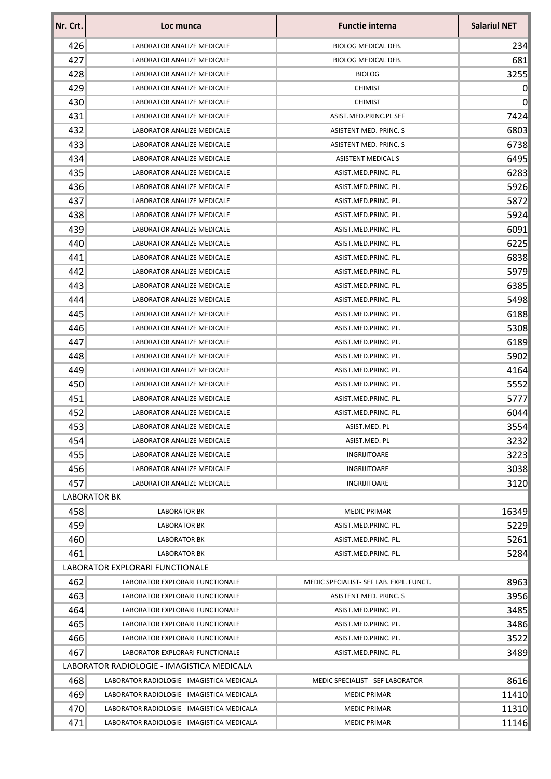| Nr. Crt. | Loc munca                                  | <b>Functie interna</b>                  | <b>Salariul NET</b> |
|----------|--------------------------------------------|-----------------------------------------|---------------------|
| 426      | LABORATOR ANALIZE MEDICALE                 | <b>BIOLOG MEDICAL DEB.</b>              | 234                 |
| 427      | LABORATOR ANALIZE MEDICALE                 | <b>BIOLOG MEDICAL DEB.</b>              | 681                 |
| 428      | LABORATOR ANALIZE MEDICALE                 | <b>BIOLOG</b>                           | 3255                |
| 429      | LABORATOR ANALIZE MEDICALE                 | <b>CHIMIST</b>                          | 0                   |
| 430      | LABORATOR ANALIZE MEDICALE                 | <b>CHIMIST</b>                          | $\overline{0}$      |
| 431      | LABORATOR ANALIZE MEDICALE                 | ASIST.MED.PRINC.PL SEF                  | 7424                |
| 432      | LABORATOR ANALIZE MEDICALE                 | ASISTENT MED. PRINC. S                  | 6803                |
| 433      | LABORATOR ANALIZE MEDICALE                 | ASISTENT MED. PRINC. S                  | 6738                |
| 434      | LABORATOR ANALIZE MEDICALE                 | <b>ASISTENT MEDICAL S</b>               | 6495                |
| 435      | LABORATOR ANALIZE MEDICALE                 | ASIST.MED.PRINC. PL.                    | 6283                |
| 436      | LABORATOR ANALIZE MEDICALE                 | ASIST.MED.PRINC. PL.                    | 5926                |
| 437      | LABORATOR ANALIZE MEDICALE                 | ASIST.MED.PRINC. PL.                    | 5872                |
| 438      | LABORATOR ANALIZE MEDICALE                 | ASIST.MED.PRINC. PL.                    | 5924                |
| 439      | LABORATOR ANALIZE MEDICALE                 | ASIST.MED.PRINC. PL.                    | 6091                |
| 440      | LABORATOR ANALIZE MEDICALE                 | ASIST.MED.PRINC. PL.                    | 6225                |
| 441      | LABORATOR ANALIZE MEDICALE                 | ASIST.MED.PRINC. PL.                    | 6838                |
| 442      | LABORATOR ANALIZE MEDICALE                 | ASIST.MED.PRINC. PL.                    | 5979                |
| 443      | LABORATOR ANALIZE MEDICALE                 | ASIST.MED.PRINC. PL.                    | 6385                |
| 444      | LABORATOR ANALIZE MEDICALE                 | ASIST.MED.PRINC. PL.                    | 5498                |
| 445      | LABORATOR ANALIZE MEDICALE                 | ASIST.MED.PRINC. PL.                    | 6188                |
| 446      | LABORATOR ANALIZE MEDICALE                 | ASIST.MED.PRINC. PL.                    | 5308                |
| 447      | LABORATOR ANALIZE MEDICALE                 | ASIST.MED.PRINC. PL.                    | 6189                |
| 448      | LABORATOR ANALIZE MEDICALE                 | ASIST.MED.PRINC. PL.                    | 5902                |
| 449      | LABORATOR ANALIZE MEDICALE                 | ASIST.MED.PRINC. PL.                    | 4164                |
| 450      | LABORATOR ANALIZE MEDICALE                 | ASIST.MED.PRINC. PL.                    | 5552                |
| 451      | LABORATOR ANALIZE MEDICALE                 | ASIST.MED.PRINC. PL.                    | 5777                |
| 452      | LABORATOR ANALIZE MEDICALE                 | ASIST.MED.PRINC. PL.                    | 6044                |
| 453      | LABORATOR ANALIZE MEDICALE                 | ASIST.MED. PL                           | 3554                |
| 454      | LABORATOR ANALIZE MEDICALE                 | ASIST.MED. PL                           | 3232                |
| 455      | LABORATOR ANALIZE MEDICALE                 | INGRIJITOARE                            | 3223                |
| 456      | LABORATOR ANALIZE MEDICALE                 | INGRIJITOARE                            | 3038                |
| 457      | LABORATOR ANALIZE MEDICALE                 | INGRIJITOARE                            | 3120                |
|          | <b>LABORATOR BK</b>                        |                                         |                     |
| 458      | <b>LABORATOR BK</b>                        | <b>MEDIC PRIMAR</b>                     | 16349               |
| 459      | <b>LABORATOR BK</b>                        | ASIST.MED.PRINC. PL.                    | 5229                |
| 460      | <b>LABORATOR BK</b>                        | ASIST.MED.PRINC. PL.                    | 5261                |
| 461      | <b>LABORATOR BK</b>                        | ASIST.MED.PRINC. PL.                    | 5284                |
|          | LABORATOR EXPLORARI FUNCTIONALE            |                                         |                     |
| 462      | LABORATOR EXPLORARI FUNCTIONALE            | MEDIC SPECIALIST- SEF LAB. EXPL. FUNCT. | 8963                |
| 463      | LABORATOR EXPLORARI FUNCTIONALE            | ASISTENT MED. PRINC. S                  | 3956                |
| 464      | LABORATOR EXPLORARI FUNCTIONALE            | ASIST.MED.PRINC. PL.                    | 3485                |
| 465      | LABORATOR EXPLORARI FUNCTIONALE            | ASIST.MED.PRINC. PL.                    | 3486                |
| 466      | LABORATOR EXPLORARI FUNCTIONALE            | ASIST.MED.PRINC. PL.                    | 3522                |
| 467      | LABORATOR EXPLORARI FUNCTIONALE            | ASIST.MED.PRINC. PL.                    | 3489                |
|          | LABORATOR RADIOLOGIE - IMAGISTICA MEDICALA |                                         |                     |
| 468      | LABORATOR RADIOLOGIE - IMAGISTICA MEDICALA | <b>MEDIC SPECIALIST - SEF LABORATOR</b> | 8616                |
| 469      | LABORATOR RADIOLOGIE - IMAGISTICA MEDICALA | <b>MEDIC PRIMAR</b>                     | 11410               |
| 470      | LABORATOR RADIOLOGIE - IMAGISTICA MEDICALA | <b>MEDIC PRIMAR</b>                     | 11310               |
| 471      | LABORATOR RADIOLOGIE - IMAGISTICA MEDICALA | <b>MEDIC PRIMAR</b>                     | 11146               |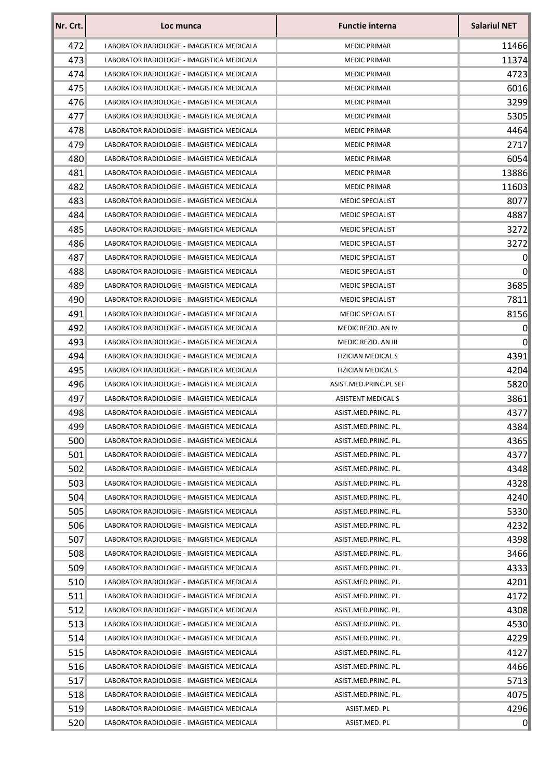| Nr. Crt. | Loc munca                                  | <b>Functie interna</b>    | <b>Salariul NET</b> |
|----------|--------------------------------------------|---------------------------|---------------------|
| 472      | LABORATOR RADIOLOGIE - IMAGISTICA MEDICALA | <b>MEDIC PRIMAR</b>       | 11466               |
| 473      | LABORATOR RADIOLOGIE - IMAGISTICA MEDICALA | <b>MEDIC PRIMAR</b>       | 11374               |
| 474      | LABORATOR RADIOLOGIE - IMAGISTICA MEDICALA | <b>MEDIC PRIMAR</b>       | 4723                |
| 475      | LABORATOR RADIOLOGIE - IMAGISTICA MEDICALA | <b>MEDIC PRIMAR</b>       | 6016                |
| 476      | LABORATOR RADIOLOGIE - IMAGISTICA MEDICALA | <b>MEDIC PRIMAR</b>       | 3299                |
| 477      | LABORATOR RADIOLOGIE - IMAGISTICA MEDICALA | <b>MEDIC PRIMAR</b>       | 5305                |
| 478      | LABORATOR RADIOLOGIE - IMAGISTICA MEDICALA | <b>MEDIC PRIMAR</b>       | 4464                |
| 479      | LABORATOR RADIOLOGIE - IMAGISTICA MEDICALA | <b>MEDIC PRIMAR</b>       | 2717                |
| 480      | LABORATOR RADIOLOGIE - IMAGISTICA MEDICALA | <b>MEDIC PRIMAR</b>       | 6054                |
| 481      | LABORATOR RADIOLOGIE - IMAGISTICA MEDICALA | <b>MEDIC PRIMAR</b>       | 13886               |
| 482      | LABORATOR RADIOLOGIE - IMAGISTICA MEDICALA | <b>MEDIC PRIMAR</b>       | 11603               |
| 483      | LABORATOR RADIOLOGIE - IMAGISTICA MEDICALA | <b>MEDIC SPECIALIST</b>   | 8077                |
| 484      | LABORATOR RADIOLOGIE - IMAGISTICA MEDICALA | <b>MEDIC SPECIALIST</b>   | 4887                |
| 485      | LABORATOR RADIOLOGIE - IMAGISTICA MEDICALA | <b>MEDIC SPECIALIST</b>   | 3272                |
| 486      | LABORATOR RADIOLOGIE - IMAGISTICA MEDICALA | <b>MEDIC SPECIALIST</b>   | 3272                |
| 487      | LABORATOR RADIOLOGIE - IMAGISTICA MEDICALA | <b>MEDIC SPECIALIST</b>   | $\Omega$            |
| 488      | LABORATOR RADIOLOGIE - IMAGISTICA MEDICALA | <b>MEDIC SPECIALIST</b>   | $\overline{0}$      |
| 489      | LABORATOR RADIOLOGIE - IMAGISTICA MEDICALA | <b>MEDIC SPECIALIST</b>   | 3685                |
| 490      | LABORATOR RADIOLOGIE - IMAGISTICA MEDICALA | <b>MEDIC SPECIALIST</b>   | 7811                |
| 491      | LABORATOR RADIOLOGIE - IMAGISTICA MEDICALA | <b>MEDIC SPECIALIST</b>   | 8156                |
| 492      | LABORATOR RADIOLOGIE - IMAGISTICA MEDICALA | MEDIC REZID. AN IV        | 0                   |
| 493      | LABORATOR RADIOLOGIE - IMAGISTICA MEDICALA | MEDIC REZID. AN III       | 0                   |
| 494      | LABORATOR RADIOLOGIE - IMAGISTICA MEDICALA | <b>FIZICIAN MEDICAL S</b> | 4391                |
| 495      | LABORATOR RADIOLOGIE - IMAGISTICA MEDICALA | <b>FIZICIAN MEDICAL S</b> | 4204                |
| 496      | LABORATOR RADIOLOGIE - IMAGISTICA MEDICALA | ASIST.MED.PRINC.PL SEF    | 5820                |
| 497      | LABORATOR RADIOLOGIE - IMAGISTICA MEDICALA | <b>ASISTENT MEDICAL S</b> | 3861                |
| 498      | LABORATOR RADIOLOGIE - IMAGISTICA MEDICALA | ASIST.MED.PRINC. PL.      | 4377                |
| 499      | LABORATOR RADIOLOGIE - IMAGISTICA MEDICALA | ASIST.MED.PRINC. PL.      | 4384                |
| 500      | LABORATOR RADIOLOGIE - IMAGISTICA MEDICALA | ASIST.MED.PRINC. PL.      | 4365                |
| 501      | LABORATOR RADIOLOGIE - IMAGISTICA MEDICALA | ASIST.MED.PRINC. PL.      | 4377                |
| 502      | LABORATOR RADIOLOGIE - IMAGISTICA MEDICALA | ASIST.MED.PRINC. PL.      | 4348                |
| 503      | LABORATOR RADIOLOGIE - IMAGISTICA MEDICALA | ASIST.MED.PRINC. PL.      | 4328                |
| 504      | LABORATOR RADIOLOGIE - IMAGISTICA MEDICALA | ASIST.MED.PRINC. PL.      | 4240                |
| 505      | LABORATOR RADIOLOGIE - IMAGISTICA MEDICALA | ASIST.MED.PRINC. PL.      | 5330                |
| 506      | LABORATOR RADIOLOGIE - IMAGISTICA MEDICALA | ASIST.MED.PRINC. PL.      | 4232                |
| 507      | LABORATOR RADIOLOGIE - IMAGISTICA MEDICALA | ASIST.MED.PRINC. PL.      | 4398                |
| 508      | LABORATOR RADIOLOGIE - IMAGISTICA MEDICALA | ASIST.MED.PRINC. PL.      | 3466                |
| 509      | LABORATOR RADIOLOGIE - IMAGISTICA MEDICALA | ASIST.MED.PRINC. PL.      | 4333                |
| 510      | LABORATOR RADIOLOGIE - IMAGISTICA MEDICALA | ASIST.MED.PRINC. PL.      | 4201                |
| 511      | LABORATOR RADIOLOGIE - IMAGISTICA MEDICALA | ASIST.MED.PRINC. PL.      | 4172                |
| 512      | LABORATOR RADIOLOGIE - IMAGISTICA MEDICALA | ASIST.MED.PRINC. PL.      | 4308                |
| 513      | LABORATOR RADIOLOGIE - IMAGISTICA MEDICALA | ASIST.MED.PRINC. PL.      | 4530                |
| 514      | LABORATOR RADIOLOGIE - IMAGISTICA MEDICALA | ASIST.MED.PRINC. PL.      | 4229                |
| 515      | LABORATOR RADIOLOGIE - IMAGISTICA MEDICALA | ASIST.MED.PRINC. PL.      | 4127                |
| 516      | LABORATOR RADIOLOGIE - IMAGISTICA MEDICALA | ASIST.MED.PRINC. PL.      | 4466                |
| 517      | LABORATOR RADIOLOGIE - IMAGISTICA MEDICALA | ASIST.MED.PRINC. PL.      | 5713                |
| 518      | LABORATOR RADIOLOGIE - IMAGISTICA MEDICALA | ASIST.MED.PRINC. PL.      | 4075                |
| 519      | LABORATOR RADIOLOGIE - IMAGISTICA MEDICALA | ASIST.MED. PL             | 4296                |
| 520      | LABORATOR RADIOLOGIE - IMAGISTICA MEDICALA | ASIST.MED. PL             | $\Omega$            |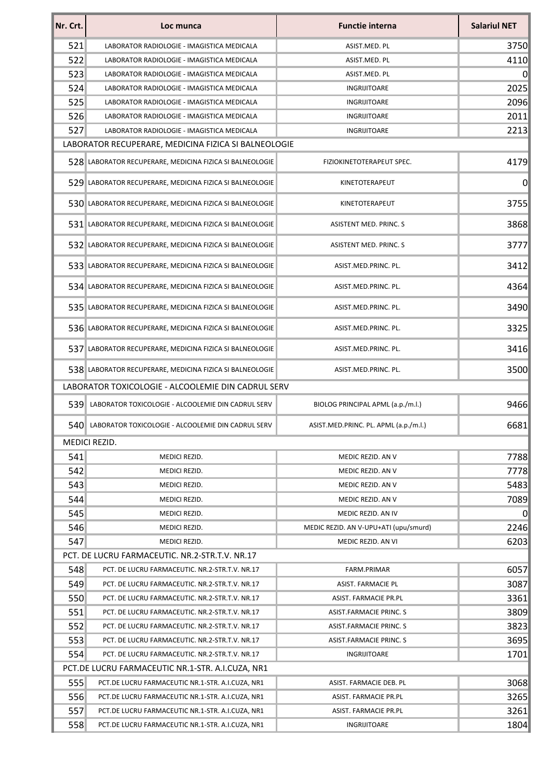| Nr. Crt. | Loc munca                                                | <b>Functie interna</b>                | <b>Salariul NET</b> |
|----------|----------------------------------------------------------|---------------------------------------|---------------------|
| 521      | LABORATOR RADIOLOGIE - IMAGISTICA MEDICALA               | ASIST.MED. PL                         | 3750                |
| 522      | LABORATOR RADIOLOGIE - IMAGISTICA MEDICALA               | ASIST.MED. PL                         | 4110                |
| 523      | LABORATOR RADIOLOGIE - IMAGISTICA MEDICALA               | ASIST.MED. PL                         | $\vert 0 \vert$     |
| 524      | LABORATOR RADIOLOGIE - IMAGISTICA MEDICALA               | INGRIJITOARE                          | 2025                |
| 525      | LABORATOR RADIOLOGIE - IMAGISTICA MEDICALA               | <b>INGRIJITOARE</b>                   | 2096                |
| 526      | LABORATOR RADIOLOGIE - IMAGISTICA MEDICALA               | INGRIJITOARE                          | 2011                |
| 527      | LABORATOR RADIOLOGIE - IMAGISTICA MEDICALA               | INGRIJITOARE                          | 2213                |
|          | LABORATOR RECUPERARE, MEDICINA FIZICA SI BALNEOLOGIE     |                                       |                     |
|          | 528 LABORATOR RECUPERARE, MEDICINA FIZICA SI BALNEOLOGIE | FIZIOKINETOTERAPEUT SPEC.             | 4179                |
|          | 529 LABORATOR RECUPERARE, MEDICINA FIZICA SI BALNEOLOGIE | KINETOTERAPEUT                        | 0                   |
|          | 530 LABORATOR RECUPERARE, MEDICINA FIZICA SI BALNEOLOGIE | KINETOTERAPEUT                        | 3755                |
|          | 531 LABORATOR RECUPERARE, MEDICINA FIZICA SI BALNEOLOGIE | ASISTENT MED. PRINC. S                | 3868                |
|          | 532 LABORATOR RECUPERARE, MEDICINA FIZICA SI BALNEOLOGIE | <b>ASISTENT MED. PRINC. S</b>         | 3777                |
|          | 533 LABORATOR RECUPERARE, MEDICINA FIZICA SI BALNEOLOGIE | ASIST.MED.PRINC. PL.                  | 3412                |
|          | 534 LABORATOR RECUPERARE, MEDICINA FIZICA SI BALNEOLOGIE | ASIST.MED.PRINC. PL.                  | 4364                |
|          | 535 LABORATOR RECUPERARE, MEDICINA FIZICA SI BALNEOLOGIE | ASIST.MED.PRINC. PL.                  | 3490                |
|          | 536 LABORATOR RECUPERARE, MEDICINA FIZICA SI BALNEOLOGIE | ASIST.MED.PRINC. PL.                  | 3325                |
|          | 537 LABORATOR RECUPERARE, MEDICINA FIZICA SI BALNEOLOGIE | ASIST.MED.PRINC. PL.                  | 3416                |
|          | 538 LABORATOR RECUPERARE, MEDICINA FIZICA SI BALNEOLOGIE | ASIST.MED.PRINC. PL.                  | 3500                |
|          | LABORATOR TOXICOLOGIE - ALCOOLEMIE DIN CADRUL SERV       |                                       |                     |
| 539      | LABORATOR TOXICOLOGIE - ALCOOLEMIE DIN CADRUL SERV       | BIOLOG PRINCIPAL APML (a.p./m.l.)     | 9466                |
|          | 540 LABORATOR TOXICOLOGIE - ALCOOLEMIE DIN CADRUL SERV   | ASIST.MED.PRINC. PL. APML (a.p./m.l.) | 6681                |
|          | MEDICI REZID.                                            |                                       |                     |
| 541      | MEDICI REZID.                                            | MEDIC REZID. AN V                     | 7788                |
| 542      | MEDICI REZID.                                            | MEDIC REZID. AN V                     | 7778                |
| 543      | MEDICI REZID.                                            | MEDIC REZID. AN V                     | 5483                |
| 544      | MEDICI REZID.                                            | MEDIC REZID. AN V                     | 7089                |
| 545      | MEDICI REZID.                                            | MEDIC REZID. AN IV                    | $\Omega$            |
| 546      | MEDICI REZID.                                            | MEDIC REZID. AN V-UPU+ATI (upu/smurd) | 2246                |
| 547      | MEDICI REZID.                                            | MEDIC REZID. AN VI                    | 6203                |
|          | PCT. DE LUCRU FARMACEUTIC. NR.2-STR.T.V. NR.17           |                                       |                     |
| 548      | PCT. DE LUCRU FARMACEUTIC. NR.2-STR.T.V. NR.17           | FARM.PRIMAR                           | 6057                |
| 549      | PCT. DE LUCRU FARMACEUTIC. NR.2-STR.T.V. NR.17           | ASIST. FARMACIE PL                    | 3087                |
| 550      | PCT. DE LUCRU FARMACEUTIC. NR.2-STR.T.V. NR.17           | ASIST. FARMACIE PR.PL                 | 3361                |
| 551      | PCT. DE LUCRU FARMACEUTIC. NR.2-STR.T.V. NR.17           | ASIST.FARMACIE PRINC. S               | 3809                |
| 552      | PCT. DE LUCRU FARMACEUTIC. NR.2-STR.T.V. NR.17           | ASIST.FARMACIE PRINC. S               | 3823                |
| 553      | PCT. DE LUCRU FARMACEUTIC. NR.2-STR.T.V. NR.17           | ASIST.FARMACIE PRINC. S               | 3695                |
| 554      | PCT. DE LUCRU FARMACEUTIC. NR.2-STR.T.V. NR.17           | INGRIJITOARE                          | 1701                |
|          | PCT.DE LUCRU FARMACEUTIC NR.1-STR. A.I.CUZA, NR1         |                                       |                     |
| 555      | PCT.DE LUCRU FARMACEUTIC NR.1-STR. A.I.CUZA, NR1         | ASIST. FARMACIE DEB. PL               | 3068                |
| 556      | PCT.DE LUCRU FARMACEUTIC NR.1-STR. A.I.CUZA, NR1         | ASIST. FARMACIE PR.PL                 | 3265                |
| 557      | PCT.DE LUCRU FARMACEUTIC NR.1-STR. A.I.CUZA, NR1         | ASIST. FARMACIE PR.PL                 | 3261                |
| 558      | PCT.DE LUCRU FARMACEUTIC NR.1-STR. A.I.CUZA, NR1         | INGRIJITOARE                          | 1804                |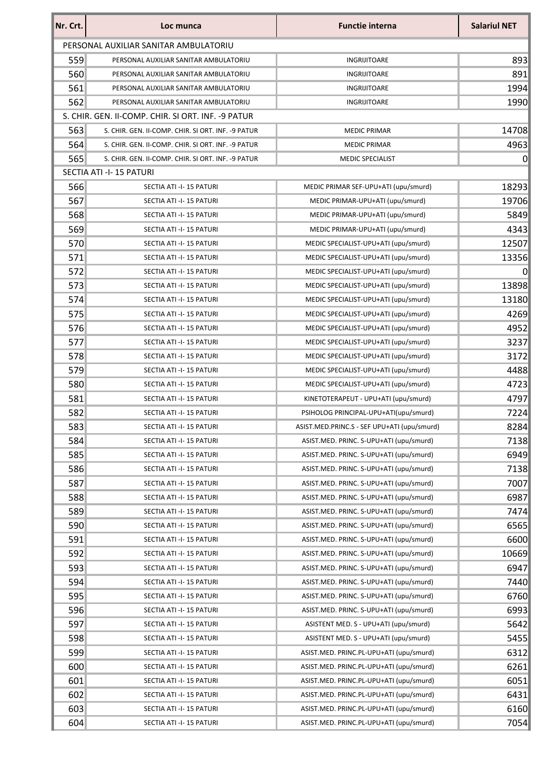| Nr. Crt. | Loc munca                                          | <b>Functie interna</b>                      | <b>Salariul NET</b> |
|----------|----------------------------------------------------|---------------------------------------------|---------------------|
|          | PERSONAL AUXILIAR SANITAR AMBULATORIU              |                                             |                     |
| 559      | PERSONAL AUXILIAR SANITAR AMBULATORIU              | <b>INGRIJITOARE</b>                         | 893                 |
| 560      | PERSONAL AUXILIAR SANITAR AMBULATORIU              | INGRIJITOARE                                | 891                 |
| 561      | PERSONAL AUXILIAR SANITAR AMBULATORIU              | INGRIJITOARE                                | 1994                |
| 562      | PERSONAL AUXILIAR SANITAR AMBULATORIU              | <b>INGRIJITOARE</b>                         | 1990                |
|          | S. CHIR. GEN. II-COMP. CHIR. SI ORT. INF. -9 PATUR |                                             |                     |
| 563      | S. CHIR. GEN. II-COMP. CHIR. SI ORT. INF. -9 PATUR | <b>MEDIC PRIMAR</b>                         | 14708               |
| 564      | S. CHIR. GEN. II-COMP. CHIR. SI ORT. INF. -9 PATUR | <b>MEDIC PRIMAR</b>                         | 4963                |
| 565      | S. CHIR. GEN. II-COMP. CHIR. SI ORT. INF. -9 PATUR | <b>MEDIC SPECIALIST</b>                     | 0                   |
|          | SECTIA ATI -I-15 PATURI                            |                                             |                     |
| 566      | SECTIA ATI -I-15 PATURI                            | MEDIC PRIMAR SEF-UPU+ATI (upu/smurd)        | 18293               |
| 567      | SECTIA ATI -I-15 PATURI                            | MEDIC PRIMAR-UPU+ATI (upu/smurd)            | 19706               |
| 568      | SECTIA ATI -I-15 PATURI                            | MEDIC PRIMAR-UPU+ATI (upu/smurd)            | 5849                |
| 569      | SECTIA ATI -I-15 PATURI                            | MEDIC PRIMAR-UPU+ATI (upu/smurd)            | 4343                |
| 570      | SECTIA ATI -I-15 PATURI                            | MEDIC SPECIALIST-UPU+ATI (upu/smurd)        | 12507               |
| 571      | SECTIA ATI -I-15 PATURI                            | MEDIC SPECIALIST-UPU+ATI (upu/smurd)        | 13356               |
| 572      | SECTIA ATI -I-15 PATURI                            | MEDIC SPECIALIST-UPU+ATI (upu/smurd)        | $\Omega$            |
| 573      | SECTIA ATI -I-15 PATURI                            | MEDIC SPECIALIST-UPU+ATI (upu/smurd)        | 13898               |
| 574      | SECTIA ATI -I-15 PATURI                            | MEDIC SPECIALIST-UPU+ATI (upu/smurd)        | 13180               |
| 575      | SECTIA ATI -I-15 PATURI                            | MEDIC SPECIALIST-UPU+ATI (upu/smurd)        | 4269                |
| 576      | SECTIA ATI -I-15 PATURI                            | MEDIC SPECIALIST-UPU+ATI (upu/smurd)        | 4952                |
| 577      | SECTIA ATI -I-15 PATURI                            | MEDIC SPECIALIST-UPU+ATI (upu/smurd)        | 3237                |
| 578      | SECTIA ATI -I-15 PATURI                            | MEDIC SPECIALIST-UPU+ATI (upu/smurd)        | 3172                |
| 579      | SECTIA ATI -I-15 PATURI                            | MEDIC SPECIALIST-UPU+ATI (upu/smurd)        | 4488                |
| 580      | SECTIA ATI -I-15 PATURI                            | MEDIC SPECIALIST-UPU+ATI (upu/smurd)        | 4723                |
| 581      | SECTIA ATI -I-15 PATURI                            | KINETOTERAPEUT - UPU+ATI (upu/smurd)        | 4797                |
| 582      | SECTIA ATI -I-15 PATURI                            | PSIHOLOG PRINCIPAL-UPU+ATI(upu/smurd)       | 7224                |
| 583      | SECTIA ATI -I-15 PATURI                            | ASIST.MED.PRINC.S - SEF UPU+ATI (upu/smurd) | 8284                |
| 584      | SECTIA ATI -I-15 PATURI                            | ASIST.MED. PRINC. S-UPU+ATI (upu/smurd)     | 7138                |
| 585      | SECTIA ATI -I-15 PATURI                            | ASIST.MED. PRINC. S-UPU+ATI (upu/smurd)     | 6949                |
| 586      | SECTIA ATI -I-15 PATURI                            | ASIST.MED. PRINC. S-UPU+ATI (upu/smurd)     | 7138                |
| 587      | SECTIA ATI -I-15 PATURI                            | ASIST.MED. PRINC. S-UPU+ATI (upu/smurd)     | 7007                |
| 588      | SECTIA ATI -I-15 PATURI                            | ASIST.MED. PRINC. S-UPU+ATI (upu/smurd)     | 6987                |
| 589      | SECTIA ATI -I-15 PATURI                            | ASIST.MED. PRINC. S-UPU+ATI (upu/smurd)     | 7474                |
| 590      | SECTIA ATI -I-15 PATURI                            | ASIST.MED. PRINC. S-UPU+ATI (upu/smurd)     | 6565                |
| 591      | SECTIA ATI -I-15 PATURI                            | ASIST.MED. PRINC. S-UPU+ATI (upu/smurd)     | 6600                |
| 592      | SECTIA ATI -I-15 PATURI                            | ASIST.MED. PRINC. S-UPU+ATI (upu/smurd)     | 10669               |
| 593      | SECTIA ATI -I-15 PATURI                            | ASIST.MED. PRINC. S-UPU+ATI (upu/smurd)     | 6947                |
| 594      | SECTIA ATI -I-15 PATURI                            | ASIST.MED. PRINC. S-UPU+ATI (upu/smurd)     | 7440                |
| 595      | SECTIA ATI -I-15 PATURI                            | ASIST.MED. PRINC. S-UPU+ATI (upu/smurd)     | 6760                |
| 596      | SECTIA ATI -I-15 PATURI                            | ASIST.MED. PRINC. S-UPU+ATI (upu/smurd)     | 6993                |
| 597      | SECTIA ATI -I-15 PATURI                            | ASISTENT MED. S - UPU+ATI (upu/smurd)       | 5642                |
| 598      | SECTIA ATI -I-15 PATURI                            | ASISTENT MED. S - UPU+ATI (upu/smurd)       | 5455                |
| 599      | SECTIA ATI -I-15 PATURI                            | ASIST.MED. PRINC.PL-UPU+ATI (upu/smurd)     | 6312                |
| 600      | SECTIA ATI -I-15 PATURI                            | ASIST.MED. PRINC.PL-UPU+ATI (upu/smurd)     | 6261                |
| 601      | SECTIA ATI -I-15 PATURI                            | ASIST.MED. PRINC.PL-UPU+ATI (upu/smurd)     | 6051                |
| 602      | SECTIA ATI -I-15 PATURI                            | ASIST.MED. PRINC.PL-UPU+ATI (upu/smurd)     | 6431                |
| 603      | SECTIA ATI -I-15 PATURI                            | ASIST.MED. PRINC.PL-UPU+ATI (upu/smurd)     | 6160                |
| 604      | SECTIA ATI -I-15 PATURI                            | ASIST.MED. PRINC.PL-UPU+ATI (upu/smurd)     | 7054                |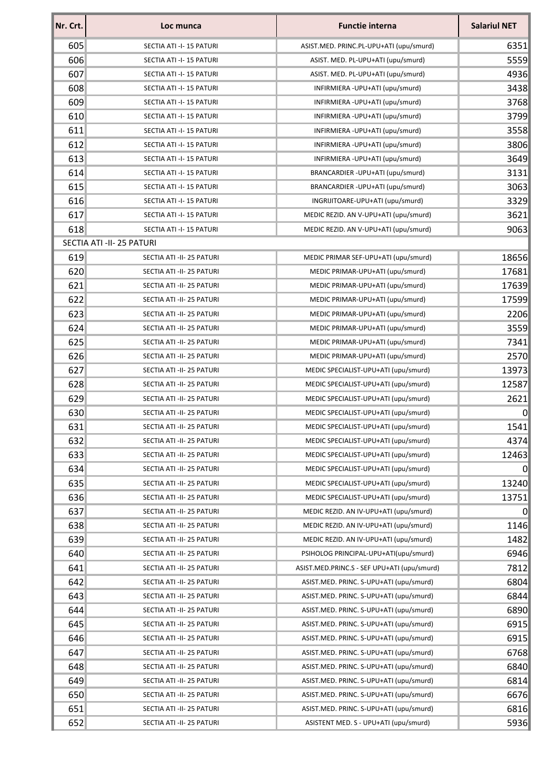| 605<br>SECTIA ATI -I-15 PATURI<br>ASIST.MED. PRINC.PL-UPU+ATI (upu/smurd)<br>606<br>SECTIA ATI -I-15 PATURI<br>ASIST. MED. PL-UPU+ATI (upu/smurd)<br>607<br>SECTIA ATI -I-15 PATURI<br>ASIST. MED. PL-UPU+ATI (upu/smurd)<br>608<br>INFIRMIERA - UPU+ATI (upu/smurd)<br>SECTIA ATI -I-15 PATURI<br>609<br>INFIRMIERA - UPU+ATI (upu/smurd)<br>SECTIA ATI -I-15 PATURI<br>610<br>SECTIA ATI -I-15 PATURI<br>INFIRMIERA - UPU+ATI (upu/smurd)<br>611<br>SECTIA ATI -I-15 PATURI<br>INFIRMIERA - UPU+ATI (upu/smurd)<br>612<br>INFIRMIERA - UPU+ATI (upu/smurd)<br>SECTIA ATI -I-15 PATURI<br>613<br>INFIRMIERA - UPU+ATI (upu/smurd)<br>SECTIA ATI -I-15 PATURI<br>614<br>BRANCARDIER-UPU+ATI (upu/smurd)<br>SECTIA ATI -I-15 PATURI<br>615<br>BRANCARDIER-UPU+ATI (upu/smurd)<br>SECTIA ATI -I-15 PATURI<br>616<br>INGRIJITOARE-UPU+ATI (upu/smurd)<br>SECTIA ATI -I-15 PATURI<br>617<br>SECTIA ATI -I-15 PATURI<br>MEDIC REZID. AN V-UPU+ATI (upu/smurd)<br>618<br>SECTIA ATI -I-15 PATURI<br>MEDIC REZID. AN V-UPU+ATI (upu/smurd)<br>SECTIA ATI -II- 25 PATURI<br>619<br>SECTIA ATI -II- 25 PATURI<br>MEDIC PRIMAR SEF-UPU+ATI (upu/smurd)<br>620<br>MEDIC PRIMAR-UPU+ATI (upu/smurd)<br>SECTIA ATI -II- 25 PATURI<br>621<br>SECTIA ATI -II- 25 PATURI<br>MEDIC PRIMAR-UPU+ATI (upu/smurd)<br>622<br>MEDIC PRIMAR-UPU+ATI (upu/smurd)<br>SECTIA ATI -II- 25 PATURI<br>623<br>SECTIA ATI -II- 25 PATURI<br>MEDIC PRIMAR-UPU+ATI (upu/smurd)<br>624<br>MEDIC PRIMAR-UPU+ATI (upu/smurd)<br>SECTIA ATI -II- 25 PATURI<br>625<br>MEDIC PRIMAR-UPU+ATI (upu/smurd)<br>SECTIA ATI -II- 25 PATURI<br>626<br>MEDIC PRIMAR-UPU+ATI (upu/smurd)<br>SECTIA ATI -II- 25 PATURI<br>627<br>MEDIC SPECIALIST-UPU+ATI (upu/smurd)<br>SECTIA ATI -II- 25 PATURI<br>628<br>SECTIA ATI -II- 25 PATURI<br>MEDIC SPECIALIST-UPU+ATI (upu/smurd)<br>629<br>MEDIC SPECIALIST-UPU+ATI (upu/smurd)<br>SECTIA ATI -II- 25 PATURI<br>630<br>SECTIA ATI -II- 25 PATURI<br>MEDIC SPECIALIST-UPU+ATI (upu/smurd)<br>631<br>MEDIC SPECIALIST-UPU+ATI (upu/smurd)<br>SECTIA ATI -II- 25 PATURI<br>632<br>MEDIC SPECIALIST-UPU+ATI (upu/smurd)<br>SECTIA ATI -II- 25 PATURI<br>633<br>SECTIA ATI -II- 25 PATURI<br>MEDIC SPECIALIST-UPU+ATI (upu/smurd)<br>634<br>SECTIA ATI -II- 25 PATURI<br>MEDIC SPECIALIST-UPU+ATI (upu/smurd)<br>635<br>SECTIA ATI -II- 25 PATURI<br>MEDIC SPECIALIST-UPU+ATI (upu/smurd)<br>636<br>MEDIC SPECIALIST-UPU+ATI (upu/smurd)<br>SECTIA ATI -II- 25 PATURI<br>637<br>MEDIC REZID. AN IV-UPU+ATI (upu/smurd)<br>SECTIA ATI -II- 25 PATURI<br>638<br>SECTIA ATI -II- 25 PATURI<br>MEDIC REZID. AN IV-UPU+ATI (upu/smurd)<br>639<br>SECTIA ATI -II- 25 PATURI<br>MEDIC REZID. AN IV-UPU+ATI (upu/smurd)<br>640<br>PSIHOLOG PRINCIPAL-UPU+ATI(upu/smurd)<br>SECTIA ATI -II- 25 PATURI<br>641<br>SECTIA ATI -II- 25 PATURI<br>ASIST.MED.PRINC.S - SEF UPU+ATI (upu/smurd)<br>642<br>ASIST.MED. PRINC. S-UPU+ATI (upu/smurd)<br>SECTIA ATI -II- 25 PATURI<br>643<br>SECTIA ATI -II- 25 PATURI<br>ASIST.MED. PRINC. S-UPU+ATI (upu/smurd)<br>644<br>SECTIA ATI -II- 25 PATURI<br>ASIST.MED. PRINC. S-UPU+ATI (upu/smurd)<br>645<br>ASIST.MED. PRINC. S-UPU+ATI (upu/smurd)<br>SECTIA ATI -II- 25 PATURI<br>646<br>ASIST.MED. PRINC. S-UPU+ATI (upu/smurd)<br>SECTIA ATI -II- 25 PATURI<br>647<br>ASIST.MED. PRINC. S-UPU+ATI (upu/smurd)<br>SECTIA ATI -II- 25 PATURI<br>648<br>ASIST.MED. PRINC. S-UPU+ATI (upu/smurd)<br>SECTIA ATI -II- 25 PATURI<br>649<br>ASIST.MED. PRINC. S-UPU+ATI (upu/smurd)<br>SECTIA ATI -II- 25 PATURI<br>650<br>SECTIA ATI -II- 25 PATURI<br>ASIST.MED. PRINC. S-UPU+ATI (upu/smurd)<br>651<br>ASIST.MED. PRINC. S-UPU+ATI (upu/smurd)<br>SECTIA ATI -II- 25 PATURI<br>652<br>SECTIA ATI -II- 25 PATURI<br>ASISTENT MED. S - UPU+ATI (upu/smurd) | Nr. Crt. | Loc munca | <b>Functie interna</b> | <b>Salariul NET</b> |
|---------------------------------------------------------------------------------------------------------------------------------------------------------------------------------------------------------------------------------------------------------------------------------------------------------------------------------------------------------------------------------------------------------------------------------------------------------------------------------------------------------------------------------------------------------------------------------------------------------------------------------------------------------------------------------------------------------------------------------------------------------------------------------------------------------------------------------------------------------------------------------------------------------------------------------------------------------------------------------------------------------------------------------------------------------------------------------------------------------------------------------------------------------------------------------------------------------------------------------------------------------------------------------------------------------------------------------------------------------------------------------------------------------------------------------------------------------------------------------------------------------------------------------------------------------------------------------------------------------------------------------------------------------------------------------------------------------------------------------------------------------------------------------------------------------------------------------------------------------------------------------------------------------------------------------------------------------------------------------------------------------------------------------------------------------------------------------------------------------------------------------------------------------------------------------------------------------------------------------------------------------------------------------------------------------------------------------------------------------------------------------------------------------------------------------------------------------------------------------------------------------------------------------------------------------------------------------------------------------------------------------------------------------------------------------------------------------------------------------------------------------------------------------------------------------------------------------------------------------------------------------------------------------------------------------------------------------------------------------------------------------------------------------------------------------------------------------------------------------------------------------------------------------------------------------------------------------------------------------------------------------------------------------------------------------------------------------------------------------------------------------------------------------------------------------------------------------------------------------------------------------------------------------------------------------------------------------------------------------------------------------------------------------------------------------------------------------------------------------------------------------------------------|----------|-----------|------------------------|---------------------|
|                                                                                                                                                                                                                                                                                                                                                                                                                                                                                                                                                                                                                                                                                                                                                                                                                                                                                                                                                                                                                                                                                                                                                                                                                                                                                                                                                                                                                                                                                                                                                                                                                                                                                                                                                                                                                                                                                                                                                                                                                                                                                                                                                                                                                                                                                                                                                                                                                                                                                                                                                                                                                                                                                                                                                                                                                                                                                                                                                                                                                                                                                                                                                                                                                                                                                                                                                                                                                                                                                                                                                                                                                                                                                                                                                                           |          |           |                        | 6351                |
|                                                                                                                                                                                                                                                                                                                                                                                                                                                                                                                                                                                                                                                                                                                                                                                                                                                                                                                                                                                                                                                                                                                                                                                                                                                                                                                                                                                                                                                                                                                                                                                                                                                                                                                                                                                                                                                                                                                                                                                                                                                                                                                                                                                                                                                                                                                                                                                                                                                                                                                                                                                                                                                                                                                                                                                                                                                                                                                                                                                                                                                                                                                                                                                                                                                                                                                                                                                                                                                                                                                                                                                                                                                                                                                                                                           |          |           |                        | 5559                |
|                                                                                                                                                                                                                                                                                                                                                                                                                                                                                                                                                                                                                                                                                                                                                                                                                                                                                                                                                                                                                                                                                                                                                                                                                                                                                                                                                                                                                                                                                                                                                                                                                                                                                                                                                                                                                                                                                                                                                                                                                                                                                                                                                                                                                                                                                                                                                                                                                                                                                                                                                                                                                                                                                                                                                                                                                                                                                                                                                                                                                                                                                                                                                                                                                                                                                                                                                                                                                                                                                                                                                                                                                                                                                                                                                                           |          |           |                        | 4936                |
|                                                                                                                                                                                                                                                                                                                                                                                                                                                                                                                                                                                                                                                                                                                                                                                                                                                                                                                                                                                                                                                                                                                                                                                                                                                                                                                                                                                                                                                                                                                                                                                                                                                                                                                                                                                                                                                                                                                                                                                                                                                                                                                                                                                                                                                                                                                                                                                                                                                                                                                                                                                                                                                                                                                                                                                                                                                                                                                                                                                                                                                                                                                                                                                                                                                                                                                                                                                                                                                                                                                                                                                                                                                                                                                                                                           |          |           |                        | 3438                |
|                                                                                                                                                                                                                                                                                                                                                                                                                                                                                                                                                                                                                                                                                                                                                                                                                                                                                                                                                                                                                                                                                                                                                                                                                                                                                                                                                                                                                                                                                                                                                                                                                                                                                                                                                                                                                                                                                                                                                                                                                                                                                                                                                                                                                                                                                                                                                                                                                                                                                                                                                                                                                                                                                                                                                                                                                                                                                                                                                                                                                                                                                                                                                                                                                                                                                                                                                                                                                                                                                                                                                                                                                                                                                                                                                                           |          |           |                        | 3768                |
|                                                                                                                                                                                                                                                                                                                                                                                                                                                                                                                                                                                                                                                                                                                                                                                                                                                                                                                                                                                                                                                                                                                                                                                                                                                                                                                                                                                                                                                                                                                                                                                                                                                                                                                                                                                                                                                                                                                                                                                                                                                                                                                                                                                                                                                                                                                                                                                                                                                                                                                                                                                                                                                                                                                                                                                                                                                                                                                                                                                                                                                                                                                                                                                                                                                                                                                                                                                                                                                                                                                                                                                                                                                                                                                                                                           |          |           |                        | 3799                |
|                                                                                                                                                                                                                                                                                                                                                                                                                                                                                                                                                                                                                                                                                                                                                                                                                                                                                                                                                                                                                                                                                                                                                                                                                                                                                                                                                                                                                                                                                                                                                                                                                                                                                                                                                                                                                                                                                                                                                                                                                                                                                                                                                                                                                                                                                                                                                                                                                                                                                                                                                                                                                                                                                                                                                                                                                                                                                                                                                                                                                                                                                                                                                                                                                                                                                                                                                                                                                                                                                                                                                                                                                                                                                                                                                                           |          |           |                        | 3558                |
|                                                                                                                                                                                                                                                                                                                                                                                                                                                                                                                                                                                                                                                                                                                                                                                                                                                                                                                                                                                                                                                                                                                                                                                                                                                                                                                                                                                                                                                                                                                                                                                                                                                                                                                                                                                                                                                                                                                                                                                                                                                                                                                                                                                                                                                                                                                                                                                                                                                                                                                                                                                                                                                                                                                                                                                                                                                                                                                                                                                                                                                                                                                                                                                                                                                                                                                                                                                                                                                                                                                                                                                                                                                                                                                                                                           |          |           |                        | 3806                |
|                                                                                                                                                                                                                                                                                                                                                                                                                                                                                                                                                                                                                                                                                                                                                                                                                                                                                                                                                                                                                                                                                                                                                                                                                                                                                                                                                                                                                                                                                                                                                                                                                                                                                                                                                                                                                                                                                                                                                                                                                                                                                                                                                                                                                                                                                                                                                                                                                                                                                                                                                                                                                                                                                                                                                                                                                                                                                                                                                                                                                                                                                                                                                                                                                                                                                                                                                                                                                                                                                                                                                                                                                                                                                                                                                                           |          |           |                        | 3649                |
|                                                                                                                                                                                                                                                                                                                                                                                                                                                                                                                                                                                                                                                                                                                                                                                                                                                                                                                                                                                                                                                                                                                                                                                                                                                                                                                                                                                                                                                                                                                                                                                                                                                                                                                                                                                                                                                                                                                                                                                                                                                                                                                                                                                                                                                                                                                                                                                                                                                                                                                                                                                                                                                                                                                                                                                                                                                                                                                                                                                                                                                                                                                                                                                                                                                                                                                                                                                                                                                                                                                                                                                                                                                                                                                                                                           |          |           |                        | 3131                |
|                                                                                                                                                                                                                                                                                                                                                                                                                                                                                                                                                                                                                                                                                                                                                                                                                                                                                                                                                                                                                                                                                                                                                                                                                                                                                                                                                                                                                                                                                                                                                                                                                                                                                                                                                                                                                                                                                                                                                                                                                                                                                                                                                                                                                                                                                                                                                                                                                                                                                                                                                                                                                                                                                                                                                                                                                                                                                                                                                                                                                                                                                                                                                                                                                                                                                                                                                                                                                                                                                                                                                                                                                                                                                                                                                                           |          |           |                        | 3063                |
|                                                                                                                                                                                                                                                                                                                                                                                                                                                                                                                                                                                                                                                                                                                                                                                                                                                                                                                                                                                                                                                                                                                                                                                                                                                                                                                                                                                                                                                                                                                                                                                                                                                                                                                                                                                                                                                                                                                                                                                                                                                                                                                                                                                                                                                                                                                                                                                                                                                                                                                                                                                                                                                                                                                                                                                                                                                                                                                                                                                                                                                                                                                                                                                                                                                                                                                                                                                                                                                                                                                                                                                                                                                                                                                                                                           |          |           |                        | 3329                |
|                                                                                                                                                                                                                                                                                                                                                                                                                                                                                                                                                                                                                                                                                                                                                                                                                                                                                                                                                                                                                                                                                                                                                                                                                                                                                                                                                                                                                                                                                                                                                                                                                                                                                                                                                                                                                                                                                                                                                                                                                                                                                                                                                                                                                                                                                                                                                                                                                                                                                                                                                                                                                                                                                                                                                                                                                                                                                                                                                                                                                                                                                                                                                                                                                                                                                                                                                                                                                                                                                                                                                                                                                                                                                                                                                                           |          |           |                        | 3621                |
|                                                                                                                                                                                                                                                                                                                                                                                                                                                                                                                                                                                                                                                                                                                                                                                                                                                                                                                                                                                                                                                                                                                                                                                                                                                                                                                                                                                                                                                                                                                                                                                                                                                                                                                                                                                                                                                                                                                                                                                                                                                                                                                                                                                                                                                                                                                                                                                                                                                                                                                                                                                                                                                                                                                                                                                                                                                                                                                                                                                                                                                                                                                                                                                                                                                                                                                                                                                                                                                                                                                                                                                                                                                                                                                                                                           |          |           |                        | 9063                |
|                                                                                                                                                                                                                                                                                                                                                                                                                                                                                                                                                                                                                                                                                                                                                                                                                                                                                                                                                                                                                                                                                                                                                                                                                                                                                                                                                                                                                                                                                                                                                                                                                                                                                                                                                                                                                                                                                                                                                                                                                                                                                                                                                                                                                                                                                                                                                                                                                                                                                                                                                                                                                                                                                                                                                                                                                                                                                                                                                                                                                                                                                                                                                                                                                                                                                                                                                                                                                                                                                                                                                                                                                                                                                                                                                                           |          |           |                        |                     |
|                                                                                                                                                                                                                                                                                                                                                                                                                                                                                                                                                                                                                                                                                                                                                                                                                                                                                                                                                                                                                                                                                                                                                                                                                                                                                                                                                                                                                                                                                                                                                                                                                                                                                                                                                                                                                                                                                                                                                                                                                                                                                                                                                                                                                                                                                                                                                                                                                                                                                                                                                                                                                                                                                                                                                                                                                                                                                                                                                                                                                                                                                                                                                                                                                                                                                                                                                                                                                                                                                                                                                                                                                                                                                                                                                                           |          |           |                        | 18656               |
|                                                                                                                                                                                                                                                                                                                                                                                                                                                                                                                                                                                                                                                                                                                                                                                                                                                                                                                                                                                                                                                                                                                                                                                                                                                                                                                                                                                                                                                                                                                                                                                                                                                                                                                                                                                                                                                                                                                                                                                                                                                                                                                                                                                                                                                                                                                                                                                                                                                                                                                                                                                                                                                                                                                                                                                                                                                                                                                                                                                                                                                                                                                                                                                                                                                                                                                                                                                                                                                                                                                                                                                                                                                                                                                                                                           |          |           |                        | 17681               |
|                                                                                                                                                                                                                                                                                                                                                                                                                                                                                                                                                                                                                                                                                                                                                                                                                                                                                                                                                                                                                                                                                                                                                                                                                                                                                                                                                                                                                                                                                                                                                                                                                                                                                                                                                                                                                                                                                                                                                                                                                                                                                                                                                                                                                                                                                                                                                                                                                                                                                                                                                                                                                                                                                                                                                                                                                                                                                                                                                                                                                                                                                                                                                                                                                                                                                                                                                                                                                                                                                                                                                                                                                                                                                                                                                                           |          |           |                        | 17639               |
|                                                                                                                                                                                                                                                                                                                                                                                                                                                                                                                                                                                                                                                                                                                                                                                                                                                                                                                                                                                                                                                                                                                                                                                                                                                                                                                                                                                                                                                                                                                                                                                                                                                                                                                                                                                                                                                                                                                                                                                                                                                                                                                                                                                                                                                                                                                                                                                                                                                                                                                                                                                                                                                                                                                                                                                                                                                                                                                                                                                                                                                                                                                                                                                                                                                                                                                                                                                                                                                                                                                                                                                                                                                                                                                                                                           |          |           |                        | 17599               |
|                                                                                                                                                                                                                                                                                                                                                                                                                                                                                                                                                                                                                                                                                                                                                                                                                                                                                                                                                                                                                                                                                                                                                                                                                                                                                                                                                                                                                                                                                                                                                                                                                                                                                                                                                                                                                                                                                                                                                                                                                                                                                                                                                                                                                                                                                                                                                                                                                                                                                                                                                                                                                                                                                                                                                                                                                                                                                                                                                                                                                                                                                                                                                                                                                                                                                                                                                                                                                                                                                                                                                                                                                                                                                                                                                                           |          |           |                        | 2206                |
|                                                                                                                                                                                                                                                                                                                                                                                                                                                                                                                                                                                                                                                                                                                                                                                                                                                                                                                                                                                                                                                                                                                                                                                                                                                                                                                                                                                                                                                                                                                                                                                                                                                                                                                                                                                                                                                                                                                                                                                                                                                                                                                                                                                                                                                                                                                                                                                                                                                                                                                                                                                                                                                                                                                                                                                                                                                                                                                                                                                                                                                                                                                                                                                                                                                                                                                                                                                                                                                                                                                                                                                                                                                                                                                                                                           |          |           |                        | 3559                |
|                                                                                                                                                                                                                                                                                                                                                                                                                                                                                                                                                                                                                                                                                                                                                                                                                                                                                                                                                                                                                                                                                                                                                                                                                                                                                                                                                                                                                                                                                                                                                                                                                                                                                                                                                                                                                                                                                                                                                                                                                                                                                                                                                                                                                                                                                                                                                                                                                                                                                                                                                                                                                                                                                                                                                                                                                                                                                                                                                                                                                                                                                                                                                                                                                                                                                                                                                                                                                                                                                                                                                                                                                                                                                                                                                                           |          |           |                        | 7341                |
|                                                                                                                                                                                                                                                                                                                                                                                                                                                                                                                                                                                                                                                                                                                                                                                                                                                                                                                                                                                                                                                                                                                                                                                                                                                                                                                                                                                                                                                                                                                                                                                                                                                                                                                                                                                                                                                                                                                                                                                                                                                                                                                                                                                                                                                                                                                                                                                                                                                                                                                                                                                                                                                                                                                                                                                                                                                                                                                                                                                                                                                                                                                                                                                                                                                                                                                                                                                                                                                                                                                                                                                                                                                                                                                                                                           |          |           |                        | 2570                |
|                                                                                                                                                                                                                                                                                                                                                                                                                                                                                                                                                                                                                                                                                                                                                                                                                                                                                                                                                                                                                                                                                                                                                                                                                                                                                                                                                                                                                                                                                                                                                                                                                                                                                                                                                                                                                                                                                                                                                                                                                                                                                                                                                                                                                                                                                                                                                                                                                                                                                                                                                                                                                                                                                                                                                                                                                                                                                                                                                                                                                                                                                                                                                                                                                                                                                                                                                                                                                                                                                                                                                                                                                                                                                                                                                                           |          |           |                        | 13973               |
|                                                                                                                                                                                                                                                                                                                                                                                                                                                                                                                                                                                                                                                                                                                                                                                                                                                                                                                                                                                                                                                                                                                                                                                                                                                                                                                                                                                                                                                                                                                                                                                                                                                                                                                                                                                                                                                                                                                                                                                                                                                                                                                                                                                                                                                                                                                                                                                                                                                                                                                                                                                                                                                                                                                                                                                                                                                                                                                                                                                                                                                                                                                                                                                                                                                                                                                                                                                                                                                                                                                                                                                                                                                                                                                                                                           |          |           |                        | 12587               |
|                                                                                                                                                                                                                                                                                                                                                                                                                                                                                                                                                                                                                                                                                                                                                                                                                                                                                                                                                                                                                                                                                                                                                                                                                                                                                                                                                                                                                                                                                                                                                                                                                                                                                                                                                                                                                                                                                                                                                                                                                                                                                                                                                                                                                                                                                                                                                                                                                                                                                                                                                                                                                                                                                                                                                                                                                                                                                                                                                                                                                                                                                                                                                                                                                                                                                                                                                                                                                                                                                                                                                                                                                                                                                                                                                                           |          |           |                        | 2621                |
|                                                                                                                                                                                                                                                                                                                                                                                                                                                                                                                                                                                                                                                                                                                                                                                                                                                                                                                                                                                                                                                                                                                                                                                                                                                                                                                                                                                                                                                                                                                                                                                                                                                                                                                                                                                                                                                                                                                                                                                                                                                                                                                                                                                                                                                                                                                                                                                                                                                                                                                                                                                                                                                                                                                                                                                                                                                                                                                                                                                                                                                                                                                                                                                                                                                                                                                                                                                                                                                                                                                                                                                                                                                                                                                                                                           |          |           |                        | 0                   |
|                                                                                                                                                                                                                                                                                                                                                                                                                                                                                                                                                                                                                                                                                                                                                                                                                                                                                                                                                                                                                                                                                                                                                                                                                                                                                                                                                                                                                                                                                                                                                                                                                                                                                                                                                                                                                                                                                                                                                                                                                                                                                                                                                                                                                                                                                                                                                                                                                                                                                                                                                                                                                                                                                                                                                                                                                                                                                                                                                                                                                                                                                                                                                                                                                                                                                                                                                                                                                                                                                                                                                                                                                                                                                                                                                                           |          |           |                        | 1541                |
|                                                                                                                                                                                                                                                                                                                                                                                                                                                                                                                                                                                                                                                                                                                                                                                                                                                                                                                                                                                                                                                                                                                                                                                                                                                                                                                                                                                                                                                                                                                                                                                                                                                                                                                                                                                                                                                                                                                                                                                                                                                                                                                                                                                                                                                                                                                                                                                                                                                                                                                                                                                                                                                                                                                                                                                                                                                                                                                                                                                                                                                                                                                                                                                                                                                                                                                                                                                                                                                                                                                                                                                                                                                                                                                                                                           |          |           |                        | 4374                |
|                                                                                                                                                                                                                                                                                                                                                                                                                                                                                                                                                                                                                                                                                                                                                                                                                                                                                                                                                                                                                                                                                                                                                                                                                                                                                                                                                                                                                                                                                                                                                                                                                                                                                                                                                                                                                                                                                                                                                                                                                                                                                                                                                                                                                                                                                                                                                                                                                                                                                                                                                                                                                                                                                                                                                                                                                                                                                                                                                                                                                                                                                                                                                                                                                                                                                                                                                                                                                                                                                                                                                                                                                                                                                                                                                                           |          |           |                        | 12463               |
|                                                                                                                                                                                                                                                                                                                                                                                                                                                                                                                                                                                                                                                                                                                                                                                                                                                                                                                                                                                                                                                                                                                                                                                                                                                                                                                                                                                                                                                                                                                                                                                                                                                                                                                                                                                                                                                                                                                                                                                                                                                                                                                                                                                                                                                                                                                                                                                                                                                                                                                                                                                                                                                                                                                                                                                                                                                                                                                                                                                                                                                                                                                                                                                                                                                                                                                                                                                                                                                                                                                                                                                                                                                                                                                                                                           |          |           |                        | $\overline{0}$      |
|                                                                                                                                                                                                                                                                                                                                                                                                                                                                                                                                                                                                                                                                                                                                                                                                                                                                                                                                                                                                                                                                                                                                                                                                                                                                                                                                                                                                                                                                                                                                                                                                                                                                                                                                                                                                                                                                                                                                                                                                                                                                                                                                                                                                                                                                                                                                                                                                                                                                                                                                                                                                                                                                                                                                                                                                                                                                                                                                                                                                                                                                                                                                                                                                                                                                                                                                                                                                                                                                                                                                                                                                                                                                                                                                                                           |          |           |                        | 13240               |
|                                                                                                                                                                                                                                                                                                                                                                                                                                                                                                                                                                                                                                                                                                                                                                                                                                                                                                                                                                                                                                                                                                                                                                                                                                                                                                                                                                                                                                                                                                                                                                                                                                                                                                                                                                                                                                                                                                                                                                                                                                                                                                                                                                                                                                                                                                                                                                                                                                                                                                                                                                                                                                                                                                                                                                                                                                                                                                                                                                                                                                                                                                                                                                                                                                                                                                                                                                                                                                                                                                                                                                                                                                                                                                                                                                           |          |           |                        | 13751               |
|                                                                                                                                                                                                                                                                                                                                                                                                                                                                                                                                                                                                                                                                                                                                                                                                                                                                                                                                                                                                                                                                                                                                                                                                                                                                                                                                                                                                                                                                                                                                                                                                                                                                                                                                                                                                                                                                                                                                                                                                                                                                                                                                                                                                                                                                                                                                                                                                                                                                                                                                                                                                                                                                                                                                                                                                                                                                                                                                                                                                                                                                                                                                                                                                                                                                                                                                                                                                                                                                                                                                                                                                                                                                                                                                                                           |          |           |                        | $\vert 0 \vert$     |
|                                                                                                                                                                                                                                                                                                                                                                                                                                                                                                                                                                                                                                                                                                                                                                                                                                                                                                                                                                                                                                                                                                                                                                                                                                                                                                                                                                                                                                                                                                                                                                                                                                                                                                                                                                                                                                                                                                                                                                                                                                                                                                                                                                                                                                                                                                                                                                                                                                                                                                                                                                                                                                                                                                                                                                                                                                                                                                                                                                                                                                                                                                                                                                                                                                                                                                                                                                                                                                                                                                                                                                                                                                                                                                                                                                           |          |           |                        | 1146                |
|                                                                                                                                                                                                                                                                                                                                                                                                                                                                                                                                                                                                                                                                                                                                                                                                                                                                                                                                                                                                                                                                                                                                                                                                                                                                                                                                                                                                                                                                                                                                                                                                                                                                                                                                                                                                                                                                                                                                                                                                                                                                                                                                                                                                                                                                                                                                                                                                                                                                                                                                                                                                                                                                                                                                                                                                                                                                                                                                                                                                                                                                                                                                                                                                                                                                                                                                                                                                                                                                                                                                                                                                                                                                                                                                                                           |          |           |                        | 1482                |
|                                                                                                                                                                                                                                                                                                                                                                                                                                                                                                                                                                                                                                                                                                                                                                                                                                                                                                                                                                                                                                                                                                                                                                                                                                                                                                                                                                                                                                                                                                                                                                                                                                                                                                                                                                                                                                                                                                                                                                                                                                                                                                                                                                                                                                                                                                                                                                                                                                                                                                                                                                                                                                                                                                                                                                                                                                                                                                                                                                                                                                                                                                                                                                                                                                                                                                                                                                                                                                                                                                                                                                                                                                                                                                                                                                           |          |           |                        | 6946                |
|                                                                                                                                                                                                                                                                                                                                                                                                                                                                                                                                                                                                                                                                                                                                                                                                                                                                                                                                                                                                                                                                                                                                                                                                                                                                                                                                                                                                                                                                                                                                                                                                                                                                                                                                                                                                                                                                                                                                                                                                                                                                                                                                                                                                                                                                                                                                                                                                                                                                                                                                                                                                                                                                                                                                                                                                                                                                                                                                                                                                                                                                                                                                                                                                                                                                                                                                                                                                                                                                                                                                                                                                                                                                                                                                                                           |          |           |                        | 7812                |
|                                                                                                                                                                                                                                                                                                                                                                                                                                                                                                                                                                                                                                                                                                                                                                                                                                                                                                                                                                                                                                                                                                                                                                                                                                                                                                                                                                                                                                                                                                                                                                                                                                                                                                                                                                                                                                                                                                                                                                                                                                                                                                                                                                                                                                                                                                                                                                                                                                                                                                                                                                                                                                                                                                                                                                                                                                                                                                                                                                                                                                                                                                                                                                                                                                                                                                                                                                                                                                                                                                                                                                                                                                                                                                                                                                           |          |           |                        | 6804                |
|                                                                                                                                                                                                                                                                                                                                                                                                                                                                                                                                                                                                                                                                                                                                                                                                                                                                                                                                                                                                                                                                                                                                                                                                                                                                                                                                                                                                                                                                                                                                                                                                                                                                                                                                                                                                                                                                                                                                                                                                                                                                                                                                                                                                                                                                                                                                                                                                                                                                                                                                                                                                                                                                                                                                                                                                                                                                                                                                                                                                                                                                                                                                                                                                                                                                                                                                                                                                                                                                                                                                                                                                                                                                                                                                                                           |          |           |                        | 6844                |
|                                                                                                                                                                                                                                                                                                                                                                                                                                                                                                                                                                                                                                                                                                                                                                                                                                                                                                                                                                                                                                                                                                                                                                                                                                                                                                                                                                                                                                                                                                                                                                                                                                                                                                                                                                                                                                                                                                                                                                                                                                                                                                                                                                                                                                                                                                                                                                                                                                                                                                                                                                                                                                                                                                                                                                                                                                                                                                                                                                                                                                                                                                                                                                                                                                                                                                                                                                                                                                                                                                                                                                                                                                                                                                                                                                           |          |           |                        | 6890                |
|                                                                                                                                                                                                                                                                                                                                                                                                                                                                                                                                                                                                                                                                                                                                                                                                                                                                                                                                                                                                                                                                                                                                                                                                                                                                                                                                                                                                                                                                                                                                                                                                                                                                                                                                                                                                                                                                                                                                                                                                                                                                                                                                                                                                                                                                                                                                                                                                                                                                                                                                                                                                                                                                                                                                                                                                                                                                                                                                                                                                                                                                                                                                                                                                                                                                                                                                                                                                                                                                                                                                                                                                                                                                                                                                                                           |          |           |                        | 6915                |
|                                                                                                                                                                                                                                                                                                                                                                                                                                                                                                                                                                                                                                                                                                                                                                                                                                                                                                                                                                                                                                                                                                                                                                                                                                                                                                                                                                                                                                                                                                                                                                                                                                                                                                                                                                                                                                                                                                                                                                                                                                                                                                                                                                                                                                                                                                                                                                                                                                                                                                                                                                                                                                                                                                                                                                                                                                                                                                                                                                                                                                                                                                                                                                                                                                                                                                                                                                                                                                                                                                                                                                                                                                                                                                                                                                           |          |           |                        | 6915                |
|                                                                                                                                                                                                                                                                                                                                                                                                                                                                                                                                                                                                                                                                                                                                                                                                                                                                                                                                                                                                                                                                                                                                                                                                                                                                                                                                                                                                                                                                                                                                                                                                                                                                                                                                                                                                                                                                                                                                                                                                                                                                                                                                                                                                                                                                                                                                                                                                                                                                                                                                                                                                                                                                                                                                                                                                                                                                                                                                                                                                                                                                                                                                                                                                                                                                                                                                                                                                                                                                                                                                                                                                                                                                                                                                                                           |          |           |                        | 6768                |
|                                                                                                                                                                                                                                                                                                                                                                                                                                                                                                                                                                                                                                                                                                                                                                                                                                                                                                                                                                                                                                                                                                                                                                                                                                                                                                                                                                                                                                                                                                                                                                                                                                                                                                                                                                                                                                                                                                                                                                                                                                                                                                                                                                                                                                                                                                                                                                                                                                                                                                                                                                                                                                                                                                                                                                                                                                                                                                                                                                                                                                                                                                                                                                                                                                                                                                                                                                                                                                                                                                                                                                                                                                                                                                                                                                           |          |           |                        | 6840                |
|                                                                                                                                                                                                                                                                                                                                                                                                                                                                                                                                                                                                                                                                                                                                                                                                                                                                                                                                                                                                                                                                                                                                                                                                                                                                                                                                                                                                                                                                                                                                                                                                                                                                                                                                                                                                                                                                                                                                                                                                                                                                                                                                                                                                                                                                                                                                                                                                                                                                                                                                                                                                                                                                                                                                                                                                                                                                                                                                                                                                                                                                                                                                                                                                                                                                                                                                                                                                                                                                                                                                                                                                                                                                                                                                                                           |          |           |                        | 6814                |
|                                                                                                                                                                                                                                                                                                                                                                                                                                                                                                                                                                                                                                                                                                                                                                                                                                                                                                                                                                                                                                                                                                                                                                                                                                                                                                                                                                                                                                                                                                                                                                                                                                                                                                                                                                                                                                                                                                                                                                                                                                                                                                                                                                                                                                                                                                                                                                                                                                                                                                                                                                                                                                                                                                                                                                                                                                                                                                                                                                                                                                                                                                                                                                                                                                                                                                                                                                                                                                                                                                                                                                                                                                                                                                                                                                           |          |           |                        | 6676                |
|                                                                                                                                                                                                                                                                                                                                                                                                                                                                                                                                                                                                                                                                                                                                                                                                                                                                                                                                                                                                                                                                                                                                                                                                                                                                                                                                                                                                                                                                                                                                                                                                                                                                                                                                                                                                                                                                                                                                                                                                                                                                                                                                                                                                                                                                                                                                                                                                                                                                                                                                                                                                                                                                                                                                                                                                                                                                                                                                                                                                                                                                                                                                                                                                                                                                                                                                                                                                                                                                                                                                                                                                                                                                                                                                                                           |          |           |                        | 6816                |
|                                                                                                                                                                                                                                                                                                                                                                                                                                                                                                                                                                                                                                                                                                                                                                                                                                                                                                                                                                                                                                                                                                                                                                                                                                                                                                                                                                                                                                                                                                                                                                                                                                                                                                                                                                                                                                                                                                                                                                                                                                                                                                                                                                                                                                                                                                                                                                                                                                                                                                                                                                                                                                                                                                                                                                                                                                                                                                                                                                                                                                                                                                                                                                                                                                                                                                                                                                                                                                                                                                                                                                                                                                                                                                                                                                           |          |           |                        | 5936                |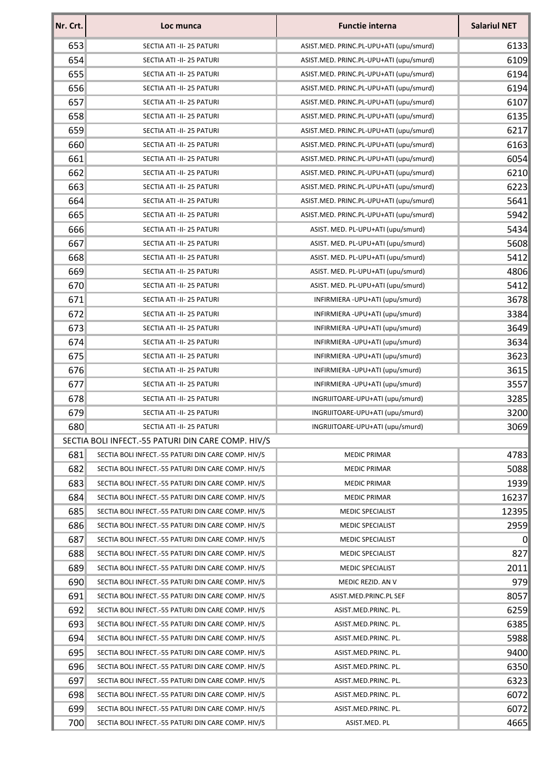| Nr. Crt. | Loc munca                                          | <b>Functie interna</b>                  | <b>Salariul NET</b> |
|----------|----------------------------------------------------|-----------------------------------------|---------------------|
| 653      | SECTIA ATI -II- 25 PATURI                          | ASIST.MED. PRINC.PL-UPU+ATI (upu/smurd) | 6133                |
| 654      | SECTIA ATI -II- 25 PATURI                          | ASIST.MED. PRINC.PL-UPU+ATI (upu/smurd) | 6109                |
| 655      | SECTIA ATI -II- 25 PATURI                          | ASIST.MED. PRINC.PL-UPU+ATI (upu/smurd) | 6194                |
| 656      | SECTIA ATI -II- 25 PATURI                          | ASIST.MED. PRINC.PL-UPU+ATI (upu/smurd) | 6194                |
| 657      | SECTIA ATI -II- 25 PATURI                          | ASIST.MED. PRINC.PL-UPU+ATI (upu/smurd) | 6107                |
| 658      | SECTIA ATI -II- 25 PATURI                          | ASIST.MED. PRINC.PL-UPU+ATI (upu/smurd) | 6135                |
| 659      | SECTIA ATI -II- 25 PATURI                          | ASIST.MED. PRINC.PL-UPU+ATI (upu/smurd) | 6217                |
| 660      | SECTIA ATI -II- 25 PATURI                          | ASIST.MED. PRINC.PL-UPU+ATI (upu/smurd) | 6163                |
| 661      | SECTIA ATI -II- 25 PATURI                          | ASIST.MED. PRINC.PL-UPU+ATI (upu/smurd) | 6054                |
| 662      | SECTIA ATI -II- 25 PATURI                          | ASIST.MED. PRINC.PL-UPU+ATI (upu/smurd) | 6210                |
| 663      | SECTIA ATI -II- 25 PATURI                          | ASIST.MED. PRINC.PL-UPU+ATI (upu/smurd) | 6223                |
| 664      | SECTIA ATI -II- 25 PATURI                          | ASIST.MED. PRINC.PL-UPU+ATI (upu/smurd) | 5641                |
| 665      | SECTIA ATI -II- 25 PATURI                          | ASIST.MED. PRINC.PL-UPU+ATI (upu/smurd) | 5942                |
| 666      | SECTIA ATI -II- 25 PATURI                          | ASIST. MED. PL-UPU+ATI (upu/smurd)      | 5434                |
| 667      | SECTIA ATI -II- 25 PATURI                          | ASIST. MED. PL-UPU+ATI (upu/smurd)      | 5608                |
| 668      | SECTIA ATI -II- 25 PATURI                          | ASIST. MED. PL-UPU+ATI (upu/smurd)      | 5412                |
| 669      | SECTIA ATI -II- 25 PATURI                          | ASIST. MED. PL-UPU+ATI (upu/smurd)      | 4806                |
| 670      | SECTIA ATI -II- 25 PATURI                          | ASIST. MED. PL-UPU+ATI (upu/smurd)      | 5412                |
| 671      | SECTIA ATI -II- 25 PATURI                          | INFIRMIERA - UPU+ATI (upu/smurd)        | 3678                |
| 672      | SECTIA ATI -II- 25 PATURI                          | INFIRMIERA - UPU+ATI (upu/smurd)        | 3384                |
| 673      | SECTIA ATI -II- 25 PATURI                          | INFIRMIERA - UPU+ATI (upu/smurd)        | 3649                |
| 674      | SECTIA ATI -II- 25 PATURI                          | INFIRMIERA - UPU+ATI (upu/smurd)        | 3634                |
| 675      | SECTIA ATI -II- 25 PATURI                          | INFIRMIERA - UPU+ATI (upu/smurd)        | 3623                |
| 676      | SECTIA ATI -II- 25 PATURI                          | INFIRMIERA - UPU+ATI (upu/smurd)        | 3615                |
| 677      | SECTIA ATI -II- 25 PATURI                          | INFIRMIERA - UPU+ATI (upu/smurd)        | 3557                |
| 678      | SECTIA ATI -II- 25 PATURI                          | INGRIJITOARE-UPU+ATI (upu/smurd)        | 3285                |
| 679      | SECTIA ATI -II- 25 PATURI                          | INGRIJITOARE-UPU+ATI (upu/smurd)        | 3200                |
| 680      | SECTIA ATI -II- 25 PATURI                          | INGRIJITOARE-UPU+ATI (upu/smurd)        | 3069                |
|          | SECTIA BOLI INFECT.-55 PATURI DIN CARE COMP. HIV/S |                                         |                     |
| 681      | SECTIA BOLI INFECT.-55 PATURI DIN CARE COMP. HIV/S | <b>MEDIC PRIMAR</b>                     | 4783                |
| 682      | SECTIA BOLI INFECT.-55 PATURI DIN CARE COMP. HIV/S | <b>MEDIC PRIMAR</b>                     | 5088                |
| 683      | SECTIA BOLI INFECT.-55 PATURI DIN CARE COMP. HIV/S | <b>MEDIC PRIMAR</b>                     | 1939                |
| 684      | SECTIA BOLI INFECT.-55 PATURI DIN CARE COMP. HIV/S | <b>MEDIC PRIMAR</b>                     | 16237               |
| 685      | SECTIA BOLI INFECT.-55 PATURI DIN CARE COMP. HIV/S | <b>MEDIC SPECIALIST</b>                 | 12395               |
| 686      | SECTIA BOLI INFECT.-55 PATURI DIN CARE COMP. HIV/S | <b>MEDIC SPECIALIST</b>                 | 2959                |
| 687      | SECTIA BOLI INFECT.-55 PATURI DIN CARE COMP. HIV/S | <b>MEDIC SPECIALIST</b>                 | $\Omega$            |
| 688      | SECTIA BOLI INFECT.-55 PATURI DIN CARE COMP. HIV/S | <b>MEDIC SPECIALIST</b>                 | 827                 |
| 689      | SECTIA BOLI INFECT.-55 PATURI DIN CARE COMP. HIV/S | <b>MEDIC SPECIALIST</b>                 | 2011                |
| 690      | SECTIA BOLI INFECT.-55 PATURI DIN CARE COMP. HIV/S | MEDIC REZID. AN V                       | 979                 |
| 691      | SECTIA BOLI INFECT.-55 PATURI DIN CARE COMP. HIV/S | ASIST.MED.PRINC.PL SEF                  | 8057                |
| 692      | SECTIA BOLI INFECT.-55 PATURI DIN CARE COMP. HIV/S | ASIST.MED.PRINC. PL.                    | 6259                |
| 693      | SECTIA BOLI INFECT.-55 PATURI DIN CARE COMP. HIV/S | ASIST.MED.PRINC. PL.                    | 6385                |
| 694      | SECTIA BOLI INFECT.-55 PATURI DIN CARE COMP. HIV/S | ASIST.MED.PRINC. PL.                    | 5988                |
| 695      | SECTIA BOLI INFECT.-55 PATURI DIN CARE COMP. HIV/S | ASIST.MED.PRINC. PL.                    | 9400                |
| 696      | SECTIA BOLI INFECT.-55 PATURI DIN CARE COMP. HIV/S | ASIST.MED.PRINC. PL.                    | 6350                |
| 697      | SECTIA BOLI INFECT.-55 PATURI DIN CARE COMP. HIV/S | ASIST.MED.PRINC. PL.                    | 6323                |
| 698      | SECTIA BOLI INFECT.-55 PATURI DIN CARE COMP. HIV/S | ASIST.MED.PRINC. PL.                    | 6072                |
| 699      | SECTIA BOLI INFECT.-55 PATURI DIN CARE COMP. HIV/S | ASIST.MED.PRINC. PL.                    | 6072                |
| 700      | SECTIA BOLI INFECT.-55 PATURI DIN CARE COMP. HIV/S | ASIST.MED. PL                           | 4665                |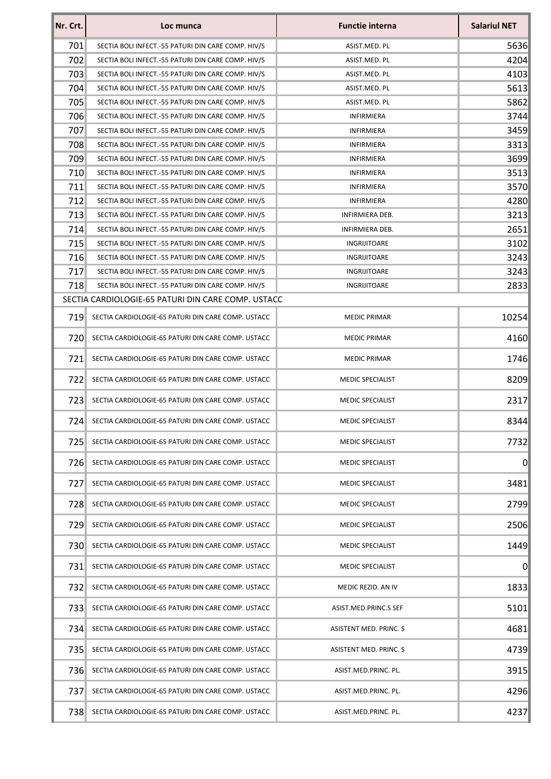| Nr. Crt. | Loc munca                                          | <b>Functie interna</b>  | <b>Salariul NET</b> |
|----------|----------------------------------------------------|-------------------------|---------------------|
| 701      | SECTIA BOLI INFECT.-55 PATURI DIN CARE COMP. HIV/S | ASIST.MED. PL           | 5636                |
| 702      | SECTIA BOLI INFECT.-55 PATURI DIN CARE COMP. HIV/S | ASIST.MED. PL           | 4204                |
| 703      | SECTIA BOLI INFECT.-55 PATURI DIN CARE COMP. HIV/S | ASIST.MED. PL           | 4103                |
| 704      | SECTIA BOLI INFECT.-55 PATURI DIN CARE COMP. HIV/S | ASIST.MED. PL           | 5613                |
| 705      | SECTIA BOLI INFECT.-55 PATURI DIN CARE COMP. HIV/S | ASIST.MED. PL           | 5862                |
| 706      | SECTIA BOLI INFECT.-55 PATURI DIN CARE COMP. HIV/S | <b>INFIRMIERA</b>       | 3744                |
| 707      | SECTIA BOLI INFECT.-55 PATURI DIN CARE COMP. HIV/S | <b>INFIRMIERA</b>       | 3459                |
| 708      | SECTIA BOLI INFECT.-55 PATURI DIN CARE COMP. HIV/S | <b>INFIRMIERA</b>       | 3313                |
| 709      | SECTIA BOLI INFECT.-55 PATURI DIN CARE COMP. HIV/S | <b>INFIRMIERA</b>       | 3699                |
| 710      | SECTIA BOLI INFECT.-55 PATURI DIN CARE COMP. HIV/S | <b>INFIRMIERA</b>       | 3513                |
| 711      | SECTIA BOLI INFECT.-55 PATURI DIN CARE COMP. HIV/S | <b>INFIRMIERA</b>       | 3570                |
| 712      | SECTIA BOLI INFECT.-55 PATURI DIN CARE COMP. HIV/S | <b>INFIRMIERA</b>       | 4280                |
| 713      | SECTIA BOLI INFECT.-55 PATURI DIN CARE COMP. HIV/S | INFIRMIERA DEB.         | 3213                |
| 714      | SECTIA BOLI INFECT.-55 PATURI DIN CARE COMP. HIV/S | <b>INFIRMIERA DEB.</b>  | 2651                |
| 715      | SECTIA BOLI INFECT.-55 PATURI DIN CARE COMP. HIV/S | INGRIJITOARE            | 3102                |
| 716      | SECTIA BOLI INFECT.-55 PATURI DIN CARE COMP. HIV/S | INGRIJITOARE            | 3243                |
| 717      | SECTIA BOLI INFECT.-55 PATURI DIN CARE COMP. HIV/S | INGRIJITOARE            | 3243                |
| 718      | SECTIA BOLI INFECT.-55 PATURI DIN CARE COMP. HIV/S | INGRIJITOARE            | 2833                |
|          | SECTIA CARDIOLOGIE-65 PATURI DIN CARE COMP. USTACC |                         |                     |
| 719      | SECTIA CARDIOLOGIE-65 PATURI DIN CARE COMP. USTACC | <b>MEDIC PRIMAR</b>     | 10254               |
| 720      | SECTIA CARDIOLOGIE-65 PATURI DIN CARE COMP. USTACC | <b>MEDIC PRIMAR</b>     | 4160                |
| 721      | SECTIA CARDIOLOGIE-65 PATURI DIN CARE COMP. USTACC | <b>MEDIC PRIMAR</b>     | 1746                |
| 722      | SECTIA CARDIOLOGIE-65 PATURI DIN CARE COMP. USTACC | <b>MEDIC SPECIALIST</b> | 8209                |
| 723      | SECTIA CARDIOLOGIE-65 PATURI DIN CARE COMP. USTACC | <b>MEDIC SPECIALIST</b> | 2317                |
| 7241     | SECTIA CARDIOLOGIE-65 PATURI DIN CARE COMP. USTACC | <b>MEDIC SPECIALIST</b> | 8344                |
| 725      | SECTIA CARDIOLOGIE-65 PATURI DIN CARE COMP. USTACC | <b>MEDIC SPECIALIST</b> | 7732                |
| 726      | SECTIA CARDIOLOGIE-65 PATURI DIN CARE COMP. USTACC | <b>MEDIC SPECIALIST</b> | $\Omega$            |
| 727      | SECTIA CARDIOLOGIE-65 PATURI DIN CARE COMP. USTACC | <b>MEDIC SPECIALIST</b> | 3481                |
| 728      | SECTIA CARDIOLOGIE-65 PATURI DIN CARE COMP. USTACC | <b>MEDIC SPECIALIST</b> | 2799                |
| 729      | SECTIA CARDIOLOGIE-65 PATURI DIN CARE COMP. USTACC | <b>MEDIC SPECIALIST</b> | 2506                |
| 730      | SECTIA CARDIOLOGIE-65 PATURI DIN CARE COMP. USTACC | <b>MEDIC SPECIALIST</b> | 1449                |
| 731      | SECTIA CARDIOLOGIE-65 PATURI DIN CARE COMP. USTACC | <b>MEDIC SPECIALIST</b> | 0                   |
| 732      | SECTIA CARDIOLOGIE-65 PATURI DIN CARE COMP. USTACC | MEDIC REZID. AN IV      | 1833                |
| 7331     | SECTIA CARDIOLOGIE-65 PATURI DIN CARE COMP. USTACC | ASIST.MED.PRINC.S SEF   | 5101                |
| 734      | SECTIA CARDIOLOGIE-65 PATURI DIN CARE COMP. USTACC | ASISTENT MED. PRINC. S  | 4681                |
| 735      | SECTIA CARDIOLOGIE-65 PATURI DIN CARE COMP. USTACC | ASISTENT MED. PRINC. S  | 4739                |
| 736      | SECTIA CARDIOLOGIE-65 PATURI DIN CARE COMP. USTACC | ASIST.MED.PRINC. PL.    | 3915                |
| 737      | SECTIA CARDIOLOGIE-65 PATURI DIN CARE COMP. USTACC | ASIST.MED.PRINC. PL.    | 4296                |
| 738      | SECTIA CARDIOLOGIE-65 PATURI DIN CARE COMP. USTACC | ASIST.MED.PRINC. PL.    | 4237                |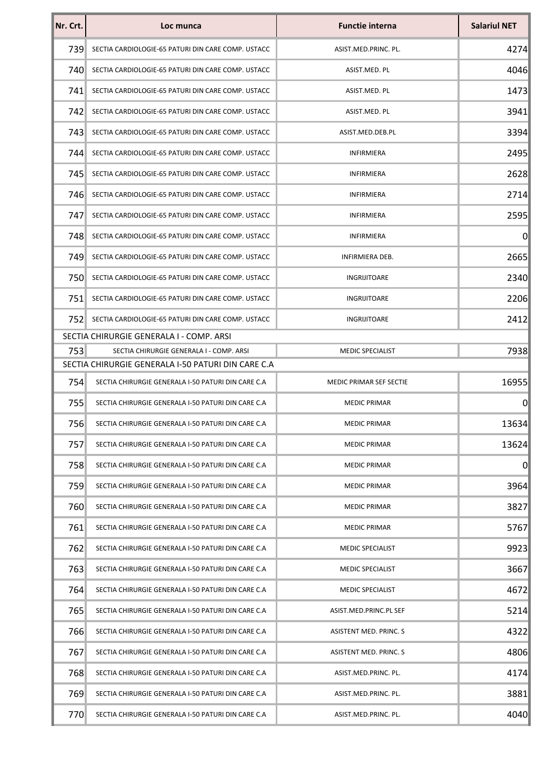| Nr. Crt. | Loc munca                                          | <b>Functie interna</b>  | <b>Salariul NET</b> |
|----------|----------------------------------------------------|-------------------------|---------------------|
| 739      | SECTIA CARDIOLOGIE-65 PATURI DIN CARE COMP. USTACC | ASIST.MED.PRINC. PL.    | 4274                |
| 740      | SECTIA CARDIOLOGIE-65 PATURI DIN CARE COMP. USTACC | ASIST.MED. PL           | 4046                |
| 741      | SECTIA CARDIOLOGIE-65 PATURI DIN CARE COMP. USTACC | ASIST.MED. PL           | 1473                |
| 742      | SECTIA CARDIOLOGIE-65 PATURI DIN CARE COMP. USTACC | ASIST.MED. PL           | 3941                |
| 743      | SECTIA CARDIOLOGIE-65 PATURI DIN CARE COMP. USTACC | ASIST.MED.DEB.PL        | 3394                |
| 7441     | SECTIA CARDIOLOGIE-65 PATURI DIN CARE COMP. USTACC | <b>INFIRMIERA</b>       | 2495                |
| 745      | SECTIA CARDIOLOGIE-65 PATURI DIN CARE COMP. USTACC | <b>INFIRMIERA</b>       | 2628                |
| 746      | SECTIA CARDIOLOGIE-65 PATURI DIN CARE COMP. USTACC | <b>INFIRMIERA</b>       | 2714                |
| 747      | SECTIA CARDIOLOGIE-65 PATURI DIN CARE COMP. USTACC | <b>INFIRMIERA</b>       | 2595                |
| 7481     | SECTIA CARDIOLOGIE-65 PATURI DIN CARE COMP. USTACC | <b>INFIRMIERA</b>       | 0                   |
| 749      | SECTIA CARDIOLOGIE-65 PATURI DIN CARE COMP. USTACC | INFIRMIERA DEB.         | 2665                |
| 750      | SECTIA CARDIOLOGIE-65 PATURI DIN CARE COMP. USTACC | INGRIJITOARE            | 2340                |
| 7511     | SECTIA CARDIOLOGIE-65 PATURI DIN CARE COMP. USTACC | INGRIJITOARE            | 2206                |
| 752      | SECTIA CARDIOLOGIE-65 PATURI DIN CARE COMP. USTACC | INGRIJITOARE            | 2412                |
|          | SECTIA CHIRURGIE GENERALA I - COMP. ARSI           |                         |                     |
| 753      | SECTIA CHIRURGIE GENERALA I - COMP. ARSI           | <b>MEDIC SPECIALIST</b> | 7938                |
|          | SECTIA CHIRURGIE GENERALA I-50 PATURI DIN CARE C.A |                         |                     |
| 754      | SECTIA CHIRURGIE GENERALA I-50 PATURI DIN CARE C.A | MEDIC PRIMAR SEF SECTIE | 16955               |
| 755      | SECTIA CHIRURGIE GENERALA I-50 PATURI DIN CARE C.A | <b>MEDIC PRIMAR</b>     | 0                   |
| 756      | SECTIA CHIRURGIE GENERALA I-50 PATURI DIN CARE C.A | <b>MEDIC PRIMAR</b>     | 13634               |
| 757      | SECTIA CHIRURGIE GENERALA I-50 PATURI DIN CARE C.A | <b>MEDIC PRIMAR</b>     | 13624               |
| 758      | SECTIA CHIRURGIE GENERALA I-50 PATURI DIN CARE C.A | <b>MEDIC PRIMAR</b>     | $\overline{0}$      |
| 759      | SECTIA CHIRURGIE GENERALA I-50 PATURI DIN CARE C.A | <b>MEDIC PRIMAR</b>     | 3964                |
| 760      | SECTIA CHIRURGIE GENERALA I-50 PATURI DIN CARE C.A | <b>MEDIC PRIMAR</b>     | 3827                |
| 761      | SECTIA CHIRURGIE GENERALA I-50 PATURI DIN CARE C.A | <b>MEDIC PRIMAR</b>     | 5767                |
| 762      | SECTIA CHIRURGIE GENERALA I-50 PATURI DIN CARE C.A | <b>MEDIC SPECIALIST</b> | 9923                |
| 763      | SECTIA CHIRURGIE GENERALA I-50 PATURI DIN CARE C.A | MEDIC SPECIALIST        | 3667                |
| 764      | SECTIA CHIRURGIE GENERALA I-50 PATURI DIN CARE C.A | <b>MEDIC SPECIALIST</b> | 4672                |
| 765      | SECTIA CHIRURGIE GENERALA I-50 PATURI DIN CARE C.A | ASIST.MED.PRINC.PL SEF  | 5214                |
| 766      | SECTIA CHIRURGIE GENERALA I-50 PATURI DIN CARE C.A | ASISTENT MED. PRINC. S  | 4322                |
| 767      | SECTIA CHIRURGIE GENERALA I-50 PATURI DIN CARE C.A | ASISTENT MED. PRINC. S  | 4806                |
| 768      | SECTIA CHIRURGIE GENERALA I-50 PATURI DIN CARE C.A | ASIST.MED.PRINC. PL.    | 4174                |
| 769      | SECTIA CHIRURGIE GENERALA I-50 PATURI DIN CARE C.A | ASIST.MED.PRINC. PL.    | 3881                |
| 770      | SECTIA CHIRURGIE GENERALA I-50 PATURI DIN CARE C.A | ASIST.MED.PRINC. PL.    | 4040                |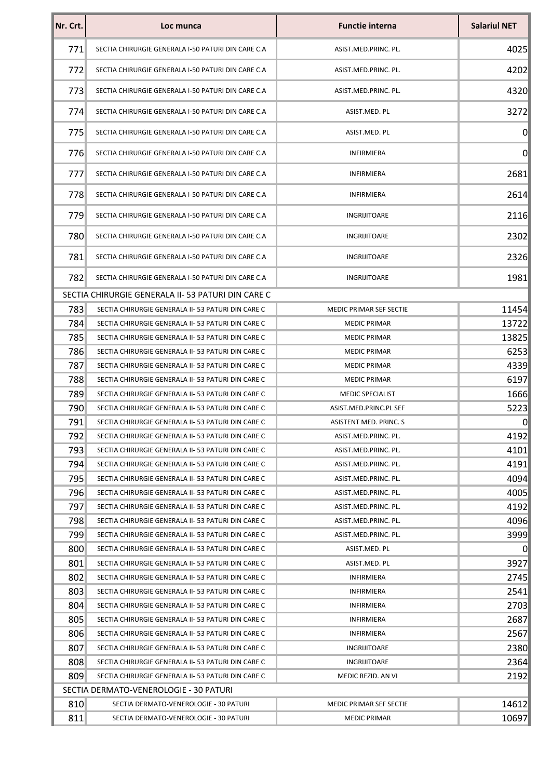| Nr. Crt. | Loc munca                                          | <b>Functie interna</b>        | <b>Salariul NET</b> |
|----------|----------------------------------------------------|-------------------------------|---------------------|
| 771      | SECTIA CHIRURGIE GENERALA I-50 PATURI DIN CARE C.A | ASIST.MED.PRINC. PL.          | 4025                |
| 772      | SECTIA CHIRURGIE GENERALA I-50 PATURI DIN CARE C.A | ASIST.MED.PRINC. PL.          | 4202                |
| 773      | SECTIA CHIRURGIE GENERALA I-50 PATURI DIN CARE C.A | ASIST.MED.PRINC. PL.          | 4320                |
| 774      | SECTIA CHIRURGIE GENERALA I-50 PATURI DIN CARE C.A | ASIST.MED. PL                 | 3272                |
| 775      | SECTIA CHIRURGIE GENERALA I-50 PATURI DIN CARE C.A | ASIST.MED. PL                 | $\Omega$            |
| 776      | SECTIA CHIRURGIE GENERALA I-50 PATURI DIN CARE C.A | <b>INFIRMIERA</b>             | $\overline{0}$      |
| 777      | SECTIA CHIRURGIE GENERALA I-50 PATURI DIN CARE C.A | <b>INFIRMIERA</b>             | 2681                |
| 778      | SECTIA CHIRURGIE GENERALA I-50 PATURI DIN CARE C.A | <b>INFIRMIERA</b>             | 2614                |
| 779      | SECTIA CHIRURGIE GENERALA I-50 PATURI DIN CARE C.A | INGRIJITOARE                  | 2116                |
| 780      | SECTIA CHIRURGIE GENERALA I-50 PATURI DIN CARE C.A | INGRIJITOARE                  | 2302                |
| 781      | SECTIA CHIRURGIE GENERALA I-50 PATURI DIN CARE C.A | INGRIJITOARE                  | 2326                |
| 782      | SECTIA CHIRURGIE GENERALA I-50 PATURI DIN CARE C.A | INGRIJITOARE                  | 1981                |
|          | SECTIA CHIRURGIE GENERALA II- 53 PATURI DIN CARE C |                               |                     |
| 783      | SECTIA CHIRURGIE GENERALA II- 53 PATURI DIN CARE C | MEDIC PRIMAR SEF SECTIE       | 11454               |
| 784      | SECTIA CHIRURGIE GENERALA II- 53 PATURI DIN CARE C | <b>MEDIC PRIMAR</b>           | 13722               |
| 785      | SECTIA CHIRURGIE GENERALA II- 53 PATURI DIN CARE C | <b>MEDIC PRIMAR</b>           | 13825               |
| 786      | SECTIA CHIRURGIE GENERALA II- 53 PATURI DIN CARE C | <b>MEDIC PRIMAR</b>           | 6253                |
| 787      | SECTIA CHIRURGIE GENERALA II- 53 PATURI DIN CARE C | <b>MEDIC PRIMAR</b>           | 4339                |
| 788      | SECTIA CHIRURGIE GENERALA II- 53 PATURI DIN CARE C | <b>MEDIC PRIMAR</b>           | 6197                |
| 789      | SECTIA CHIRURGIE GENERALA II- 53 PATURI DIN CARE C | <b>MEDIC SPECIALIST</b>       | 1666                |
| 790      | SECTIA CHIRURGIE GENERALA II-53 PATURI DIN CARE C  | ASIST.MED.PRINC.PL SEF        | 5223                |
| 791      | SECTIA CHIRURGIE GENERALA II- 53 PATURI DIN CARE C | <b>ASISTENT MED. PRINC. S</b> | 0                   |
| 792      | SECTIA CHIRURGIE GENERALA II- 53 PATURI DIN CARE C | ASIST.MED.PRINC. PL.          | 4192                |
| 793      | SECTIA CHIRURGIE GENERALA II-53 PATURI DIN CARE C  | ASIST.MED.PRINC. PL.          | 4101                |
| 794      | SECTIA CHIRURGIE GENERALA II- 53 PATURI DIN CARE C | ASIST.MED.PRINC. PL.          | 4191                |
| 795      | SECTIA CHIRURGIE GENERALA II-53 PATURI DIN CARE C  | ASIST.MED.PRINC. PL.          | 4094                |
| 7961     | SECTIA CHIRURGIE GENERALA II- 53 PATURI DIN CARE C | ASIST.MED.PRINC. PL.          | 4005                |
| 797      | SECTIA CHIRURGIE GENERALA II- 53 PATURI DIN CARE C | ASIST.MED.PRINC. PL.          | 4192                |
| 798      | SECTIA CHIRURGIE GENERALA II- 53 PATURI DIN CARE C | ASIST.MED.PRINC. PL.          | 4096                |
| 799      | SECTIA CHIRURGIE GENERALA II- 53 PATURI DIN CARE C | ASIST.MED.PRINC. PL.          | 3999                |
| 800      | SECTIA CHIRURGIE GENERALA II- 53 PATURI DIN CARE C | ASIST.MED. PL                 | 0                   |
| 801      | SECTIA CHIRURGIE GENERALA II- 53 PATURI DIN CARE C | ASIST.MED. PL                 | 3927                |
| 802      | SECTIA CHIRURGIE GENERALA II- 53 PATURI DIN CARE C | INFIRMIERA                    | 2745                |
| 803      | SECTIA CHIRURGIE GENERALA II- 53 PATURI DIN CARE C | <b>INFIRMIERA</b>             | 2541                |
| 804      | SECTIA CHIRURGIE GENERALA II- 53 PATURI DIN CARE C | <b>INFIRMIERA</b>             | 2703                |
| 805      | SECTIA CHIRURGIE GENERALA II- 53 PATURI DIN CARE C | <b>INFIRMIERA</b>             | 2687                |
| 806      | SECTIA CHIRURGIE GENERALA II- 53 PATURI DIN CARE C | <b>INFIRMIERA</b>             | 2567                |
| 807      | SECTIA CHIRURGIE GENERALA II-53 PATURI DIN CARE C  | INGRIJITOARE                  | 2380                |
| 808      | SECTIA CHIRURGIE GENERALA II- 53 PATURI DIN CARE C | INGRIJITOARE                  | 2364                |
| 809      | SECTIA CHIRURGIE GENERALA II- 53 PATURI DIN CARE C | MEDIC REZID. AN VI            | 2192                |
|          | SECTIA DERMATO-VENEROLOGIE - 30 PATURI             |                               |                     |
| 810      | SECTIA DERMATO-VENEROLOGIE - 30 PATURI             | MEDIC PRIMAR SEF SECTIE       | 14612               |
| 811      | SECTIA DERMATO-VENEROLOGIE - 30 PATURI             | <b>MEDIC PRIMAR</b>           | 10697               |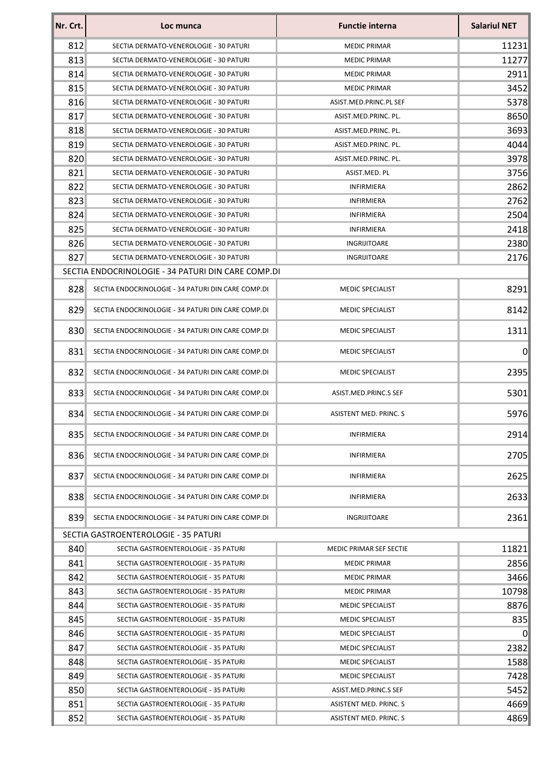| Nr. Crt. | Loc munca                                          | <b>Functie interna</b>  | <b>Salariul NET</b> |
|----------|----------------------------------------------------|-------------------------|---------------------|
| 812      | SECTIA DERMATO-VENEROLOGIE - 30 PATURI             | <b>MEDIC PRIMAR</b>     | 11231               |
| 813      | SECTIA DERMATO-VENEROLOGIE - 30 PATURI             | <b>MEDIC PRIMAR</b>     | 11277               |
| 814      | SECTIA DERMATO-VENEROLOGIE - 30 PATURI             | <b>MEDIC PRIMAR</b>     | 2911                |
| 815      | SECTIA DERMATO-VENEROLOGIE - 30 PATURI             | <b>MEDIC PRIMAR</b>     | 3452                |
| 816      | SECTIA DERMATO-VENEROLOGIE - 30 PATURI             | ASIST.MED.PRINC.PL SEF  | 5378                |
| 817      | SECTIA DERMATO-VENEROLOGIE - 30 PATURI             | ASIST.MED.PRINC. PL.    | 8650                |
| 818      | SECTIA DERMATO-VENEROLOGIE - 30 PATURI             | ASIST.MED.PRINC. PL.    | 3693                |
| 819      | SECTIA DERMATO-VENEROLOGIE - 30 PATURI             | ASIST.MED.PRINC. PL.    | 4044                |
| 820      | SECTIA DERMATO-VENEROLOGIE - 30 PATURI             | ASIST.MED.PRINC. PL.    | 3978                |
| 821      | SECTIA DERMATO-VENEROLOGIE - 30 PATURI             | ASIST.MED. PL           | 3756                |
| 822      | SECTIA DERMATO-VENEROLOGIE - 30 PATURI             | <b>INFIRMIERA</b>       | 2862                |
| 823      | SECTIA DERMATO-VENEROLOGIE - 30 PATURI             | <b>INFIRMIERA</b>       | 2762                |
| 824      | SECTIA DERMATO-VENEROLOGIE - 30 PATURI             | <b>INFIRMIERA</b>       | 2504                |
| 825      | SECTIA DERMATO-VENEROLOGIE - 30 PATURI             | <b>INFIRMIERA</b>       | 2418                |
| 826      | SECTIA DERMATO-VENEROLOGIE - 30 PATURI             | INGRIJITOARE            | 2380                |
| 827      | SECTIA DERMATO-VENEROLOGIE - 30 PATURI             | INGRIJITOARE            | 2176                |
|          | SECTIA ENDOCRINOLOGIE - 34 PATURI DIN CARE COMP.DI |                         |                     |
| 828      | SECTIA ENDOCRINOLOGIE - 34 PATURI DIN CARE COMP.DI | <b>MEDIC SPECIALIST</b> | 8291                |
| 829      | SECTIA ENDOCRINOLOGIE - 34 PATURI DIN CARE COMP.DI | <b>MEDIC SPECIALIST</b> | 8142                |
| 830      | SECTIA ENDOCRINOLOGIE - 34 PATURI DIN CARE COMP.DI | <b>MEDIC SPECIALIST</b> | 1311                |
| 831      | SECTIA ENDOCRINOLOGIE - 34 PATURI DIN CARE COMP.DI | <b>MEDIC SPECIALIST</b> | 0                   |
| 832      | SECTIA ENDOCRINOLOGIE - 34 PATURI DIN CARE COMP.DI | <b>MEDIC SPECIALIST</b> | 2395                |
| 833      | SECTIA ENDOCRINOLOGIE - 34 PATURI DIN CARE COMP.DI | ASIST.MED.PRINC.S SEF   | 5301                |
| 834      | SECTIA ENDOCRINOLOGIE - 34 PATURI DIN CARE COMP.DI | ASISTENT MED. PRINC. S  | 5976                |
| 835      | SECTIA ENDOCRINOLOGIE - 34 PATURI DIN CARE COMP.DI | INFIRMIERA              | 2914                |
| 836      | SECTIA ENDOCRINOLOGIE - 34 PATURI DIN CARE COMP.DI | <b>INFIRMIERA</b>       | 2705                |
| 837      | SECTIA ENDOCRINOLOGIE - 34 PATURI DIN CARE COMP.DI | <b>INFIRMIERA</b>       | 2625                |
| 838      | SECTIA ENDOCRINOLOGIE - 34 PATURI DIN CARE COMP.DI | <b>INFIRMIERA</b>       | 2633                |
| 839      | SECTIA ENDOCRINOLOGIE - 34 PATURI DIN CARE COMP.DI | INGRIJITOARE            | 2361                |
|          | SECTIA GASTROENTEROLOGIE - 35 PATURI               |                         |                     |
| 840      | SECTIA GASTROENTEROLOGIE - 35 PATURI               | MEDIC PRIMAR SEF SECTIE | 11821               |
| 841      | SECTIA GASTROENTEROLOGIE - 35 PATURI               | <b>MEDIC PRIMAR</b>     | 2856                |
| 842      | SECTIA GASTROENTEROLOGIE - 35 PATURI               | <b>MEDIC PRIMAR</b>     | 3466                |
| 843      | SECTIA GASTROENTEROLOGIE - 35 PATURI               | <b>MEDIC PRIMAR</b>     | 10798               |
| 844      | SECTIA GASTROENTEROLOGIE - 35 PATURI               | <b>MEDIC SPECIALIST</b> | 8876                |
| 845      | SECTIA GASTROENTEROLOGIE - 35 PATURI               | <b>MEDIC SPECIALIST</b> | 835                 |
| 846      | SECTIA GASTROENTEROLOGIE - 35 PATURI               | <b>MEDIC SPECIALIST</b> | 0                   |
| 847      | SECTIA GASTROENTEROLOGIE - 35 PATURI               | <b>MEDIC SPECIALIST</b> | 2382                |
| 848      | SECTIA GASTROENTEROLOGIE - 35 PATURI               | <b>MEDIC SPECIALIST</b> | 1588                |
| 849      | SECTIA GASTROENTEROLOGIE - 35 PATURI               | <b>MEDIC SPECIALIST</b> | 7428                |
| 850      | SECTIA GASTROENTEROLOGIE - 35 PATURI               | ASIST.MED.PRINC.S SEF   | 5452                |
| 851      | SECTIA GASTROENTEROLOGIE - 35 PATURI               | ASISTENT MED. PRINC. S  | 4669                |
| 852      | SECTIA GASTROENTEROLOGIE - 35 PATURI               | ASISTENT MED. PRINC. S  | 4869                |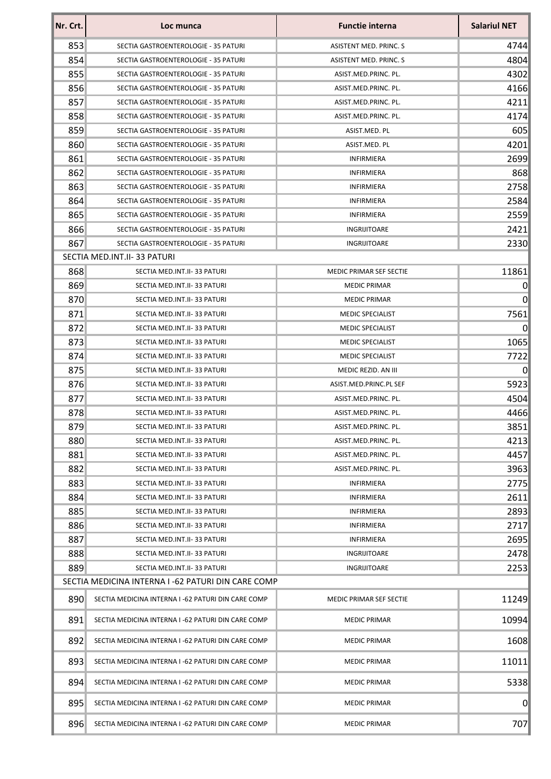| Nr. Crt. | Loc munca                                          | <b>Functie interna</b>  | <b>Salariul NET</b> |
|----------|----------------------------------------------------|-------------------------|---------------------|
| 853      | SECTIA GASTROENTEROLOGIE - 35 PATURI               | ASISTENT MED. PRINC. S  | 4744                |
| 854      | SECTIA GASTROENTEROLOGIE - 35 PATURI               | ASISTENT MED. PRINC. S  | 4804                |
| 855      | SECTIA GASTROENTEROLOGIE - 35 PATURI               | ASIST.MED.PRINC. PL.    | 4302                |
| 856      | SECTIA GASTROENTEROLOGIE - 35 PATURI               | ASIST.MED.PRINC. PL.    | 4166                |
| 857      | SECTIA GASTROENTEROLOGIE - 35 PATURI               | ASIST.MED.PRINC. PL.    | 4211                |
| 858      | SECTIA GASTROENTEROLOGIE - 35 PATURI               | ASIST.MED.PRINC. PL.    | 4174                |
| 859      | SECTIA GASTROENTEROLOGIE - 35 PATURI               | ASIST.MED. PL           | 605                 |
| 860      | SECTIA GASTROENTEROLOGIE - 35 PATURI               | ASIST.MED. PL           | 4201                |
| 861      | SECTIA GASTROENTEROLOGIE - 35 PATURI               | <b>INFIRMIERA</b>       | 2699                |
| 862      | SECTIA GASTROENTEROLOGIE - 35 PATURI               | <b>INFIRMIERA</b>       | 868                 |
| 863      | SECTIA GASTROENTEROLOGIE - 35 PATURI               | <b>INFIRMIERA</b>       | 2758                |
| 864      | SECTIA GASTROENTEROLOGIE - 35 PATURI               | <b>INFIRMIERA</b>       | 2584                |
| 865      | SECTIA GASTROENTEROLOGIE - 35 PATURI               | INFIRMIERA              | 2559                |
| 866      | SECTIA GASTROENTEROLOGIE - 35 PATURI               | INGRIJITOARE            | 2421                |
| 867      | SECTIA GASTROENTEROLOGIE - 35 PATURI               | INGRIJITOARE            | 2330                |
|          | SECTIA MED.INT.II-33 PATURI                        |                         |                     |
| 868      | SECTIA MED.INT.II-33 PATURI                        | MEDIC PRIMAR SEF SECTIE | 11861               |
| 869      | SECTIA MED.INT.II-33 PATURI                        | <b>MEDIC PRIMAR</b>     | $\vert 0 \vert$     |
| 870      | SECTIA MED.INT.II-33 PATURI                        | <b>MEDIC PRIMAR</b>     | 0                   |
| 871      | SECTIA MED.INT.II-33 PATURI                        | <b>MEDIC SPECIALIST</b> | 7561                |
| 872      | SECTIA MED.INT.II-33 PATURI                        | <b>MEDIC SPECIALIST</b> | 0                   |
| 873      | SECTIA MED.INT.II-33 PATURI                        | <b>MEDIC SPECIALIST</b> | 1065                |
| 874      | SECTIA MED.INT.II-33 PATURI                        | <b>MEDIC SPECIALIST</b> | 7722                |
| 875      | SECTIA MED.INT.II-33 PATURI                        | MEDIC REZID. AN III     | $\overline{0}$      |
| 876      | SECTIA MED.INT.II-33 PATURI                        | ASIST.MED.PRINC.PL SEF  | 5923                |
| 877      | SECTIA MED.INT.II-33 PATURI                        | ASIST.MED.PRINC. PL.    | 4504                |
| 878      | SECTIA MED.INT.II-33 PATURI                        | ASIST.MED.PRINC. PL.    | 4466                |
| 879      | SECTIA MED.INT.II-33 PATURI                        | ASIST.MED.PRINC. PL.    | 3851                |
| 880      | SECTIA MED.INT.II-33 PATURI                        | ASIST.MED.PRINC. PL.    | 4213                |
| 881      | SECTIA MED.INT.II-33 PATURI                        | ASIST.MED.PRINC. PL.    | 4457                |
| 882      | SECTIA MED.INT.II-33 PATURI                        | ASIST.MED.PRINC. PL.    | 3963                |
| 883      | SECTIA MED.INT.II-33 PATURI                        | <b>INFIRMIERA</b>       | 2775                |
| 884      | SECTIA MED.INT.II-33 PATURI                        | <b>INFIRMIERA</b>       | 2611                |
| 885      | SECTIA MED.INT.II-33 PATURI                        | <b>INFIRMIERA</b>       | 2893                |
| 886      | SECTIA MED.INT.II-33 PATURI                        | <b>INFIRMIERA</b>       | 2717                |
| 887      | SECTIA MED.INT.II-33 PATURI                        | INFIRMIERA              | 2695                |
| 888      | SECTIA MED.INT.II-33 PATURI                        | INGRIJITOARE            | 2478                |
| 889      | SECTIA MED.INT.II-33 PATURI                        | INGRIJITOARE            | 2253                |
|          | SECTIA MEDICINA INTERNA I -62 PATURI DIN CARE COMP |                         |                     |
| 890      | SECTIA MEDICINA INTERNA I -62 PATURI DIN CARE COMP | MEDIC PRIMAR SEF SECTIE | 11249               |
| 891      | SECTIA MEDICINA INTERNA I -62 PATURI DIN CARE COMP | <b>MEDIC PRIMAR</b>     | 10994               |
| 892      | SECTIA MEDICINA INTERNA I -62 PATURI DIN CARE COMP | <b>MEDIC PRIMAR</b>     | 1608                |
| 893      | SECTIA MEDICINA INTERNA I -62 PATURI DIN CARE COMP | <b>MEDIC PRIMAR</b>     | 11011               |
| 894      | SECTIA MEDICINA INTERNA I -62 PATURI DIN CARE COMP | <b>MEDIC PRIMAR</b>     | 5338                |
| 895      | SECTIA MEDICINA INTERNA I -62 PATURI DIN CARE COMP | <b>MEDIC PRIMAR</b>     | 0                   |
| 896      | SECTIA MEDICINA INTERNA I -62 PATURI DIN CARE COMP | <b>MEDIC PRIMAR</b>     | 707                 |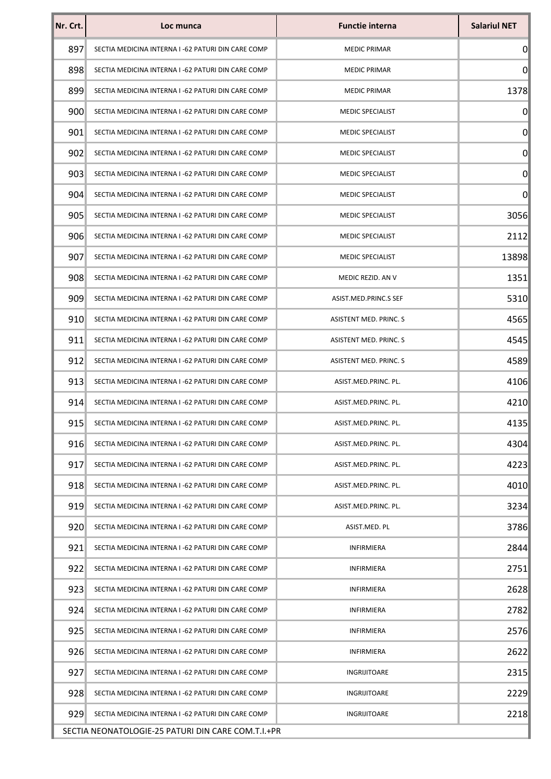| Nr. Crt.                                           | Loc munca                                          | <b>Functie interna</b>  | <b>Salariul NET</b> |  |
|----------------------------------------------------|----------------------------------------------------|-------------------------|---------------------|--|
| 897                                                | SECTIA MEDICINA INTERNA I -62 PATURI DIN CARE COMP | <b>MEDIC PRIMAR</b>     | $\boldsymbol{0}$    |  |
| 898                                                | SECTIA MEDICINA INTERNA I -62 PATURI DIN CARE COMP | <b>MEDIC PRIMAR</b>     | $\overline{0}$      |  |
| 899                                                | SECTIA MEDICINA INTERNA I -62 PATURI DIN CARE COMP | <b>MEDIC PRIMAR</b>     | 1378                |  |
| 900                                                | SECTIA MEDICINA INTERNA I -62 PATURI DIN CARE COMP | <b>MEDIC SPECIALIST</b> | $\boldsymbol{0}$    |  |
| 901                                                | SECTIA MEDICINA INTERNA I -62 PATURI DIN CARE COMP | <b>MEDIC SPECIALIST</b> | $\overline{0}$      |  |
| 902                                                | SECTIA MEDICINA INTERNA I -62 PATURI DIN CARE COMP | <b>MEDIC SPECIALIST</b> | $\boldsymbol{0}$    |  |
| 903                                                | SECTIA MEDICINA INTERNA I -62 PATURI DIN CARE COMP | <b>MEDIC SPECIALIST</b> | $\overline{0}$      |  |
| 904                                                | SECTIA MEDICINA INTERNA I -62 PATURI DIN CARE COMP | <b>MEDIC SPECIALIST</b> | $\overline{0}$      |  |
| 905                                                | SECTIA MEDICINA INTERNA I -62 PATURI DIN CARE COMP | <b>MEDIC SPECIALIST</b> | 3056                |  |
| 906                                                | SECTIA MEDICINA INTERNA I -62 PATURI DIN CARE COMP | <b>MEDIC SPECIALIST</b> | 2112                |  |
| 907                                                | SECTIA MEDICINA INTERNA I -62 PATURI DIN CARE COMP | <b>MEDIC SPECIALIST</b> | 13898               |  |
| 908                                                | SECTIA MEDICINA INTERNA I -62 PATURI DIN CARE COMP | MEDIC REZID. AN V       | 1351                |  |
| 909                                                | SECTIA MEDICINA INTERNA I -62 PATURI DIN CARE COMP | ASIST.MED.PRINC.S SEF   | 5310                |  |
| 910                                                | SECTIA MEDICINA INTERNA I -62 PATURI DIN CARE COMP | ASISTENT MED. PRINC. S  | 4565                |  |
| 911                                                | SECTIA MEDICINA INTERNA I -62 PATURI DIN CARE COMP | ASISTENT MED. PRINC. S  | 4545                |  |
| 912                                                | SECTIA MEDICINA INTERNA I -62 PATURI DIN CARE COMP | ASISTENT MED. PRINC. S  | 4589                |  |
| 913                                                | SECTIA MEDICINA INTERNA I -62 PATURI DIN CARE COMP | ASIST.MED.PRINC. PL.    | 4106                |  |
| 914                                                | SECTIA MEDICINA INTERNA I -62 PATURI DIN CARE COMP | ASIST.MED.PRINC. PL.    | 4210                |  |
| 915                                                | SECTIA MEDICINA INTERNA I -62 PATURI DIN CARE COMP | ASIST.MED.PRINC. PL.    | 4135                |  |
| 916                                                | SECTIA MEDICINA INTERNA I -62 PATURI DIN CARE COMP | ASIST.MED.PRINC. PL.    | 4304                |  |
| 917                                                | SECTIA MEDICINA INTERNA I -62 PATURI DIN CARE COMP | ASIST.MED.PRINC. PL.    | 4223                |  |
| 918                                                | SECTIA MEDICINA INTERNA I -62 PATURI DIN CARE COMP | ASIST.MED.PRINC. PL.    | 4010                |  |
| 919                                                | SECTIA MEDICINA INTERNA I -62 PATURI DIN CARE COMP | ASIST.MED.PRINC. PL.    | 3234                |  |
| 920                                                | SECTIA MEDICINA INTERNA I -62 PATURI DIN CARE COMP | ASIST.MED. PL           | 3786                |  |
| 921                                                | SECTIA MEDICINA INTERNA I -62 PATURI DIN CARE COMP | <b>INFIRMIERA</b>       | 2844                |  |
| 922                                                | SECTIA MEDICINA INTERNA I -62 PATURI DIN CARE COMP | <b>INFIRMIERA</b>       | 2751                |  |
| 923                                                | SECTIA MEDICINA INTERNA I -62 PATURI DIN CARE COMP | <b>INFIRMIERA</b>       | 2628                |  |
| 924                                                | SECTIA MEDICINA INTERNA I -62 PATURI DIN CARE COMP | <b>INFIRMIERA</b>       | 2782                |  |
| 925                                                | SECTIA MEDICINA INTERNA I -62 PATURI DIN CARE COMP | <b>INFIRMIERA</b>       | 2576                |  |
| 926                                                | SECTIA MEDICINA INTERNA I -62 PATURI DIN CARE COMP | <b>INFIRMIERA</b>       | 2622                |  |
| 927                                                | SECTIA MEDICINA INTERNA I -62 PATURI DIN CARE COMP | INGRIJITOARE            | 2315                |  |
| 928                                                | SECTIA MEDICINA INTERNA I -62 PATURI DIN CARE COMP | INGRIJITOARE            | 2229                |  |
| 929                                                | SECTIA MEDICINA INTERNA I -62 PATURI DIN CARE COMP | INGRIJITOARE            | 2218                |  |
| SECTIA NEONATOLOGIE-25 PATURI DIN CARE COM.T.I.+PR |                                                    |                         |                     |  |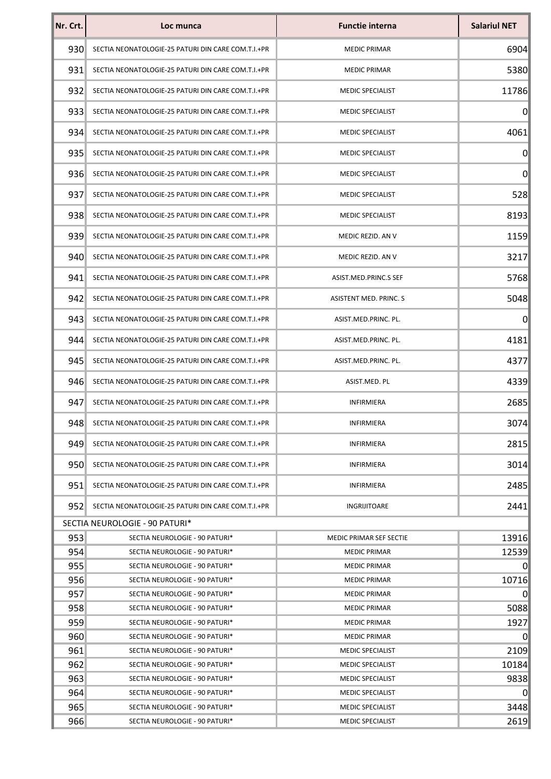| Nr. Crt.         | Loc munca                                                        | <b>Functie interna</b>                     | <b>Salariul NET</b> |
|------------------|------------------------------------------------------------------|--------------------------------------------|---------------------|
| 930 <sup>°</sup> | SECTIA NEONATOLOGIE-25 PATURI DIN CARE COM.T.I.+PR               | <b>MEDIC PRIMAR</b>                        | 6904                |
| 931              | SECTIA NEONATOLOGIE-25 PATURI DIN CARE COM.T.I.+PR               | <b>MEDIC PRIMAR</b>                        | 5380                |
| 932              | SECTIA NEONATOLOGIE-25 PATURI DIN CARE COM.T.I.+PR               | <b>MEDIC SPECIALIST</b>                    | 11786               |
| 933              | SECTIA NEONATOLOGIE-25 PATURI DIN CARE COM.T.I.+PR               | MEDIC SPECIALIST                           | 0                   |
| 934              | SECTIA NEONATOLOGIE-25 PATURI DIN CARE COM.T.I.+PR               | <b>MEDIC SPECIALIST</b>                    | 4061                |
| 935              | SECTIA NEONATOLOGIE-25 PATURI DIN CARE COM.T.I.+PR               | <b>MEDIC SPECIALIST</b>                    | 0                   |
| 936              | SECTIA NEONATOLOGIE-25 PATURI DIN CARE COM.T.I.+PR               | <b>MEDIC SPECIALIST</b>                    | 0                   |
| 937              | SECTIA NEONATOLOGIE-25 PATURI DIN CARE COM.T.I.+PR               | <b>MEDIC SPECIALIST</b>                    | 528                 |
| 938              | SECTIA NEONATOLOGIE-25 PATURI DIN CARE COM.T.I.+PR               | <b>MEDIC SPECIALIST</b>                    | 8193                |
| 939              | SECTIA NEONATOLOGIE-25 PATURI DIN CARE COM.T.I.+PR               | MEDIC REZID. AN V                          | 1159                |
| 940              | SECTIA NEONATOLOGIE-25 PATURI DIN CARE COM.T.I.+PR               | MEDIC REZID. AN V                          | 3217                |
| 941              | SECTIA NEONATOLOGIE-25 PATURI DIN CARE COM.T.I.+PR               | ASIST.MED.PRINC.S SEF                      | 5768                |
| 942              | SECTIA NEONATOLOGIE-25 PATURI DIN CARE COM.T.I.+PR               | ASISTENT MED. PRINC. S                     | 5048                |
| 943              | SECTIA NEONATOLOGIE-25 PATURI DIN CARE COM.T.I.+PR               | ASIST.MED.PRINC. PL.                       | 0                   |
| 944              | SECTIA NEONATOLOGIE-25 PATURI DIN CARE COM.T.I.+PR               | ASIST.MED.PRINC. PL.                       | 4181                |
| 945              | SECTIA NEONATOLOGIE-25 PATURI DIN CARE COM.T.I.+PR               | ASIST.MED.PRINC. PL.                       | 4377                |
| 946              | SECTIA NEONATOLOGIE-25 PATURI DIN CARE COM.T.I.+PR               | ASIST.MED. PL                              | 4339                |
| 947              | SECTIA NEONATOLOGIE-25 PATURI DIN CARE COM.T.I.+PR               | INFIRMIERA                                 | 2685                |
| 948              | SECTIA NEONATOLOGIE-25 PATURI DIN CARE COM.T.I.+PR               | <b>INFIRMIERA</b>                          | 3074                |
| 9491             | SECTIA NEONATOLOGIE-25 PATURI DIN CARE COM.T.I.+PR               | <b>INFIRMIERA</b>                          | 2815                |
| 950 <sub>1</sub> | SECTIA NEONATOLOGIE-25 PATURI DIN CARE COM.T.I.+PR               | <b>INFIRMIERA</b>                          | 3014                |
| 951              | SECTIA NEONATOLOGIE-25 PATURI DIN CARE COM.T.I.+PR               | INFIRMIERA                                 | 2485                |
| 952              | SECTIA NEONATOLOGIE-25 PATURI DIN CARE COM.T.I.+PR               | INGRIJITOARE                               | 2441                |
|                  | SECTIA NEUROLOGIE - 90 PATURI*                                   |                                            |                     |
| 953              | SECTIA NEUROLOGIE - 90 PATURI*                                   | MEDIC PRIMAR SEF SECTIE                    | 13916               |
| 954              | SECTIA NEUROLOGIE - 90 PATURI*                                   | <b>MEDIC PRIMAR</b>                        | 12539               |
| 955              | SECTIA NEUROLOGIE - 90 PATURI*                                   | <b>MEDIC PRIMAR</b>                        | 0                   |
| 956              | SECTIA NEUROLOGIE - 90 PATURI*                                   | <b>MEDIC PRIMAR</b>                        | 10716               |
| 957              | SECTIA NEUROLOGIE - 90 PATURI*                                   | <b>MEDIC PRIMAR</b>                        | 0                   |
| 958              | SECTIA NEUROLOGIE - 90 PATURI*                                   | <b>MEDIC PRIMAR</b>                        | 5088                |
| 959<br>960       | SECTIA NEUROLOGIE - 90 PATURI*<br>SECTIA NEUROLOGIE - 90 PATURI* | <b>MEDIC PRIMAR</b><br><b>MEDIC PRIMAR</b> | 1927<br>0           |
| 961              | SECTIA NEUROLOGIE - 90 PATURI*                                   | MEDIC SPECIALIST                           | 2109                |
| 962              | SECTIA NEUROLOGIE - 90 PATURI*                                   | <b>MEDIC SPECIALIST</b>                    | 10184               |
| 963              | SECTIA NEUROLOGIE - 90 PATURI*                                   | <b>MEDIC SPECIALIST</b>                    | 9838                |
| 964              | SECTIA NEUROLOGIE - 90 PATURI*                                   | <b>MEDIC SPECIALIST</b>                    | $\boldsymbol{0}$    |
| 965              | SECTIA NEUROLOGIE - 90 PATURI*                                   | <b>MEDIC SPECIALIST</b>                    | 3448                |
| 966              | SECTIA NEUROLOGIE - 90 PATURI*                                   | <b>MEDIC SPECIALIST</b>                    | 2619                |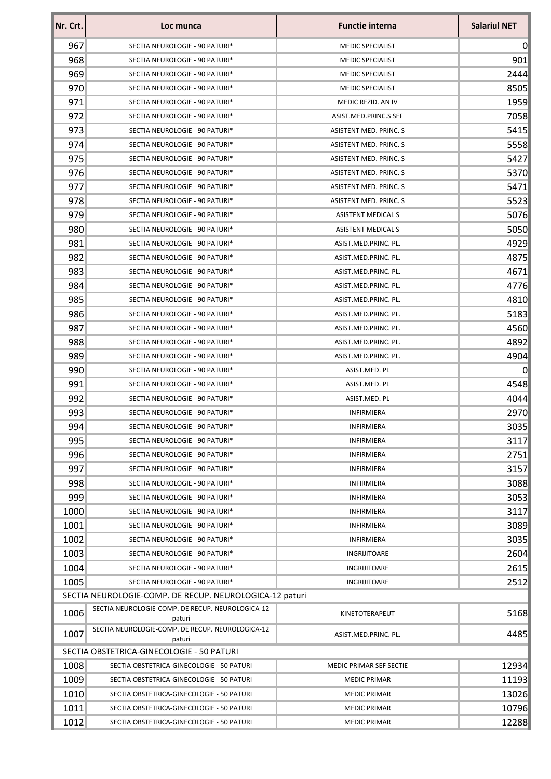| Nr. Crt. | Loc munca                                                  | <b>Functie interna</b>    | <b>Salariul NET</b> |
|----------|------------------------------------------------------------|---------------------------|---------------------|
| 967      | SECTIA NEUROLOGIE - 90 PATURI*                             | <b>MEDIC SPECIALIST</b>   | 0                   |
| 968      | SECTIA NEUROLOGIE - 90 PATURI*                             | <b>MEDIC SPECIALIST</b>   | 901                 |
| 969      | SECTIA NEUROLOGIE - 90 PATURI*                             | <b>MEDIC SPECIALIST</b>   | 2444                |
| 970      | SECTIA NEUROLOGIE - 90 PATURI*                             | <b>MEDIC SPECIALIST</b>   | 8505                |
| 971      | SECTIA NEUROLOGIE - 90 PATURI*                             | MEDIC REZID. AN IV        | 1959                |
| 972      | SECTIA NEUROLOGIE - 90 PATURI*                             | ASIST.MED.PRINC.S SEF     | 7058                |
| 973      | SECTIA NEUROLOGIE - 90 PATURI*                             | ASISTENT MED. PRINC. S    | 5415                |
| 974      | SECTIA NEUROLOGIE - 90 PATURI*                             | ASISTENT MED. PRINC. S    | 5558                |
| 975      | SECTIA NEUROLOGIE - 90 PATURI*                             | ASISTENT MED. PRINC. S    | 5427                |
| 976      | SECTIA NEUROLOGIE - 90 PATURI*                             | ASISTENT MED. PRINC. S    | 5370                |
| 977      | SECTIA NEUROLOGIE - 90 PATURI*                             | ASISTENT MED. PRINC. S    | 5471                |
| 978      | SECTIA NEUROLOGIE - 90 PATURI*                             | ASISTENT MED. PRINC. S    | 5523                |
| 979      | SECTIA NEUROLOGIE - 90 PATURI*                             | <b>ASISTENT MEDICAL S</b> | 5076                |
| 980      | SECTIA NEUROLOGIE - 90 PATURI*                             | <b>ASISTENT MEDICAL S</b> | 5050                |
| 981      | SECTIA NEUROLOGIE - 90 PATURI*                             | ASIST.MED.PRINC. PL.      | 4929                |
| 982      | SECTIA NEUROLOGIE - 90 PATURI*                             | ASIST.MED.PRINC. PL.      | 4875                |
| 983      | SECTIA NEUROLOGIE - 90 PATURI*                             | ASIST.MED.PRINC. PL.      | 4671                |
| 984      | SECTIA NEUROLOGIE - 90 PATURI*                             | ASIST.MED.PRINC. PL.      | 4776                |
| 985      | SECTIA NEUROLOGIE - 90 PATURI*                             | ASIST.MED.PRINC. PL.      | 4810                |
| 986      | SECTIA NEUROLOGIE - 90 PATURI*                             | ASIST.MED.PRINC. PL.      | 5183                |
| 987      | SECTIA NEUROLOGIE - 90 PATURI*                             | ASIST.MED.PRINC. PL.      | 4560                |
| 988      | SECTIA NEUROLOGIE - 90 PATURI*                             | ASIST.MED.PRINC. PL.      | 4892                |
| 989      | SECTIA NEUROLOGIE - 90 PATURI*                             | ASIST.MED.PRINC. PL.      | 4904                |
| 990      | SECTIA NEUROLOGIE - 90 PATURI*                             | ASIST.MED. PL             | $\boldsymbol{0}$    |
| 991      | SECTIA NEUROLOGIE - 90 PATURI*                             | ASIST.MED. PL             | 4548                |
| 992      | SECTIA NEUROLOGIE - 90 PATURI*                             | ASIST.MED. PL             | 4044                |
| 993      | SECTIA NEUROLOGIE - 90 PATURI*                             | INFIRMIERA                | 2970                |
| 994      | SECTIA NEUROLOGIE - 90 PATURI*                             | <b>INFIRMIERA</b>         | 3035                |
| 995      | SECTIA NEUROLOGIE - 90 PATURI*                             | <b>INFIRMIERA</b>         | 3117                |
| 996      | SECTIA NEUROLOGIE - 90 PATURI*                             | <b>INFIRMIERA</b>         | 2751                |
| 997      | SECTIA NEUROLOGIE - 90 PATURI*                             | <b>INFIRMIERA</b>         | 3157                |
| 998      | SECTIA NEUROLOGIE - 90 PATURI*                             | <b>INFIRMIERA</b>         | 3088                |
| 999      | SECTIA NEUROLOGIE - 90 PATURI*                             | <b>INFIRMIERA</b>         | 3053                |
| 1000     | SECTIA NEUROLOGIE - 90 PATURI*                             | <b>INFIRMIERA</b>         | 3117                |
| 1001     | SECTIA NEUROLOGIE - 90 PATURI*                             | <b>INFIRMIERA</b>         | 3089                |
| 1002     | SECTIA NEUROLOGIE - 90 PATURI*                             | <b>INFIRMIERA</b>         | 3035                |
| 1003     | SECTIA NEUROLOGIE - 90 PATURI*                             | INGRIJITOARE              | 2604                |
| 1004     | SECTIA NEUROLOGIE - 90 PATURI*                             | INGRIJITOARE              | 2615                |
| 1005     | SECTIA NEUROLOGIE - 90 PATURI*                             | INGRIJITOARE              | 2512                |
|          | SECTIA NEUROLOGIE-COMP. DE RECUP. NEUROLOGICA-12 paturi    |                           |                     |
| 1006     | SECTIA NEUROLOGIE-COMP. DE RECUP. NEUROLOGICA-12<br>paturi | KINETOTERAPEUT            | 5168                |
| 1007     | SECTIA NEUROLOGIE-COMP. DE RECUP. NEUROLOGICA-12<br>paturi | ASIST.MED.PRINC. PL.      | 4485                |
|          | SECTIA OBSTETRICA-GINECOLOGIE - 50 PATURI                  |                           |                     |
| 1008     | SECTIA OBSTETRICA-GINECOLOGIE - 50 PATURI                  | MEDIC PRIMAR SEF SECTIE   | 12934               |
| 1009     | SECTIA OBSTETRICA-GINECOLOGIE - 50 PATURI                  | <b>MEDIC PRIMAR</b>       | 11193               |
| 1010     | SECTIA OBSTETRICA-GINECOLOGIE - 50 PATURI                  | <b>MEDIC PRIMAR</b>       | 13026               |
| 1011     | SECTIA OBSTETRICA-GINECOLOGIE - 50 PATURI                  | <b>MEDIC PRIMAR</b>       | 10796               |
| 1012     | SECTIA OBSTETRICA-GINECOLOGIE - 50 PATURI                  | <b>MEDIC PRIMAR</b>       | 12288               |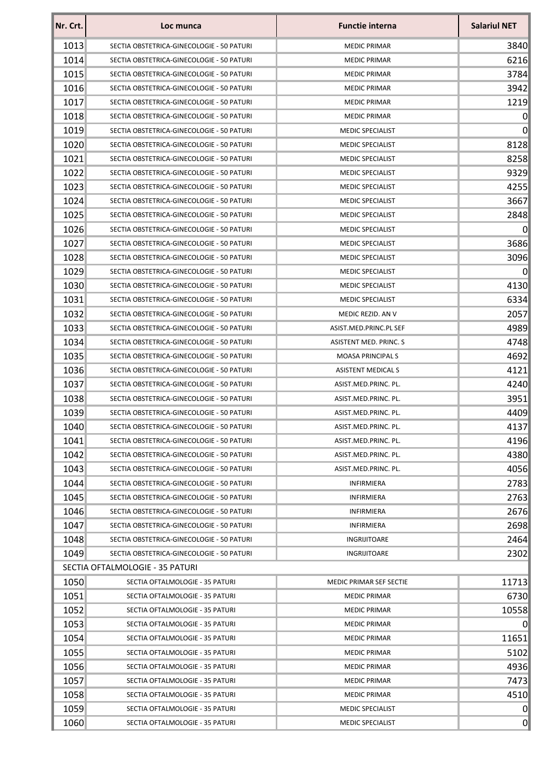| Nr. Crt.     | Loc munca                                                                              | <b>Functie interna</b>          | <b>Salariul NET</b> |
|--------------|----------------------------------------------------------------------------------------|---------------------------------|---------------------|
| 1013         | SECTIA OBSTETRICA-GINECOLOGIE - 50 PATURI                                              | <b>MEDIC PRIMAR</b>             | 3840                |
| 1014         | SECTIA OBSTETRICA-GINECOLOGIE - 50 PATURI                                              | <b>MEDIC PRIMAR</b>             | 6216                |
| 1015         | SECTIA OBSTETRICA-GINECOLOGIE - 50 PATURI                                              | <b>MEDIC PRIMAR</b>             | 3784                |
| 1016         | SECTIA OBSTETRICA-GINECOLOGIE - 50 PATURI                                              | <b>MEDIC PRIMAR</b>             | 3942                |
| 1017         | SECTIA OBSTETRICA-GINECOLOGIE - 50 PATURI                                              | <b>MEDIC PRIMAR</b>             | 1219                |
| 1018         | SECTIA OBSTETRICA-GINECOLOGIE - 50 PATURI                                              | <b>MEDIC PRIMAR</b>             | $\vert 0 \vert$     |
| 1019         | SECTIA OBSTETRICA-GINECOLOGIE - 50 PATURI                                              | <b>MEDIC SPECIALIST</b>         | 0                   |
| 1020         | SECTIA OBSTETRICA-GINECOLOGIE - 50 PATURI                                              | <b>MEDIC SPECIALIST</b>         | 8128                |
| 1021         | SECTIA OBSTETRICA-GINECOLOGIE - 50 PATURI                                              | MEDIC SPECIALIST                | 8258                |
| 1022         | SECTIA OBSTETRICA-GINECOLOGIE - 50 PATURI                                              | <b>MEDIC SPECIALIST</b>         | 9329                |
| 1023         | SECTIA OBSTETRICA-GINECOLOGIE - 50 PATURI                                              | <b>MEDIC SPECIALIST</b>         | 4255                |
| 1024         | SECTIA OBSTETRICA-GINECOLOGIE - 50 PATURI                                              | <b>MEDIC SPECIALIST</b>         | 3667                |
| 1025         | SECTIA OBSTETRICA-GINECOLOGIE - 50 PATURI                                              | MEDIC SPECIALIST                | 2848                |
| 1026         | SECTIA OBSTETRICA-GINECOLOGIE - 50 PATURI                                              | MEDIC SPECIALIST                | 0                   |
| 1027         | SECTIA OBSTETRICA-GINECOLOGIE - 50 PATURI                                              | MEDIC SPECIALIST                | 3686                |
| 1028         | SECTIA OBSTETRICA-GINECOLOGIE - 50 PATURI                                              | <b>MEDIC SPECIALIST</b>         | 3096                |
| 1029         | SECTIA OBSTETRICA-GINECOLOGIE - 50 PATURI                                              | <b>MEDIC SPECIALIST</b>         | $\overline{0}$      |
| 1030         | SECTIA OBSTETRICA-GINECOLOGIE - 50 PATURI                                              | <b>MEDIC SPECIALIST</b>         | 4130                |
| 1031         | SECTIA OBSTETRICA-GINECOLOGIE - 50 PATURI                                              | <b>MEDIC SPECIALIST</b>         | 6334                |
| 1032         | SECTIA OBSTETRICA-GINECOLOGIE - 50 PATURI                                              | MEDIC REZID. AN V               | 2057                |
| 1033         | SECTIA OBSTETRICA-GINECOLOGIE - 50 PATURI                                              | ASIST.MED.PRINC.PL SEF          | 4989                |
| 1034         | SECTIA OBSTETRICA-GINECOLOGIE - 50 PATURI                                              | ASISTENT MED. PRINC. S          | 4748                |
| 1035         | SECTIA OBSTETRICA-GINECOLOGIE - 50 PATURI                                              | <b>MOASA PRINCIPALS</b>         | 4692                |
| 1036         | SECTIA OBSTETRICA-GINECOLOGIE - 50 PATURI                                              | <b>ASISTENT MEDICAL S</b>       | 4121                |
| 1037         | SECTIA OBSTETRICA-GINECOLOGIE - 50 PATURI                                              | ASIST.MED.PRINC. PL.            | 4240                |
| 1038         | SECTIA OBSTETRICA-GINECOLOGIE - 50 PATURI                                              | ASIST.MED.PRINC. PL.            | 3951                |
| 1039         | SECTIA OBSTETRICA-GINECOLOGIE - 50 PATURI                                              | ASIST.MED.PRINC. PL.            | 4409                |
| 1040         | SECTIA OBSTETRICA-GINECOLOGIE - 50 PATURI                                              | ASIST.MED.PRINC. PL.            | 4137                |
| 1041         | SECTIA OBSTETRICA-GINECOLOGIE - 50 PATURI                                              | ASIST.MED.PRINC. PL.            | 4196                |
| 1042         | SECTIA OBSTETRICA-GINECOLOGIE - 50 PATURI                                              | ASIST.MED.PRINC. PL.            | 4380                |
|              | SECTIA OBSTETRICA-GINECOLOGIE - 50 PATURI                                              | ASIST.MED.PRINC. PL.            | 4056                |
| 1043<br>1044 | SECTIA OBSTETRICA-GINECOLOGIE - 50 PATURI                                              |                                 | 2783                |
|              | SECTIA OBSTETRICA-GINECOLOGIE - 50 PATURI                                              | INFIRMIERA<br><b>INFIRMIERA</b> |                     |
| 1045         |                                                                                        | <b>INFIRMIERA</b>               | 2763                |
| 1046         | SECTIA OBSTETRICA-GINECOLOGIE - 50 PATURI<br>SECTIA OBSTETRICA-GINECOLOGIE - 50 PATURI | <b>INFIRMIERA</b>               | 2676                |
| 1047         |                                                                                        |                                 | 2698                |
| 1048         | SECTIA OBSTETRICA-GINECOLOGIE - 50 PATURI                                              | INGRIJITOARE                    | 2464                |
| 1049         | SECTIA OBSTETRICA-GINECOLOGIE - 50 PATURI<br>SECTIA OFTALMOLOGIE - 35 PATURI           | INGRIJITOARE                    | 2302                |
| 1050         | SECTIA OFTALMOLOGIE - 35 PATURI                                                        | MEDIC PRIMAR SEF SECTIE         | 11713               |
|              |                                                                                        |                                 |                     |
| 1051         | SECTIA OFTALMOLOGIE - 35 PATURI                                                        | <b>MEDIC PRIMAR</b>             | 6730                |
| 1052         | SECTIA OFTALMOLOGIE - 35 PATURI                                                        | <b>MEDIC PRIMAR</b>             | 10558               |
| 1053         | SECTIA OFTALMOLOGIE - 35 PATURI                                                        | <b>MEDIC PRIMAR</b>             | $\Omega$            |
| 1054         | SECTIA OFTALMOLOGIE - 35 PATURI                                                        | <b>MEDIC PRIMAR</b>             | 11651               |
| 1055         | SECTIA OFTALMOLOGIE - 35 PATURI                                                        | <b>MEDIC PRIMAR</b>             | 5102                |
| 1056         | SECTIA OFTALMOLOGIE - 35 PATURI                                                        | <b>MEDIC PRIMAR</b>             | 4936                |
| 1057         | SECTIA OFTALMOLOGIE - 35 PATURI                                                        | <b>MEDIC PRIMAR</b>             | 7473                |
| 1058         | SECTIA OFTALMOLOGIE - 35 PATURI                                                        | <b>MEDIC PRIMAR</b>             | 4510                |
| 1059         | SECTIA OFTALMOLOGIE - 35 PATURI                                                        | <b>MEDIC SPECIALIST</b>         | $\overline{0}$      |
| 1060         | SECTIA OFTALMOLOGIE - 35 PATURI                                                        | MEDIC SPECIALIST                | $\Omega$            |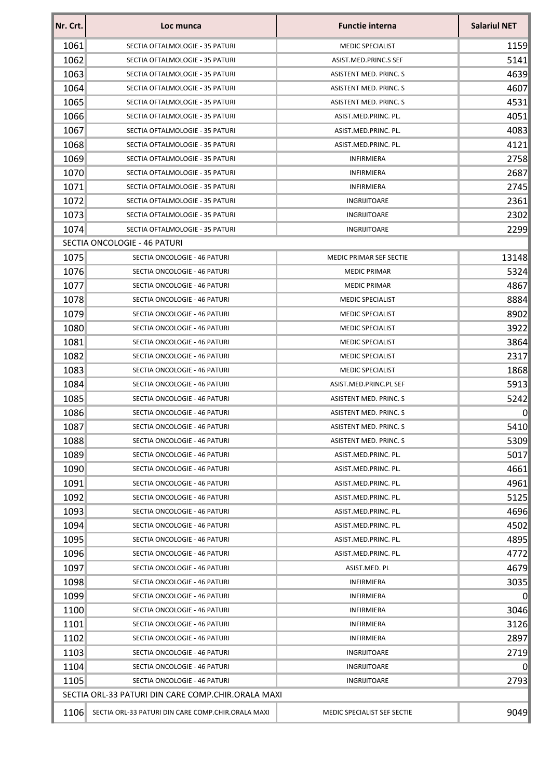| Nr. Crt. | Loc munca                                          | <b>Functie interna</b>         | <b>Salariul NET</b> |
|----------|----------------------------------------------------|--------------------------------|---------------------|
| 1061     | SECTIA OFTALMOLOGIE - 35 PATURI                    | <b>MEDIC SPECIALIST</b>        | 1159                |
| 1062     | SECTIA OFTALMOLOGIE - 35 PATURI                    | ASIST.MED.PRINC.S SEF          | 5141                |
| 1063     | SECTIA OFTALMOLOGIE - 35 PATURI                    | ASISTENT MED. PRINC. S         | 4639                |
| 1064     | SECTIA OFTALMOLOGIE - 35 PATURI                    | ASISTENT MED. PRINC. S         | 4607                |
| 1065     | SECTIA OFTALMOLOGIE - 35 PATURI                    | ASISTENT MED. PRINC. S         | 4531                |
| 1066     | SECTIA OFTALMOLOGIE - 35 PATURI                    | ASIST.MED.PRINC. PL.           | 4051                |
| 1067     | SECTIA OFTALMOLOGIE - 35 PATURI                    | ASIST.MED.PRINC. PL.           | 4083                |
| 1068     | SECTIA OFTALMOLOGIE - 35 PATURI                    | ASIST.MED.PRINC. PL.           | 4121                |
| 1069     | SECTIA OFTALMOLOGIE - 35 PATURI                    | <b>INFIRMIERA</b>              | 2758                |
| 1070     | SECTIA OFTALMOLOGIE - 35 PATURI                    | INFIRMIERA                     | 2687                |
| 1071     | SECTIA OFTALMOLOGIE - 35 PATURI                    | <b>INFIRMIERA</b>              | 2745                |
| 1072     | SECTIA OFTALMOLOGIE - 35 PATURI                    | INGRIJITOARE                   | 2361                |
| 1073     | SECTIA OFTALMOLOGIE - 35 PATURI                    | INGRIJITOARE                   | 2302                |
| 1074     | SECTIA OFTALMOLOGIE - 35 PATURI                    | INGRIJITOARE                   | 2299                |
|          | SECTIA ONCOLOGIE - 46 PATURI                       |                                |                     |
| 1075     | SECTIA ONCOLOGIE - 46 PATURI                       | <b>MEDIC PRIMAR SEF SECTIE</b> | 13148               |
| 1076     | SECTIA ONCOLOGIE - 46 PATURI                       | <b>MEDIC PRIMAR</b>            | 5324                |
| 1077     | SECTIA ONCOLOGIE - 46 PATURI                       | <b>MEDIC PRIMAR</b>            | 4867                |
| 1078     | SECTIA ONCOLOGIE - 46 PATURI                       | <b>MEDIC SPECIALIST</b>        | 8884                |
| 1079     | SECTIA ONCOLOGIE - 46 PATURI                       | <b>MEDIC SPECIALIST</b>        | 8902                |
| 1080     | SECTIA ONCOLOGIE - 46 PATURI                       | <b>MEDIC SPECIALIST</b>        | 3922                |
| 1081     | SECTIA ONCOLOGIE - 46 PATURI                       | <b>MEDIC SPECIALIST</b>        | 3864                |
| 1082     | SECTIA ONCOLOGIE - 46 PATURI                       | <b>MEDIC SPECIALIST</b>        | 2317                |
| 1083     | SECTIA ONCOLOGIE - 46 PATURI                       | <b>MEDIC SPECIALIST</b>        | 1868                |
| 1084     | SECTIA ONCOLOGIE - 46 PATURI                       | ASIST.MED.PRINC.PL SEF         | 5913                |
| 1085     | SECTIA ONCOLOGIE - 46 PATURI                       | ASISTENT MED. PRINC. S         | 5242                |
| 1086     | SECTIA ONCOLOGIE - 46 PATURI                       | ASISTENT MED. PRINC. S         | $\Omega$            |
| 1087     | SECTIA ONCOLOGIE - 46 PATURI                       | ASISTENT MED. PRINC. S         | 5410                |
| 1088     | SECTIA ONCOLOGIE - 46 PATURI                       | ASISTENT MED. PRINC. S         | 5309                |
| 1089     | SECTIA ONCOLOGIE - 46 PATURI                       | ASIST.MED.PRINC. PL.           | 5017                |
| 1090     | SECTIA ONCOLOGIE - 46 PATURI                       | ASIST.MED.PRINC. PL.           | 4661                |
| 1091     | SECTIA ONCOLOGIE - 46 PATURI                       | ASIST.MED.PRINC. PL.           | 4961                |
| 1092     | SECTIA ONCOLOGIE - 46 PATURI                       | ASIST.MED.PRINC. PL.           | 5125                |
| 1093     | SECTIA ONCOLOGIE - 46 PATURI                       | ASIST.MED.PRINC. PL.           | 4696                |
| 1094     | SECTIA ONCOLOGIE - 46 PATURI                       | ASIST.MED.PRINC. PL.           | 4502                |
| 1095     | SECTIA ONCOLOGIE - 46 PATURI                       | ASIST.MED.PRINC. PL.           | 4895                |
| 1096     | SECTIA ONCOLOGIE - 46 PATURI                       | ASIST.MED.PRINC. PL.           | 4772                |
| 1097     | SECTIA ONCOLOGIE - 46 PATURI                       | ASIST.MED. PL                  | 4679                |
| 1098     | SECTIA ONCOLOGIE - 46 PATURI                       | INFIRMIERA                     | 3035                |
| 1099     | SECTIA ONCOLOGIE - 46 PATURI                       | <b>INFIRMIERA</b>              | $\Omega$            |
| 1100     | SECTIA ONCOLOGIE - 46 PATURI                       | INFIRMIERA                     | 3046                |
| 1101     | SECTIA ONCOLOGIE - 46 PATURI                       | <b>INFIRMIERA</b>              | 3126                |
| 1102     | SECTIA ONCOLOGIE - 46 PATURI                       | <b>INFIRMIERA</b>              | 2897                |
| 1103     | SECTIA ONCOLOGIE - 46 PATURI                       | INGRIJITOARE                   | 2719                |
| 1104     | SECTIA ONCOLOGIE - 46 PATURI                       | INGRIJITOARE                   | $\Omega$            |
| 1105     | SECTIA ONCOLOGIE - 46 PATURI                       | INGRIJITOARE                   | 2793                |
|          | SECTIA ORL-33 PATURI DIN CARE COMP.CHIR.ORALA MAXI |                                |                     |
|          |                                                    |                                |                     |
| 1106     | SECTIA ORL-33 PATURI DIN CARE COMP.CHIR.ORALA MAXI | MEDIC SPECIALIST SEF SECTIE    | 9049                |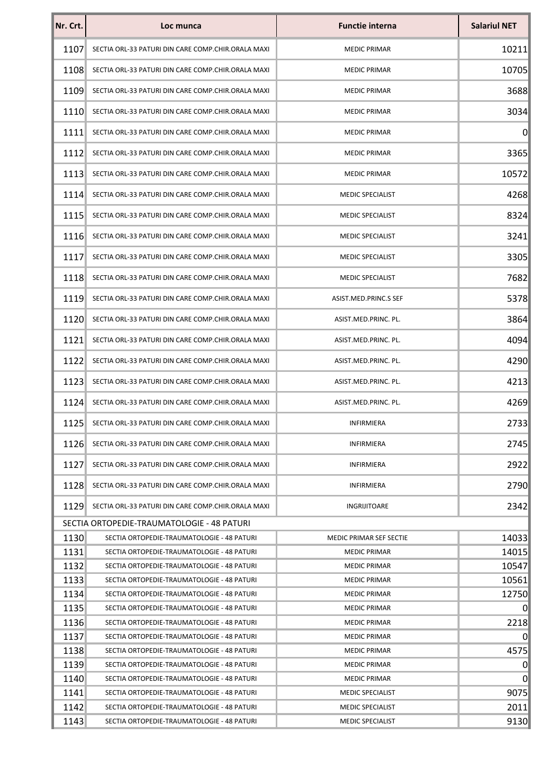| Nr. Crt. | Loc munca                                          | <b>Functie interna</b>  | <b>Salariul NET</b> |
|----------|----------------------------------------------------|-------------------------|---------------------|
| 1107     | SECTIA ORL-33 PATURI DIN CARE COMP.CHIR.ORALA MAXI | <b>MEDIC PRIMAR</b>     | 10211               |
| 1108     | SECTIA ORL-33 PATURI DIN CARE COMP.CHIR.ORALA MAXI | <b>MEDIC PRIMAR</b>     | 10705               |
| 1109     | SECTIA ORL-33 PATURI DIN CARE COMP.CHIR.ORALA MAXI | <b>MEDIC PRIMAR</b>     | 3688                |
| 1110     | SECTIA ORL-33 PATURI DIN CARE COMP.CHIR.ORALA MAXI | <b>MEDIC PRIMAR</b>     | 3034                |
| 1111     | SECTIA ORL-33 PATURI DIN CARE COMP.CHIR.ORALA MAXI | <b>MEDIC PRIMAR</b>     | $\mathbf 0$         |
| 1112     | SECTIA ORL-33 PATURI DIN CARE COMP.CHIR.ORALA MAXI | <b>MEDIC PRIMAR</b>     | 3365                |
| 1113     | SECTIA ORL-33 PATURI DIN CARE COMP.CHIR.ORALA MAXI | <b>MEDIC PRIMAR</b>     | 10572               |
| 1114     | SECTIA ORL-33 PATURI DIN CARE COMP.CHIR.ORALA MAXI | MEDIC SPECIALIST        | 4268                |
| 1115     | SECTIA ORL-33 PATURI DIN CARE COMP.CHIR.ORALA MAXI | <b>MEDIC SPECIALIST</b> | 8324                |
| 1116     | SECTIA ORL-33 PATURI DIN CARE COMP.CHIR.ORALA MAXI | <b>MEDIC SPECIALIST</b> | 3241                |
| 1117     | SECTIA ORL-33 PATURI DIN CARE COMP.CHIR.ORALA MAXI | MEDIC SPECIALIST        | 3305                |
| 1118     | SECTIA ORL-33 PATURI DIN CARE COMP.CHIR.ORALA MAXI | MEDIC SPECIALIST        | 7682                |
| 1119     | SECTIA ORL-33 PATURI DIN CARE COMP.CHIR.ORALA MAXI | ASIST.MED.PRINC.S SEF   | 5378                |
| 1120     | SECTIA ORL-33 PATURI DIN CARE COMP.CHIR.ORALA MAXI | ASIST.MED.PRINC. PL.    | 3864                |
| 1121     | SECTIA ORL-33 PATURI DIN CARE COMP.CHIR.ORALA MAXI | ASIST.MED.PRINC. PL.    | 4094                |
| 1122     | SECTIA ORL-33 PATURI DIN CARE COMP.CHIR.ORALA MAXI | ASIST.MED.PRINC. PL.    | 4290                |
| 1123     | SECTIA ORL-33 PATURI DIN CARE COMP.CHIR.ORALA MAXI | ASIST.MED.PRINC. PL.    | 4213                |
| 1124     | SECTIA ORL-33 PATURI DIN CARE COMP.CHIR.ORALA MAXI | ASIST.MED.PRINC. PL.    | 4269                |
| 1125     | SECTIA ORL-33 PATURI DIN CARE COMP.CHIR.ORALA MAXI | <b>INFIRMIERA</b>       | 2733                |
| 1126     | SECTIA ORL-33 PATURI DIN CARE COMP.CHIR.ORALA MAXI | INFIRMIERA              | 2745                |
| 1127     | SECTIA ORL-33 PATURI DIN CARE COMP.CHIR.ORALA MAXI | <b>INFIRMIERA</b>       | 2922                |
| 11281    | SECTIA ORL-33 PATURI DIN CARE COMP.CHIR.ORALA MAXI | INFIRMIERA              | 2790                |
| 11291    | SECTIA ORL-33 PATURI DIN CARE COMP.CHIR.ORALA MAXI | INGRIJITOARE            | 2342                |
|          | SECTIA ORTOPEDIE-TRAUMATOLOGIE - 48 PATURI         |                         |                     |
| 1130     | SECTIA ORTOPEDIE-TRAUMATOLOGIE - 48 PATURI         | MEDIC PRIMAR SEF SECTIE | 14033               |
| 1131     | SECTIA ORTOPEDIE-TRAUMATOLOGIE - 48 PATURI         | <b>MEDIC PRIMAR</b>     | 14015               |
| 1132     | SECTIA ORTOPEDIE-TRAUMATOLOGIE - 48 PATURI         | <b>MEDIC PRIMAR</b>     | 10547               |
| 1133     | SECTIA ORTOPEDIE-TRAUMATOLOGIE - 48 PATURI         | <b>MEDIC PRIMAR</b>     | 10561               |
| 1134     | SECTIA ORTOPEDIE-TRAUMATOLOGIE - 48 PATURI         | <b>MEDIC PRIMAR</b>     | 12750               |
| 1135     | SECTIA ORTOPEDIE-TRAUMATOLOGIE - 48 PATURI         | <b>MEDIC PRIMAR</b>     | $\mathbf 0$         |
| 1136     | SECTIA ORTOPEDIE-TRAUMATOLOGIE - 48 PATURI         | <b>MEDIC PRIMAR</b>     | 2218                |
| 1137     | SECTIA ORTOPEDIE-TRAUMATOLOGIE - 48 PATURI         | <b>MEDIC PRIMAR</b>     | 0                   |
| 1138     | SECTIA ORTOPEDIE-TRAUMATOLOGIE - 48 PATURI         | <b>MEDIC PRIMAR</b>     | 4575                |
| 1139     | SECTIA ORTOPEDIE-TRAUMATOLOGIE - 48 PATURI         | <b>MEDIC PRIMAR</b>     | $\boldsymbol{0}$    |
| 1140     | SECTIA ORTOPEDIE-TRAUMATOLOGIE - 48 PATURI         | <b>MEDIC PRIMAR</b>     | 0                   |
| 1141     | SECTIA ORTOPEDIE-TRAUMATOLOGIE - 48 PATURI         | MEDIC SPECIALIST        | 9075                |
| 1142     | SECTIA ORTOPEDIE-TRAUMATOLOGIE - 48 PATURI         | <b>MEDIC SPECIALIST</b> | 2011                |
| 1143     | SECTIA ORTOPEDIE-TRAUMATOLOGIE - 48 PATURI         | <b>MEDIC SPECIALIST</b> | 9130                |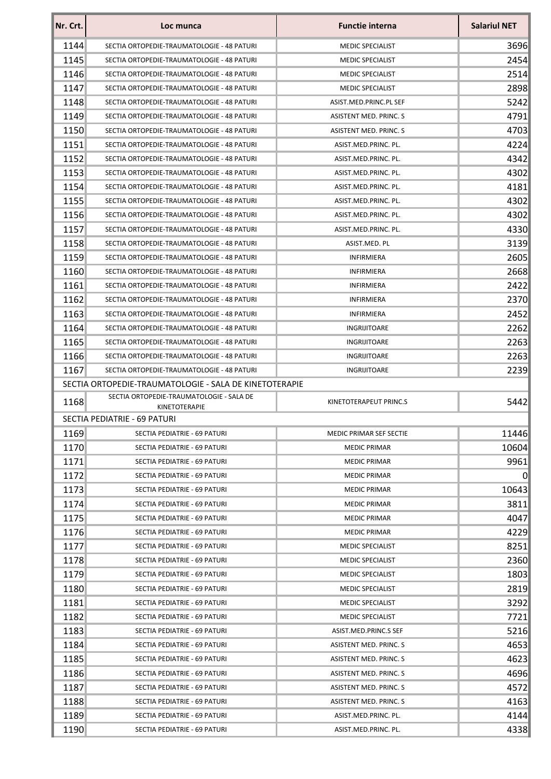| Nr. Crt. | Loc munca                                                 | <b>Functie interna</b>        | <b>Salariul NET</b> |
|----------|-----------------------------------------------------------|-------------------------------|---------------------|
| 1144     | SECTIA ORTOPEDIE-TRAUMATOLOGIE - 48 PATURI                | <b>MEDIC SPECIALIST</b>       | 3696                |
| 1145     | SECTIA ORTOPEDIE-TRAUMATOLOGIE - 48 PATURI                | <b>MEDIC SPECIALIST</b>       | 2454                |
| 1146     | SECTIA ORTOPEDIE-TRAUMATOLOGIE - 48 PATURI                | <b>MEDIC SPECIALIST</b>       | 2514                |
| 1147     | SECTIA ORTOPEDIE-TRAUMATOLOGIE - 48 PATURI                | <b>MEDIC SPECIALIST</b>       | 2898                |
| 1148     | SECTIA ORTOPEDIE-TRAUMATOLOGIE - 48 PATURI                | ASIST.MED.PRINC.PL SEF        | 5242                |
| 1149     | SECTIA ORTOPEDIE-TRAUMATOLOGIE - 48 PATURI                | ASISTENT MED. PRINC. S        | 4791                |
| 1150     | SECTIA ORTOPEDIE-TRAUMATOLOGIE - 48 PATURI                | <b>ASISTENT MED. PRINC. S</b> | 4703                |
| 1151     | SECTIA ORTOPEDIE-TRAUMATOLOGIE - 48 PATURI                | ASIST.MED.PRINC. PL.          | 4224                |
| 1152     | SECTIA ORTOPEDIE-TRAUMATOLOGIE - 48 PATURI                | ASIST.MED.PRINC. PL.          | 4342                |
| 1153     | SECTIA ORTOPEDIE-TRAUMATOLOGIE - 48 PATURI                | ASIST.MED.PRINC. PL.          | 4302                |
| 1154     | SECTIA ORTOPEDIE-TRAUMATOLOGIE - 48 PATURI                | ASIST.MED.PRINC. PL.          | 4181                |
| 1155     | SECTIA ORTOPEDIE-TRAUMATOLOGIE - 48 PATURI                | ASIST.MED.PRINC. PL.          | 4302                |
| 1156     | SECTIA ORTOPEDIE-TRAUMATOLOGIE - 48 PATURI                | ASIST.MED.PRINC. PL.          | 4302                |
| 1157     | SECTIA ORTOPEDIE-TRAUMATOLOGIE - 48 PATURI                | ASIST.MED.PRINC. PL.          | 4330                |
| 1158     | SECTIA ORTOPEDIE-TRAUMATOLOGIE - 48 PATURI                | ASIST.MED. PL                 | 3139                |
| 1159     | SECTIA ORTOPEDIE-TRAUMATOLOGIE - 48 PATURI                | <b>INFIRMIERA</b>             | 2605                |
| 1160     | SECTIA ORTOPEDIE-TRAUMATOLOGIE - 48 PATURI                | <b>INFIRMIERA</b>             | 2668                |
| 1161     | SECTIA ORTOPEDIE-TRAUMATOLOGIE - 48 PATURI                | <b>INFIRMIERA</b>             | 2422                |
| 1162     | SECTIA ORTOPEDIE-TRAUMATOLOGIE - 48 PATURI                | <b>INFIRMIERA</b>             | 2370                |
| 1163     | SECTIA ORTOPEDIE-TRAUMATOLOGIE - 48 PATURI                | <b>INFIRMIERA</b>             | 2452                |
| 1164     | SECTIA ORTOPEDIE-TRAUMATOLOGIE - 48 PATURI                | INGRIJITOARE                  | 2262                |
| 1165     | SECTIA ORTOPEDIE-TRAUMATOLOGIE - 48 PATURI                | INGRIJITOARE                  | 2263                |
| 1166     | SECTIA ORTOPEDIE-TRAUMATOLOGIE - 48 PATURI                | INGRIJITOARE                  | 2263                |
| 1167     | SECTIA ORTOPEDIE-TRAUMATOLOGIE - 48 PATURI                | INGRIJITOARE                  | 2239                |
|          | SECTIA ORTOPEDIE-TRAUMATOLOGIE - SALA DE KINETOTERAPIE    |                               |                     |
| 1168     | SECTIA ORTOPEDIE-TRAUMATOLOGIE - SALA DE<br>KINETOTERAPIE | KINETOTERAPEUT PRINC.S        | 5442                |
|          | SECTIA PEDIATRIE - 69 PATURI                              |                               |                     |
| 1169     | SECTIA PEDIATRIE - 69 PATURI                              | MEDIC PRIMAR SEF SECTIE       | 11446               |
| 1170     | SECTIA PEDIATRIE - 69 PATURI                              | <b>MEDIC PRIMAR</b>           | 10604               |
| 1171     | SECTIA PEDIATRIE - 69 PATURI                              | <b>MEDIC PRIMAR</b>           | 9961                |
| 1172     | SECTIA PEDIATRIE - 69 PATURI                              | <b>MEDIC PRIMAR</b>           | $\Omega$            |
| 1173     | SECTIA PEDIATRIE - 69 PATURI                              | <b>MEDIC PRIMAR</b>           | 10643               |
| 1174     | SECTIA PEDIATRIE - 69 PATURI                              | <b>MEDIC PRIMAR</b>           | 3811                |
| 1175     | SECTIA PEDIATRIE - 69 PATURI                              | <b>MEDIC PRIMAR</b>           | 4047                |
| 1176     | SECTIA PEDIATRIE - 69 PATURI                              | <b>MEDIC PRIMAR</b>           | 4229                |
| 1177     | SECTIA PEDIATRIE - 69 PATURI                              | <b>MEDIC SPECIALIST</b>       | 8251                |
| 1178     | SECTIA PEDIATRIE - 69 PATURI                              | <b>MEDIC SPECIALIST</b>       | 2360                |
| 1179     | SECTIA PEDIATRIE - 69 PATURI                              | <b>MEDIC SPECIALIST</b>       | 1803                |
| 1180     | SECTIA PEDIATRIE - 69 PATURI                              | <b>MEDIC SPECIALIST</b>       | 2819                |
| 1181     | SECTIA PEDIATRIE - 69 PATURI                              | <b>MEDIC SPECIALIST</b>       | 3292                |
| 1182     | SECTIA PEDIATRIE - 69 PATURI                              | <b>MEDIC SPECIALIST</b>       | 7721                |
| 1183     | SECTIA PEDIATRIE - 69 PATURI                              | ASIST.MED.PRINC.S SEF         | 5216                |
| 1184     | SECTIA PEDIATRIE - 69 PATURI                              | ASISTENT MED. PRINC. S        | 4653                |
| 1185     | SECTIA PEDIATRIE - 69 PATURI                              | ASISTENT MED. PRINC. S        | 4623                |
| 1186     | SECTIA PEDIATRIE - 69 PATURI                              | ASISTENT MED. PRINC. S        | 4696                |
| 1187     | SECTIA PEDIATRIE - 69 PATURI                              | ASISTENT MED. PRINC. S        | 4572                |
| 1188     | SECTIA PEDIATRIE - 69 PATURI                              | ASISTENT MED. PRINC. S        | 4163                |
| 1189     | SECTIA PEDIATRIE - 69 PATURI                              | ASIST.MED.PRINC. PL.          | 4144                |
| 1190     | SECTIA PEDIATRIE - 69 PATURI                              | ASIST.MED.PRINC. PL.          | 4338                |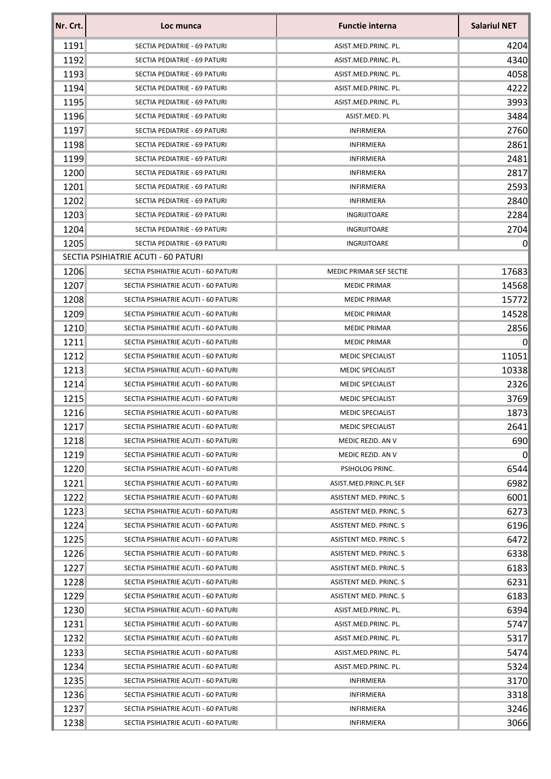| Nr. Crt. | Loc munca                           | <b>Functie interna</b>  | <b>Salariul NET</b> |
|----------|-------------------------------------|-------------------------|---------------------|
| 1191     | SECTIA PEDIATRIE - 69 PATURI        | ASIST.MED.PRINC. PL.    | 4204                |
| 1192     | SECTIA PEDIATRIE - 69 PATURI        | ASIST.MED.PRINC. PL.    | 4340                |
| 1193     | SECTIA PEDIATRIE - 69 PATURI        | ASIST.MED.PRINC. PL.    | 4058                |
| 1194     | SECTIA PEDIATRIE - 69 PATURI        | ASIST.MED.PRINC. PL.    | 4222                |
| 1195     | SECTIA PEDIATRIE - 69 PATURI        | ASIST.MED.PRINC. PL.    | 3993                |
| 1196     | SECTIA PEDIATRIE - 69 PATURI        | ASIST.MED. PL           | 3484                |
| 1197     | SECTIA PEDIATRIE - 69 PATURI        | <b>INFIRMIERA</b>       | 2760                |
| 1198     | SECTIA PEDIATRIE - 69 PATURI        | <b>INFIRMIERA</b>       | 2861                |
| 1199     | SECTIA PEDIATRIE - 69 PATURI        | <b>INFIRMIERA</b>       | 2481                |
| 1200     | SECTIA PEDIATRIE - 69 PATURI        | <b>INFIRMIERA</b>       | 2817                |
| 1201     | SECTIA PEDIATRIE - 69 PATURI        | <b>INFIRMIERA</b>       | 2593                |
| 1202     | SECTIA PEDIATRIE - 69 PATURI        | <b>INFIRMIERA</b>       | 2840                |
| 1203     | SECTIA PEDIATRIE - 69 PATURI        | INGRIJITOARE            | 2284                |
| 1204     | SECTIA PEDIATRIE - 69 PATURI        | INGRIJITOARE            | 2704                |
| 1205     | SECTIA PEDIATRIE - 69 PATURI        | INGRIJITOARE            | $\Omega$            |
|          | SECTIA PSIHIATRIE ACUTI - 60 PATURI |                         |                     |
| 1206     | SECTIA PSIHIATRIE ACUTI - 60 PATURI | MEDIC PRIMAR SEF SECTIE | 17683               |
| 1207     | SECTIA PSIHIATRIE ACUTI - 60 PATURI | <b>MEDIC PRIMAR</b>     | 14568               |
| 1208     | SECTIA PSIHIATRIE ACUTI - 60 PATURI | <b>MEDIC PRIMAR</b>     | 15772               |
| 1209     | SECTIA PSIHIATRIE ACUTI - 60 PATURI | <b>MEDIC PRIMAR</b>     | 14528               |
| 1210     | SECTIA PSIHIATRIE ACUTI - 60 PATURI | <b>MEDIC PRIMAR</b>     | 2856                |
| 1211     | SECTIA PSIHIATRIE ACUTI - 60 PATURI | <b>MEDIC PRIMAR</b>     | $\Omega$            |
| 1212     | SECTIA PSIHIATRIE ACUTI - 60 PATURI | <b>MEDIC SPECIALIST</b> | 11051               |
| 1213     | SECTIA PSIHIATRIE ACUTI - 60 PATURI | <b>MEDIC SPECIALIST</b> | 10338               |
| 1214     | SECTIA PSIHIATRIE ACUTI - 60 PATURI | <b>MEDIC SPECIALIST</b> | 2326                |
| 1215     | SECTIA PSIHIATRIE ACUTI - 60 PATURI | <b>MEDIC SPECIALIST</b> | 3769                |
| 1216     | SECTIA PSIHIATRIE ACUTI - 60 PATURI | <b>MEDIC SPECIALIST</b> | 1873                |
| 1217     | SECTIA PSIHIATRIE ACUTI - 60 PATURI | <b>MEDIC SPECIALIST</b> | 2641                |
| 1218     | SECTIA PSIHIATRIE ACUTI - 60 PATURI | MEDIC REZID. AN V       | 690                 |
| 1219     | SECTIA PSIHIATRIE ACUTI - 60 PATURI | MEDIC REZID. AN V       | 0                   |
| 1220     | SECTIA PSIHIATRIE ACUTI - 60 PATURI | PSIHOLOG PRINC.         | 6544                |
| 1221     | SECTIA PSIHIATRIE ACUTI - 60 PATURI | ASIST.MED.PRINC.PL SEF  | 6982                |
| 1222     | SECTIA PSIHIATRIE ACUTI - 60 PATURI | ASISTENT MED. PRINC. S  | 6001                |
| 1223     | SECTIA PSIHIATRIE ACUTI - 60 PATURI | ASISTENT MED. PRINC. S  | 6273                |
| 1224     | SECTIA PSIHIATRIE ACUTI - 60 PATURI | ASISTENT MED. PRINC. S  | 6196                |
| 1225     | SECTIA PSIHIATRIE ACUTI - 60 PATURI | ASISTENT MED. PRINC. S  | 6472                |
| 1226     | SECTIA PSIHIATRIE ACUTI - 60 PATURI | ASISTENT MED. PRINC. S  | 6338                |
| 1227     | SECTIA PSIHIATRIE ACUTI - 60 PATURI | ASISTENT MED. PRINC. S  | 6183                |
| 1228     | SECTIA PSIHIATRIE ACUTI - 60 PATURI | ASISTENT MED. PRINC. S  | 6231                |
| 1229     | SECTIA PSIHIATRIE ACUTI - 60 PATURI | ASISTENT MED. PRINC. S  | 6183                |
| 1230     | SECTIA PSIHIATRIE ACUTI - 60 PATURI | ASIST.MED.PRINC. PL.    | 6394                |
| 1231     | SECTIA PSIHIATRIE ACUTI - 60 PATURI | ASIST.MED.PRINC. PL.    | 5747                |
| 1232     | SECTIA PSIHIATRIE ACUTI - 60 PATURI | ASIST.MED.PRINC. PL.    | 5317                |
| 1233     | SECTIA PSIHIATRIE ACUTI - 60 PATURI | ASIST.MED.PRINC. PL.    | 5474                |
| 1234     | SECTIA PSIHIATRIE ACUTI - 60 PATURI | ASIST.MED.PRINC. PL.    | 5324                |
| 1235     | SECTIA PSIHIATRIE ACUTI - 60 PATURI | <b>INFIRMIERA</b>       | 3170                |
| 1236     | SECTIA PSIHIATRIE ACUTI - 60 PATURI | <b>INFIRMIERA</b>       | 3318                |
| 1237     | SECTIA PSIHIATRIE ACUTI - 60 PATURI | <b>INFIRMIERA</b>       | 3246                |
| 1238     | SECTIA PSIHIATRIE ACUTI - 60 PATURI | <b>INFIRMIERA</b>       | 3066                |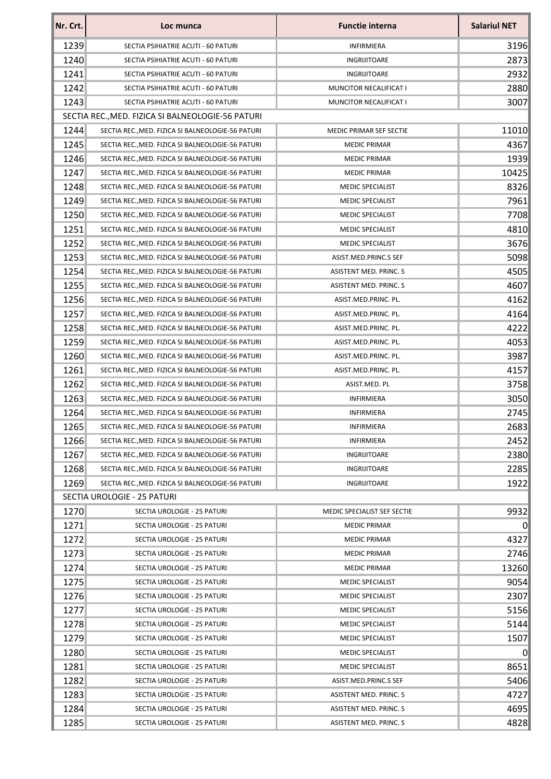| 1239<br>SECTIA PSIHIATRIE ACUTI - 60 PATURI<br><b>INFIRMIERA</b><br>1240<br>INGRIJITOARE<br>SECTIA PSIHIATRIE ACUTI - 60 PATURI<br>1241<br>SECTIA PSIHIATRIE ACUTI - 60 PATURI<br>INGRIJITOARE<br>1242<br>SECTIA PSIHIATRIE ACUTI - 60 PATURI<br>MUNCITOR NECALIFICAT I<br>1243<br>SECTIA PSIHIATRIE ACUTI - 60 PATURI<br>MUNCITOR NECALIFICAT I<br>SECTIA REC., MED. FIZICA SI BALNEOLOGIE-56 PATURI<br>1244<br>SECTIA REC., MED. FIZICA SI BALNEOLOGIE-56 PATURI<br>MEDIC PRIMAR SEF SECTIE<br>1245<br>SECTIA REC., MED. FIZICA SI BALNEOLOGIE-56 PATURI<br><b>MEDIC PRIMAR</b><br>1246<br>SECTIA REC., MED. FIZICA SI BALNEOLOGIE-56 PATURI<br><b>MEDIC PRIMAR</b><br>1247<br>SECTIA REC., MED. FIZICA SI BALNEOLOGIE-56 PATURI<br><b>MEDIC PRIMAR</b><br>1248<br>SECTIA REC., MED. FIZICA SI BALNEOLOGIE-56 PATURI<br><b>MEDIC SPECIALIST</b><br>1249<br>SECTIA REC., MED. FIZICA SI BALNEOLOGIE-56 PATURI<br><b>MEDIC SPECIALIST</b><br>1250<br>SECTIA REC., MED. FIZICA SI BALNEOLOGIE-56 PATURI<br><b>MEDIC SPECIALIST</b><br>1251<br>SECTIA REC., MED. FIZICA SI BALNEOLOGIE-56 PATURI<br>MEDIC SPECIALIST<br>1252<br>SECTIA REC., MED. FIZICA SI BALNEOLOGIE-56 PATURI<br><b>MEDIC SPECIALIST</b><br>1253<br>SECTIA REC., MED. FIZICA SI BALNEOLOGIE-56 PATURI<br>ASIST.MED.PRINC.S SEF<br>1254<br>SECTIA REC., MED. FIZICA SI BALNEOLOGIE-56 PATURI<br>ASISTENT MED. PRINC. S<br>1255<br>ASISTENT MED. PRINC. S<br>SECTIA REC., MED. FIZICA SI BALNEOLOGIE-56 PATURI<br>1256<br>SECTIA REC., MED. FIZICA SI BALNEOLOGIE-56 PATURI<br>ASIST.MED.PRINC. PL.<br>1257<br>SECTIA REC., MED. FIZICA SI BALNEOLOGIE-56 PATURI<br>ASIST.MED.PRINC. PL.<br>1258<br>SECTIA REC., MED. FIZICA SI BALNEOLOGIE-56 PATURI<br>ASIST.MED.PRINC. PL.<br>1259<br>SECTIA REC., MED. FIZICA SI BALNEOLOGIE-56 PATURI<br>ASIST.MED.PRINC. PL.<br>1260<br>SECTIA REC., MED. FIZICA SI BALNEOLOGIE-56 PATURI<br>ASIST.MED.PRINC. PL.<br>1261<br>SECTIA REC., MED. FIZICA SI BALNEOLOGIE-56 PATURI<br>ASIST.MED.PRINC. PL.<br>1262<br>SECTIA REC., MED. FIZICA SI BALNEOLOGIE-56 PATURI<br>ASIST.MED. PL<br>1263<br>SECTIA REC., MED. FIZICA SI BALNEOLOGIE-56 PATURI<br><b>INFIRMIERA</b><br>1264<br>SECTIA REC., MED. FIZICA SI BALNEOLOGIE-56 PATURI<br><b>INFIRMIERA</b><br>1265<br>SECTIA REC., MED. FIZICA SI BALNEOLOGIE-56 PATURI<br><b>INFIRMIERA</b><br>1266<br>SECTIA REC., MED. FIZICA SI BALNEOLOGIE-56 PATURI<br><b>INFIRMIERA</b><br>1267<br>SECTIA REC., MED. FIZICA SI BALNEOLOGIE-56 PATURI<br>INGRIJITOARE<br>1268<br>SECTIA REC., MED. FIZICA SI BALNEOLOGIE-56 PATURI<br>INGRIJITOARE<br>1269<br>SECTIA REC., MED. FIZICA SI BALNEOLOGIE-56 PATURI<br>INGRIJITOARE<br>SECTIA UROLOGIE - 25 PATURI<br>1270<br>SECTIA UROLOGIE - 25 PATURI<br>MEDIC SPECIALIST SEF SECTIE<br>1271<br>SECTIA UROLOGIE - 25 PATURI<br><b>MEDIC PRIMAR</b><br>1272<br><b>MEDIC PRIMAR</b><br>SECTIA UROLOGIE - 25 PATURI<br>1273<br>SECTIA UROLOGIE - 25 PATURI<br><b>MEDIC PRIMAR</b><br>1274<br>SECTIA UROLOGIE - 25 PATURI<br><b>MEDIC PRIMAR</b><br>1275<br>SECTIA UROLOGIE - 25 PATURI<br><b>MEDIC SPECIALIST</b><br>1276<br>SECTIA UROLOGIE - 25 PATURI<br><b>MEDIC SPECIALIST</b><br>1277<br>SECTIA UROLOGIE - 25 PATURI<br><b>MEDIC SPECIALIST</b><br>1278<br>SECTIA UROLOGIE - 25 PATURI<br><b>MEDIC SPECIALIST</b><br>1279<br>SECTIA UROLOGIE - 25 PATURI<br><b>MEDIC SPECIALIST</b><br>1280<br>SECTIA UROLOGIE - 25 PATURI<br>MEDIC SPECIALIST<br>8651<br>1281<br><b>MEDIC SPECIALIST</b><br>SECTIA UROLOGIE - 25 PATURI<br>1282<br>SECTIA UROLOGIE - 25 PATURI<br>ASIST.MED.PRINC.S SEF<br>1283<br>SECTIA UROLOGIE - 25 PATURI<br>ASISTENT MED. PRINC. S<br>1284<br>SECTIA UROLOGIE - 25 PATURI<br>ASISTENT MED. PRINC. S | Nr. Crt. | Loc munca                   | <b>Functie interna</b> | <b>Salariul NET</b> |
|-------------------------------------------------------------------------------------------------------------------------------------------------------------------------------------------------------------------------------------------------------------------------------------------------------------------------------------------------------------------------------------------------------------------------------------------------------------------------------------------------------------------------------------------------------------------------------------------------------------------------------------------------------------------------------------------------------------------------------------------------------------------------------------------------------------------------------------------------------------------------------------------------------------------------------------------------------------------------------------------------------------------------------------------------------------------------------------------------------------------------------------------------------------------------------------------------------------------------------------------------------------------------------------------------------------------------------------------------------------------------------------------------------------------------------------------------------------------------------------------------------------------------------------------------------------------------------------------------------------------------------------------------------------------------------------------------------------------------------------------------------------------------------------------------------------------------------------------------------------------------------------------------------------------------------------------------------------------------------------------------------------------------------------------------------------------------------------------------------------------------------------------------------------------------------------------------------------------------------------------------------------------------------------------------------------------------------------------------------------------------------------------------------------------------------------------------------------------------------------------------------------------------------------------------------------------------------------------------------------------------------------------------------------------------------------------------------------------------------------------------------------------------------------------------------------------------------------------------------------------------------------------------------------------------------------------------------------------------------------------------------------------------------------------------------------------------------------------------------------------------------------------------------------------------------------------------------------------------------------------------------------------------------------------------------------------------------------------------------------------------------------------------------------------------------------------------------------------------------------------------------------------------------------------------------------------------------------------------------------------------------------------------------------------------------------------------------------------------|----------|-----------------------------|------------------------|---------------------|
| 2873<br>2932<br>2880<br>3007<br>11010<br>4367<br>1939<br>10425<br>8326<br>7961<br>7708<br>4810<br>3676<br>5098<br>4505<br>4607<br>4162<br>4164<br>4222<br>4053<br>3987<br>4157<br>3758<br>3050<br>2745<br>2683<br>2452<br>2380<br>2285<br>1922<br>9932<br>$\vert 0 \vert$<br>4327<br>2746<br>13260<br>9054<br>2307<br>5156<br>5144<br>1507<br>0<br>5406<br>4727<br>4695                                                                                                                                                                                                                                                                                                                                                                                                                                                                                                                                                                                                                                                                                                                                                                                                                                                                                                                                                                                                                                                                                                                                                                                                                                                                                                                                                                                                                                                                                                                                                                                                                                                                                                                                                                                                                                                                                                                                                                                                                                                                                                                                                                                                                                                                                                                                                                                                                                                                                                                                                                                                                                                                                                                                                                                                                                                                                                                                                                                                                                                                                                                                                                                                                                                                                                                                                 |          |                             |                        | 3196                |
|                                                                                                                                                                                                                                                                                                                                                                                                                                                                                                                                                                                                                                                                                                                                                                                                                                                                                                                                                                                                                                                                                                                                                                                                                                                                                                                                                                                                                                                                                                                                                                                                                                                                                                                                                                                                                                                                                                                                                                                                                                                                                                                                                                                                                                                                                                                                                                                                                                                                                                                                                                                                                                                                                                                                                                                                                                                                                                                                                                                                                                                                                                                                                                                                                                                                                                                                                                                                                                                                                                                                                                                                                                                                                                                         |          |                             |                        |                     |
|                                                                                                                                                                                                                                                                                                                                                                                                                                                                                                                                                                                                                                                                                                                                                                                                                                                                                                                                                                                                                                                                                                                                                                                                                                                                                                                                                                                                                                                                                                                                                                                                                                                                                                                                                                                                                                                                                                                                                                                                                                                                                                                                                                                                                                                                                                                                                                                                                                                                                                                                                                                                                                                                                                                                                                                                                                                                                                                                                                                                                                                                                                                                                                                                                                                                                                                                                                                                                                                                                                                                                                                                                                                                                                                         |          |                             |                        |                     |
|                                                                                                                                                                                                                                                                                                                                                                                                                                                                                                                                                                                                                                                                                                                                                                                                                                                                                                                                                                                                                                                                                                                                                                                                                                                                                                                                                                                                                                                                                                                                                                                                                                                                                                                                                                                                                                                                                                                                                                                                                                                                                                                                                                                                                                                                                                                                                                                                                                                                                                                                                                                                                                                                                                                                                                                                                                                                                                                                                                                                                                                                                                                                                                                                                                                                                                                                                                                                                                                                                                                                                                                                                                                                                                                         |          |                             |                        |                     |
|                                                                                                                                                                                                                                                                                                                                                                                                                                                                                                                                                                                                                                                                                                                                                                                                                                                                                                                                                                                                                                                                                                                                                                                                                                                                                                                                                                                                                                                                                                                                                                                                                                                                                                                                                                                                                                                                                                                                                                                                                                                                                                                                                                                                                                                                                                                                                                                                                                                                                                                                                                                                                                                                                                                                                                                                                                                                                                                                                                                                                                                                                                                                                                                                                                                                                                                                                                                                                                                                                                                                                                                                                                                                                                                         |          |                             |                        |                     |
|                                                                                                                                                                                                                                                                                                                                                                                                                                                                                                                                                                                                                                                                                                                                                                                                                                                                                                                                                                                                                                                                                                                                                                                                                                                                                                                                                                                                                                                                                                                                                                                                                                                                                                                                                                                                                                                                                                                                                                                                                                                                                                                                                                                                                                                                                                                                                                                                                                                                                                                                                                                                                                                                                                                                                                                                                                                                                                                                                                                                                                                                                                                                                                                                                                                                                                                                                                                                                                                                                                                                                                                                                                                                                                                         |          |                             |                        |                     |
|                                                                                                                                                                                                                                                                                                                                                                                                                                                                                                                                                                                                                                                                                                                                                                                                                                                                                                                                                                                                                                                                                                                                                                                                                                                                                                                                                                                                                                                                                                                                                                                                                                                                                                                                                                                                                                                                                                                                                                                                                                                                                                                                                                                                                                                                                                                                                                                                                                                                                                                                                                                                                                                                                                                                                                                                                                                                                                                                                                                                                                                                                                                                                                                                                                                                                                                                                                                                                                                                                                                                                                                                                                                                                                                         |          |                             |                        |                     |
|                                                                                                                                                                                                                                                                                                                                                                                                                                                                                                                                                                                                                                                                                                                                                                                                                                                                                                                                                                                                                                                                                                                                                                                                                                                                                                                                                                                                                                                                                                                                                                                                                                                                                                                                                                                                                                                                                                                                                                                                                                                                                                                                                                                                                                                                                                                                                                                                                                                                                                                                                                                                                                                                                                                                                                                                                                                                                                                                                                                                                                                                                                                                                                                                                                                                                                                                                                                                                                                                                                                                                                                                                                                                                                                         |          |                             |                        |                     |
|                                                                                                                                                                                                                                                                                                                                                                                                                                                                                                                                                                                                                                                                                                                                                                                                                                                                                                                                                                                                                                                                                                                                                                                                                                                                                                                                                                                                                                                                                                                                                                                                                                                                                                                                                                                                                                                                                                                                                                                                                                                                                                                                                                                                                                                                                                                                                                                                                                                                                                                                                                                                                                                                                                                                                                                                                                                                                                                                                                                                                                                                                                                                                                                                                                                                                                                                                                                                                                                                                                                                                                                                                                                                                                                         |          |                             |                        |                     |
|                                                                                                                                                                                                                                                                                                                                                                                                                                                                                                                                                                                                                                                                                                                                                                                                                                                                                                                                                                                                                                                                                                                                                                                                                                                                                                                                                                                                                                                                                                                                                                                                                                                                                                                                                                                                                                                                                                                                                                                                                                                                                                                                                                                                                                                                                                                                                                                                                                                                                                                                                                                                                                                                                                                                                                                                                                                                                                                                                                                                                                                                                                                                                                                                                                                                                                                                                                                                                                                                                                                                                                                                                                                                                                                         |          |                             |                        |                     |
|                                                                                                                                                                                                                                                                                                                                                                                                                                                                                                                                                                                                                                                                                                                                                                                                                                                                                                                                                                                                                                                                                                                                                                                                                                                                                                                                                                                                                                                                                                                                                                                                                                                                                                                                                                                                                                                                                                                                                                                                                                                                                                                                                                                                                                                                                                                                                                                                                                                                                                                                                                                                                                                                                                                                                                                                                                                                                                                                                                                                                                                                                                                                                                                                                                                                                                                                                                                                                                                                                                                                                                                                                                                                                                                         |          |                             |                        |                     |
|                                                                                                                                                                                                                                                                                                                                                                                                                                                                                                                                                                                                                                                                                                                                                                                                                                                                                                                                                                                                                                                                                                                                                                                                                                                                                                                                                                                                                                                                                                                                                                                                                                                                                                                                                                                                                                                                                                                                                                                                                                                                                                                                                                                                                                                                                                                                                                                                                                                                                                                                                                                                                                                                                                                                                                                                                                                                                                                                                                                                                                                                                                                                                                                                                                                                                                                                                                                                                                                                                                                                                                                                                                                                                                                         |          |                             |                        |                     |
|                                                                                                                                                                                                                                                                                                                                                                                                                                                                                                                                                                                                                                                                                                                                                                                                                                                                                                                                                                                                                                                                                                                                                                                                                                                                                                                                                                                                                                                                                                                                                                                                                                                                                                                                                                                                                                                                                                                                                                                                                                                                                                                                                                                                                                                                                                                                                                                                                                                                                                                                                                                                                                                                                                                                                                                                                                                                                                                                                                                                                                                                                                                                                                                                                                                                                                                                                                                                                                                                                                                                                                                                                                                                                                                         |          |                             |                        |                     |
|                                                                                                                                                                                                                                                                                                                                                                                                                                                                                                                                                                                                                                                                                                                                                                                                                                                                                                                                                                                                                                                                                                                                                                                                                                                                                                                                                                                                                                                                                                                                                                                                                                                                                                                                                                                                                                                                                                                                                                                                                                                                                                                                                                                                                                                                                                                                                                                                                                                                                                                                                                                                                                                                                                                                                                                                                                                                                                                                                                                                                                                                                                                                                                                                                                                                                                                                                                                                                                                                                                                                                                                                                                                                                                                         |          |                             |                        |                     |
|                                                                                                                                                                                                                                                                                                                                                                                                                                                                                                                                                                                                                                                                                                                                                                                                                                                                                                                                                                                                                                                                                                                                                                                                                                                                                                                                                                                                                                                                                                                                                                                                                                                                                                                                                                                                                                                                                                                                                                                                                                                                                                                                                                                                                                                                                                                                                                                                                                                                                                                                                                                                                                                                                                                                                                                                                                                                                                                                                                                                                                                                                                                                                                                                                                                                                                                                                                                                                                                                                                                                                                                                                                                                                                                         |          |                             |                        |                     |
|                                                                                                                                                                                                                                                                                                                                                                                                                                                                                                                                                                                                                                                                                                                                                                                                                                                                                                                                                                                                                                                                                                                                                                                                                                                                                                                                                                                                                                                                                                                                                                                                                                                                                                                                                                                                                                                                                                                                                                                                                                                                                                                                                                                                                                                                                                                                                                                                                                                                                                                                                                                                                                                                                                                                                                                                                                                                                                                                                                                                                                                                                                                                                                                                                                                                                                                                                                                                                                                                                                                                                                                                                                                                                                                         |          |                             |                        |                     |
|                                                                                                                                                                                                                                                                                                                                                                                                                                                                                                                                                                                                                                                                                                                                                                                                                                                                                                                                                                                                                                                                                                                                                                                                                                                                                                                                                                                                                                                                                                                                                                                                                                                                                                                                                                                                                                                                                                                                                                                                                                                                                                                                                                                                                                                                                                                                                                                                                                                                                                                                                                                                                                                                                                                                                                                                                                                                                                                                                                                                                                                                                                                                                                                                                                                                                                                                                                                                                                                                                                                                                                                                                                                                                                                         |          |                             |                        |                     |
|                                                                                                                                                                                                                                                                                                                                                                                                                                                                                                                                                                                                                                                                                                                                                                                                                                                                                                                                                                                                                                                                                                                                                                                                                                                                                                                                                                                                                                                                                                                                                                                                                                                                                                                                                                                                                                                                                                                                                                                                                                                                                                                                                                                                                                                                                                                                                                                                                                                                                                                                                                                                                                                                                                                                                                                                                                                                                                                                                                                                                                                                                                                                                                                                                                                                                                                                                                                                                                                                                                                                                                                                                                                                                                                         |          |                             |                        |                     |
|                                                                                                                                                                                                                                                                                                                                                                                                                                                                                                                                                                                                                                                                                                                                                                                                                                                                                                                                                                                                                                                                                                                                                                                                                                                                                                                                                                                                                                                                                                                                                                                                                                                                                                                                                                                                                                                                                                                                                                                                                                                                                                                                                                                                                                                                                                                                                                                                                                                                                                                                                                                                                                                                                                                                                                                                                                                                                                                                                                                                                                                                                                                                                                                                                                                                                                                                                                                                                                                                                                                                                                                                                                                                                                                         |          |                             |                        |                     |
|                                                                                                                                                                                                                                                                                                                                                                                                                                                                                                                                                                                                                                                                                                                                                                                                                                                                                                                                                                                                                                                                                                                                                                                                                                                                                                                                                                                                                                                                                                                                                                                                                                                                                                                                                                                                                                                                                                                                                                                                                                                                                                                                                                                                                                                                                                                                                                                                                                                                                                                                                                                                                                                                                                                                                                                                                                                                                                                                                                                                                                                                                                                                                                                                                                                                                                                                                                                                                                                                                                                                                                                                                                                                                                                         |          |                             |                        |                     |
|                                                                                                                                                                                                                                                                                                                                                                                                                                                                                                                                                                                                                                                                                                                                                                                                                                                                                                                                                                                                                                                                                                                                                                                                                                                                                                                                                                                                                                                                                                                                                                                                                                                                                                                                                                                                                                                                                                                                                                                                                                                                                                                                                                                                                                                                                                                                                                                                                                                                                                                                                                                                                                                                                                                                                                                                                                                                                                                                                                                                                                                                                                                                                                                                                                                                                                                                                                                                                                                                                                                                                                                                                                                                                                                         |          |                             |                        |                     |
|                                                                                                                                                                                                                                                                                                                                                                                                                                                                                                                                                                                                                                                                                                                                                                                                                                                                                                                                                                                                                                                                                                                                                                                                                                                                                                                                                                                                                                                                                                                                                                                                                                                                                                                                                                                                                                                                                                                                                                                                                                                                                                                                                                                                                                                                                                                                                                                                                                                                                                                                                                                                                                                                                                                                                                                                                                                                                                                                                                                                                                                                                                                                                                                                                                                                                                                                                                                                                                                                                                                                                                                                                                                                                                                         |          |                             |                        |                     |
|                                                                                                                                                                                                                                                                                                                                                                                                                                                                                                                                                                                                                                                                                                                                                                                                                                                                                                                                                                                                                                                                                                                                                                                                                                                                                                                                                                                                                                                                                                                                                                                                                                                                                                                                                                                                                                                                                                                                                                                                                                                                                                                                                                                                                                                                                                                                                                                                                                                                                                                                                                                                                                                                                                                                                                                                                                                                                                                                                                                                                                                                                                                                                                                                                                                                                                                                                                                                                                                                                                                                                                                                                                                                                                                         |          |                             |                        |                     |
|                                                                                                                                                                                                                                                                                                                                                                                                                                                                                                                                                                                                                                                                                                                                                                                                                                                                                                                                                                                                                                                                                                                                                                                                                                                                                                                                                                                                                                                                                                                                                                                                                                                                                                                                                                                                                                                                                                                                                                                                                                                                                                                                                                                                                                                                                                                                                                                                                                                                                                                                                                                                                                                                                                                                                                                                                                                                                                                                                                                                                                                                                                                                                                                                                                                                                                                                                                                                                                                                                                                                                                                                                                                                                                                         |          |                             |                        |                     |
|                                                                                                                                                                                                                                                                                                                                                                                                                                                                                                                                                                                                                                                                                                                                                                                                                                                                                                                                                                                                                                                                                                                                                                                                                                                                                                                                                                                                                                                                                                                                                                                                                                                                                                                                                                                                                                                                                                                                                                                                                                                                                                                                                                                                                                                                                                                                                                                                                                                                                                                                                                                                                                                                                                                                                                                                                                                                                                                                                                                                                                                                                                                                                                                                                                                                                                                                                                                                                                                                                                                                                                                                                                                                                                                         |          |                             |                        |                     |
|                                                                                                                                                                                                                                                                                                                                                                                                                                                                                                                                                                                                                                                                                                                                                                                                                                                                                                                                                                                                                                                                                                                                                                                                                                                                                                                                                                                                                                                                                                                                                                                                                                                                                                                                                                                                                                                                                                                                                                                                                                                                                                                                                                                                                                                                                                                                                                                                                                                                                                                                                                                                                                                                                                                                                                                                                                                                                                                                                                                                                                                                                                                                                                                                                                                                                                                                                                                                                                                                                                                                                                                                                                                                                                                         |          |                             |                        |                     |
|                                                                                                                                                                                                                                                                                                                                                                                                                                                                                                                                                                                                                                                                                                                                                                                                                                                                                                                                                                                                                                                                                                                                                                                                                                                                                                                                                                                                                                                                                                                                                                                                                                                                                                                                                                                                                                                                                                                                                                                                                                                                                                                                                                                                                                                                                                                                                                                                                                                                                                                                                                                                                                                                                                                                                                                                                                                                                                                                                                                                                                                                                                                                                                                                                                                                                                                                                                                                                                                                                                                                                                                                                                                                                                                         |          |                             |                        |                     |
|                                                                                                                                                                                                                                                                                                                                                                                                                                                                                                                                                                                                                                                                                                                                                                                                                                                                                                                                                                                                                                                                                                                                                                                                                                                                                                                                                                                                                                                                                                                                                                                                                                                                                                                                                                                                                                                                                                                                                                                                                                                                                                                                                                                                                                                                                                                                                                                                                                                                                                                                                                                                                                                                                                                                                                                                                                                                                                                                                                                                                                                                                                                                                                                                                                                                                                                                                                                                                                                                                                                                                                                                                                                                                                                         |          |                             |                        |                     |
|                                                                                                                                                                                                                                                                                                                                                                                                                                                                                                                                                                                                                                                                                                                                                                                                                                                                                                                                                                                                                                                                                                                                                                                                                                                                                                                                                                                                                                                                                                                                                                                                                                                                                                                                                                                                                                                                                                                                                                                                                                                                                                                                                                                                                                                                                                                                                                                                                                                                                                                                                                                                                                                                                                                                                                                                                                                                                                                                                                                                                                                                                                                                                                                                                                                                                                                                                                                                                                                                                                                                                                                                                                                                                                                         |          |                             |                        |                     |
|                                                                                                                                                                                                                                                                                                                                                                                                                                                                                                                                                                                                                                                                                                                                                                                                                                                                                                                                                                                                                                                                                                                                                                                                                                                                                                                                                                                                                                                                                                                                                                                                                                                                                                                                                                                                                                                                                                                                                                                                                                                                                                                                                                                                                                                                                                                                                                                                                                                                                                                                                                                                                                                                                                                                                                                                                                                                                                                                                                                                                                                                                                                                                                                                                                                                                                                                                                                                                                                                                                                                                                                                                                                                                                                         |          |                             |                        |                     |
|                                                                                                                                                                                                                                                                                                                                                                                                                                                                                                                                                                                                                                                                                                                                                                                                                                                                                                                                                                                                                                                                                                                                                                                                                                                                                                                                                                                                                                                                                                                                                                                                                                                                                                                                                                                                                                                                                                                                                                                                                                                                                                                                                                                                                                                                                                                                                                                                                                                                                                                                                                                                                                                                                                                                                                                                                                                                                                                                                                                                                                                                                                                                                                                                                                                                                                                                                                                                                                                                                                                                                                                                                                                                                                                         |          |                             |                        |                     |
|                                                                                                                                                                                                                                                                                                                                                                                                                                                                                                                                                                                                                                                                                                                                                                                                                                                                                                                                                                                                                                                                                                                                                                                                                                                                                                                                                                                                                                                                                                                                                                                                                                                                                                                                                                                                                                                                                                                                                                                                                                                                                                                                                                                                                                                                                                                                                                                                                                                                                                                                                                                                                                                                                                                                                                                                                                                                                                                                                                                                                                                                                                                                                                                                                                                                                                                                                                                                                                                                                                                                                                                                                                                                                                                         |          |                             |                        |                     |
|                                                                                                                                                                                                                                                                                                                                                                                                                                                                                                                                                                                                                                                                                                                                                                                                                                                                                                                                                                                                                                                                                                                                                                                                                                                                                                                                                                                                                                                                                                                                                                                                                                                                                                                                                                                                                                                                                                                                                                                                                                                                                                                                                                                                                                                                                                                                                                                                                                                                                                                                                                                                                                                                                                                                                                                                                                                                                                                                                                                                                                                                                                                                                                                                                                                                                                                                                                                                                                                                                                                                                                                                                                                                                                                         |          |                             |                        |                     |
|                                                                                                                                                                                                                                                                                                                                                                                                                                                                                                                                                                                                                                                                                                                                                                                                                                                                                                                                                                                                                                                                                                                                                                                                                                                                                                                                                                                                                                                                                                                                                                                                                                                                                                                                                                                                                                                                                                                                                                                                                                                                                                                                                                                                                                                                                                                                                                                                                                                                                                                                                                                                                                                                                                                                                                                                                                                                                                                                                                                                                                                                                                                                                                                                                                                                                                                                                                                                                                                                                                                                                                                                                                                                                                                         |          |                             |                        |                     |
|                                                                                                                                                                                                                                                                                                                                                                                                                                                                                                                                                                                                                                                                                                                                                                                                                                                                                                                                                                                                                                                                                                                                                                                                                                                                                                                                                                                                                                                                                                                                                                                                                                                                                                                                                                                                                                                                                                                                                                                                                                                                                                                                                                                                                                                                                                                                                                                                                                                                                                                                                                                                                                                                                                                                                                                                                                                                                                                                                                                                                                                                                                                                                                                                                                                                                                                                                                                                                                                                                                                                                                                                                                                                                                                         |          |                             |                        |                     |
|                                                                                                                                                                                                                                                                                                                                                                                                                                                                                                                                                                                                                                                                                                                                                                                                                                                                                                                                                                                                                                                                                                                                                                                                                                                                                                                                                                                                                                                                                                                                                                                                                                                                                                                                                                                                                                                                                                                                                                                                                                                                                                                                                                                                                                                                                                                                                                                                                                                                                                                                                                                                                                                                                                                                                                                                                                                                                                                                                                                                                                                                                                                                                                                                                                                                                                                                                                                                                                                                                                                                                                                                                                                                                                                         |          |                             |                        |                     |
|                                                                                                                                                                                                                                                                                                                                                                                                                                                                                                                                                                                                                                                                                                                                                                                                                                                                                                                                                                                                                                                                                                                                                                                                                                                                                                                                                                                                                                                                                                                                                                                                                                                                                                                                                                                                                                                                                                                                                                                                                                                                                                                                                                                                                                                                                                                                                                                                                                                                                                                                                                                                                                                                                                                                                                                                                                                                                                                                                                                                                                                                                                                                                                                                                                                                                                                                                                                                                                                                                                                                                                                                                                                                                                                         |          |                             |                        |                     |
|                                                                                                                                                                                                                                                                                                                                                                                                                                                                                                                                                                                                                                                                                                                                                                                                                                                                                                                                                                                                                                                                                                                                                                                                                                                                                                                                                                                                                                                                                                                                                                                                                                                                                                                                                                                                                                                                                                                                                                                                                                                                                                                                                                                                                                                                                                                                                                                                                                                                                                                                                                                                                                                                                                                                                                                                                                                                                                                                                                                                                                                                                                                                                                                                                                                                                                                                                                                                                                                                                                                                                                                                                                                                                                                         |          |                             |                        |                     |
|                                                                                                                                                                                                                                                                                                                                                                                                                                                                                                                                                                                                                                                                                                                                                                                                                                                                                                                                                                                                                                                                                                                                                                                                                                                                                                                                                                                                                                                                                                                                                                                                                                                                                                                                                                                                                                                                                                                                                                                                                                                                                                                                                                                                                                                                                                                                                                                                                                                                                                                                                                                                                                                                                                                                                                                                                                                                                                                                                                                                                                                                                                                                                                                                                                                                                                                                                                                                                                                                                                                                                                                                                                                                                                                         |          |                             |                        |                     |
|                                                                                                                                                                                                                                                                                                                                                                                                                                                                                                                                                                                                                                                                                                                                                                                                                                                                                                                                                                                                                                                                                                                                                                                                                                                                                                                                                                                                                                                                                                                                                                                                                                                                                                                                                                                                                                                                                                                                                                                                                                                                                                                                                                                                                                                                                                                                                                                                                                                                                                                                                                                                                                                                                                                                                                                                                                                                                                                                                                                                                                                                                                                                                                                                                                                                                                                                                                                                                                                                                                                                                                                                                                                                                                                         |          |                             |                        |                     |
|                                                                                                                                                                                                                                                                                                                                                                                                                                                                                                                                                                                                                                                                                                                                                                                                                                                                                                                                                                                                                                                                                                                                                                                                                                                                                                                                                                                                                                                                                                                                                                                                                                                                                                                                                                                                                                                                                                                                                                                                                                                                                                                                                                                                                                                                                                                                                                                                                                                                                                                                                                                                                                                                                                                                                                                                                                                                                                                                                                                                                                                                                                                                                                                                                                                                                                                                                                                                                                                                                                                                                                                                                                                                                                                         |          |                             |                        |                     |
|                                                                                                                                                                                                                                                                                                                                                                                                                                                                                                                                                                                                                                                                                                                                                                                                                                                                                                                                                                                                                                                                                                                                                                                                                                                                                                                                                                                                                                                                                                                                                                                                                                                                                                                                                                                                                                                                                                                                                                                                                                                                                                                                                                                                                                                                                                                                                                                                                                                                                                                                                                                                                                                                                                                                                                                                                                                                                                                                                                                                                                                                                                                                                                                                                                                                                                                                                                                                                                                                                                                                                                                                                                                                                                                         |          |                             |                        |                     |
|                                                                                                                                                                                                                                                                                                                                                                                                                                                                                                                                                                                                                                                                                                                                                                                                                                                                                                                                                                                                                                                                                                                                                                                                                                                                                                                                                                                                                                                                                                                                                                                                                                                                                                                                                                                                                                                                                                                                                                                                                                                                                                                                                                                                                                                                                                                                                                                                                                                                                                                                                                                                                                                                                                                                                                                                                                                                                                                                                                                                                                                                                                                                                                                                                                                                                                                                                                                                                                                                                                                                                                                                                                                                                                                         |          |                             |                        |                     |
|                                                                                                                                                                                                                                                                                                                                                                                                                                                                                                                                                                                                                                                                                                                                                                                                                                                                                                                                                                                                                                                                                                                                                                                                                                                                                                                                                                                                                                                                                                                                                                                                                                                                                                                                                                                                                                                                                                                                                                                                                                                                                                                                                                                                                                                                                                                                                                                                                                                                                                                                                                                                                                                                                                                                                                                                                                                                                                                                                                                                                                                                                                                                                                                                                                                                                                                                                                                                                                                                                                                                                                                                                                                                                                                         |          |                             |                        |                     |
|                                                                                                                                                                                                                                                                                                                                                                                                                                                                                                                                                                                                                                                                                                                                                                                                                                                                                                                                                                                                                                                                                                                                                                                                                                                                                                                                                                                                                                                                                                                                                                                                                                                                                                                                                                                                                                                                                                                                                                                                                                                                                                                                                                                                                                                                                                                                                                                                                                                                                                                                                                                                                                                                                                                                                                                                                                                                                                                                                                                                                                                                                                                                                                                                                                                                                                                                                                                                                                                                                                                                                                                                                                                                                                                         |          |                             |                        |                     |
|                                                                                                                                                                                                                                                                                                                                                                                                                                                                                                                                                                                                                                                                                                                                                                                                                                                                                                                                                                                                                                                                                                                                                                                                                                                                                                                                                                                                                                                                                                                                                                                                                                                                                                                                                                                                                                                                                                                                                                                                                                                                                                                                                                                                                                                                                                                                                                                                                                                                                                                                                                                                                                                                                                                                                                                                                                                                                                                                                                                                                                                                                                                                                                                                                                                                                                                                                                                                                                                                                                                                                                                                                                                                                                                         |          |                             |                        |                     |
|                                                                                                                                                                                                                                                                                                                                                                                                                                                                                                                                                                                                                                                                                                                                                                                                                                                                                                                                                                                                                                                                                                                                                                                                                                                                                                                                                                                                                                                                                                                                                                                                                                                                                                                                                                                                                                                                                                                                                                                                                                                                                                                                                                                                                                                                                                                                                                                                                                                                                                                                                                                                                                                                                                                                                                                                                                                                                                                                                                                                                                                                                                                                                                                                                                                                                                                                                                                                                                                                                                                                                                                                                                                                                                                         |          |                             |                        |                     |
|                                                                                                                                                                                                                                                                                                                                                                                                                                                                                                                                                                                                                                                                                                                                                                                                                                                                                                                                                                                                                                                                                                                                                                                                                                                                                                                                                                                                                                                                                                                                                                                                                                                                                                                                                                                                                                                                                                                                                                                                                                                                                                                                                                                                                                                                                                                                                                                                                                                                                                                                                                                                                                                                                                                                                                                                                                                                                                                                                                                                                                                                                                                                                                                                                                                                                                                                                                                                                                                                                                                                                                                                                                                                                                                         |          |                             |                        |                     |
|                                                                                                                                                                                                                                                                                                                                                                                                                                                                                                                                                                                                                                                                                                                                                                                                                                                                                                                                                                                                                                                                                                                                                                                                                                                                                                                                                                                                                                                                                                                                                                                                                                                                                                                                                                                                                                                                                                                                                                                                                                                                                                                                                                                                                                                                                                                                                                                                                                                                                                                                                                                                                                                                                                                                                                                                                                                                                                                                                                                                                                                                                                                                                                                                                                                                                                                                                                                                                                                                                                                                                                                                                                                                                                                         | 1285     | SECTIA UROLOGIE - 25 PATURI | ASISTENT MED. PRINC. S | 4828                |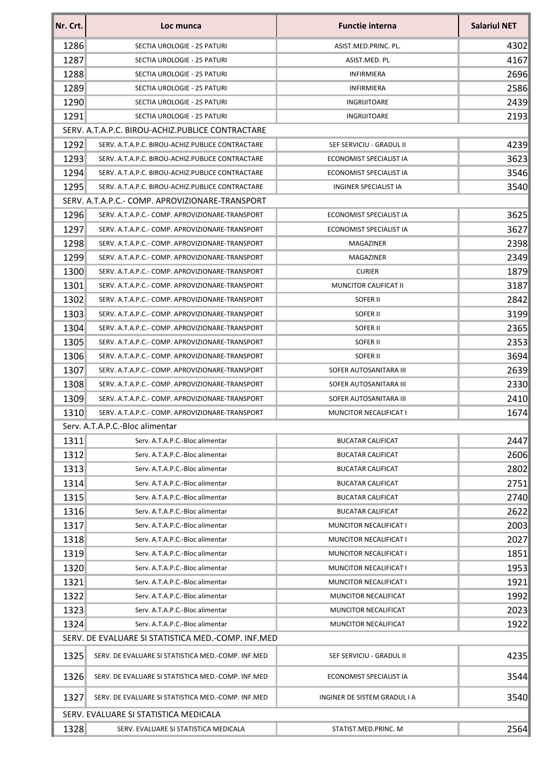| Nr. Crt. | Loc munca                                          | <b>Functie interna</b>       | <b>Salariul NET</b> |
|----------|----------------------------------------------------|------------------------------|---------------------|
| 1286     | SECTIA UROLOGIE - 25 PATURI                        | ASIST.MED.PRINC. PL.         | 4302                |
| 1287     | SECTIA UROLOGIE - 25 PATURI                        | ASIST.MED. PL                | 4167                |
| 1288     | SECTIA UROLOGIE - 25 PATURI                        | <b>INFIRMIERA</b>            | 2696                |
| 1289     | SECTIA UROLOGIE - 25 PATURI                        | INFIRMIERA                   | 2586                |
| 1290     | SECTIA UROLOGIE - 25 PATURI                        | <b>INGRIJITOARE</b>          | 2439                |
| 1291     | SECTIA UROLOGIE - 25 PATURI                        | INGRIJITOARE                 | 2193                |
|          | SERV. A.T.A.P.C. BIROU-ACHIZ.PUBLICE CONTRACTARE   |                              |                     |
| 1292     | SERV. A.T.A.P.C. BIROU-ACHIZ.PUBLICE CONTRACTARE   | SEF SERVICIU - GRADUL II     | 4239                |
| 1293     | SERV. A.T.A.P.C. BIROU-ACHIZ.PUBLICE CONTRACTARE   | ECONOMIST SPECIALIST IA      | 3623                |
| 1294     | SERV. A.T.A.P.C. BIROU-ACHIZ.PUBLICE CONTRACTARE   | ECONOMIST SPECIALIST IA      | 3546                |
| 1295     | SERV. A.T.A.P.C. BIROU-ACHIZ.PUBLICE CONTRACTARE   | INGINER SPECIALIST IA        | 3540                |
|          | SERV. A.T.A.P.C.- COMP. APROVIZIONARE-TRANSPORT    |                              |                     |
| 1296     | SERV. A.T.A.P.C.- COMP. APROVIZIONARE-TRANSPORT    | ECONOMIST SPECIALIST IA      | 3625                |
| 1297     | SERV. A.T.A.P.C.- COMP. APROVIZIONARE-TRANSPORT    | ECONOMIST SPECIALIST IA      | 3627                |
| 1298     | SERV. A.T.A.P.C.- COMP. APROVIZIONARE-TRANSPORT    | MAGAZINER                    | 2398                |
| 1299     | SERV. A.T.A.P.C.- COMP. APROVIZIONARE-TRANSPORT    | MAGAZINER                    | 2349                |
| 1300     | SERV. A.T.A.P.C.- COMP. APROVIZIONARE-TRANSPORT    | <b>CURIER</b>                | 1879                |
| 1301     | SERV. A.T.A.P.C.- COMP. APROVIZIONARE-TRANSPORT    | MUNCITOR CALIFICAT II        | 3187                |
| 1302     | SERV. A.T.A.P.C.- COMP. APROVIZIONARE-TRANSPORT    | SOFER II                     | 2842                |
| 1303     | SERV. A.T.A.P.C.- COMP. APROVIZIONARE-TRANSPORT    | SOFER II                     | 3199                |
| 1304     | SERV. A.T.A.P.C.- COMP. APROVIZIONARE-TRANSPORT    | SOFER II                     | 2365                |
| 1305     | SERV. A.T.A.P.C.- COMP. APROVIZIONARE-TRANSPORT    | SOFER II                     | 2353                |
| 1306     | SERV. A.T.A.P.C.- COMP. APROVIZIONARE-TRANSPORT    | SOFER II                     | 3694                |
| 1307     | SERV. A.T.A.P.C.- COMP. APROVIZIONARE-TRANSPORT    | SOFER AUTOSANITARA III       | 2639                |
| 1308     | SERV. A.T.A.P.C.- COMP. APROVIZIONARE-TRANSPORT    | SOFER AUTOSANITARA III       | 2330                |
| 1309     | SERV. A.T.A.P.C.- COMP. APROVIZIONARE-TRANSPORT    | SOFER AUTOSANITARA III       | 2410                |
| 1310     | SERV. A.T.A.P.C.- COMP. APROVIZIONARE-TRANSPORT    | MUNCITOR NECALIFICAT I       | 1674                |
|          | Serv. A.T.A.P.C.-Bloc alimentar                    |                              |                     |
| 1311     | Serv. A.T.A.P.C.-Bloc alimentar                    | <b>BUCATAR CALIFICAT</b>     | 2447                |
| 1312     | Serv. A.T.A.P.C.-Bloc alimentar                    | <b>BUCATAR CALIFICAT</b>     | 2606                |
| 1313     | Serv. A.T.A.P.C.-Bloc alimentar                    | <b>BUCATAR CALIFICAT</b>     | 2802                |
| 1314     | Serv. A.T.A.P.C.-Bloc alimentar                    | <b>BUCATAR CALIFICAT</b>     | 2751                |
| 1315     | Serv. A.T.A.P.C.-Bloc alimentar                    | <b>BUCATAR CALIFICAT</b>     | 2740                |
| 1316     | Serv. A.T.A.P.C.-Bloc alimentar                    | <b>BUCATAR CALIFICAT</b>     | 2622                |
| 1317     | Serv. A.T.A.P.C.-Bloc alimentar                    | MUNCITOR NECALIFICAT I       | 2003                |
| 1318     | Serv. A.T.A.P.C.-Bloc alimentar                    | MUNCITOR NECALIFICAT I       | 2027                |
| 1319     | Serv. A.T.A.P.C.-Bloc alimentar                    | MUNCITOR NECALIFICAT I       | 1851                |
| 1320     | Serv. A.T.A.P.C.-Bloc alimentar                    | MUNCITOR NECALIFICAT I       | 1953                |
| 1321     | Serv. A.T.A.P.C.-Bloc alimentar                    | MUNCITOR NECALIFICAT I       | 1921                |
| 1322     | Serv. A.T.A.P.C.-Bloc alimentar                    | MUNCITOR NECALIFICAT         | 1992                |
| 1323     | Serv. A.T.A.P.C.-Bloc alimentar                    | MUNCITOR NECALIFICAT         | 2023                |
| 1324     | Serv. A.T.A.P.C.-Bloc alimentar                    | MUNCITOR NECALIFICAT         | 1922                |
|          | SERV. DE EVALUARE SI STATISTICA MED.-COMP. INF.MED |                              |                     |
| 1325     | SERV. DE EVALUARE SI STATISTICA MED.-COMP. INF.MED | SEF SERVICIU - GRADUL II     | 4235                |
| 1326     | SERV. DE EVALUARE SI STATISTICA MED.-COMP. INF.MED | ECONOMIST SPECIALIST IA      | 3544                |
| 1327     | SERV. DE EVALUARE SI STATISTICA MED.-COMP. INF.MED | INGINER DE SISTEM GRADUL I A | 3540                |
|          | SERV. EVALUARE SI STATISTICA MEDICALA              |                              |                     |
| 1328     | SERV. EVALUARE SI STATISTICA MEDICALA              | STATIST.MED.PRINC. M         | 2564                |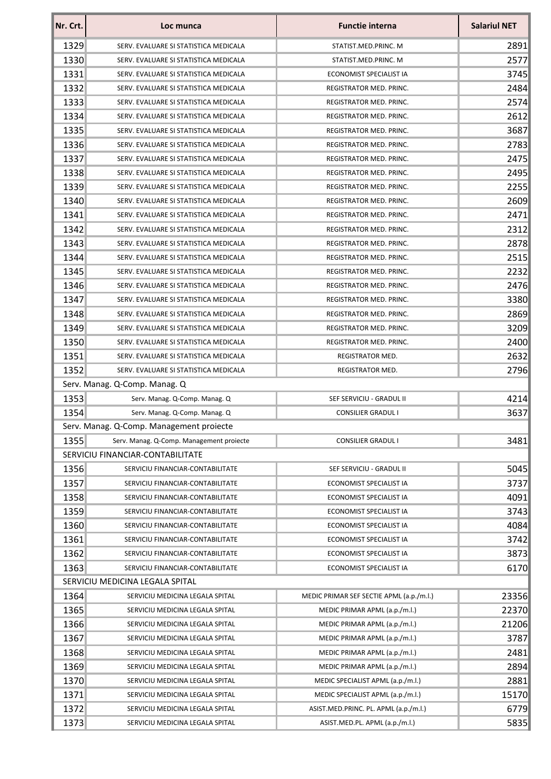| Nr. Crt. | Loc munca                                | <b>Functie interna</b>                   | <b>Salariul NET</b> |
|----------|------------------------------------------|------------------------------------------|---------------------|
| 1329     | SERV. EVALUARE SI STATISTICA MEDICALA    | STATIST.MED.PRINC. M                     | 2891                |
| 1330     | SERV. EVALUARE SI STATISTICA MEDICALA    | STATIST.MED.PRINC. M                     | 2577                |
| 1331     | SERV. EVALUARE SI STATISTICA MEDICALA    | ECONOMIST SPECIALIST IA                  | 3745                |
| 1332     | SERV. EVALUARE SI STATISTICA MEDICALA    | REGISTRATOR MED. PRINC.                  | 2484                |
| 1333     | SERV. EVALUARE SI STATISTICA MEDICALA    | REGISTRATOR MED. PRINC.                  | 2574                |
| 1334     | SERV. EVALUARE SI STATISTICA MEDICALA    | REGISTRATOR MED. PRINC.                  | 2612                |
| 1335     | SERV. EVALUARE SI STATISTICA MEDICALA    | REGISTRATOR MED. PRINC.                  | 3687                |
| 1336     | SERV. EVALUARE SI STATISTICA MEDICALA    | REGISTRATOR MED. PRINC.                  | 2783                |
| 1337     | SERV. EVALUARE SI STATISTICA MEDICALA    | REGISTRATOR MED. PRINC.                  | 2475                |
| 1338     | SERV. EVALUARE SI STATISTICA MEDICALA    | REGISTRATOR MED. PRINC.                  | 2495                |
| 1339     | SERV. EVALUARE SI STATISTICA MEDICALA    | REGISTRATOR MED. PRINC.                  | 2255                |
| 1340     | SERV. EVALUARE SI STATISTICA MEDICALA    | REGISTRATOR MED. PRINC.                  | 2609                |
| 1341     | SERV. EVALUARE SI STATISTICA MEDICALA    | REGISTRATOR MED. PRINC.                  | 2471                |
| 1342     | SERV. EVALUARE SI STATISTICA MEDICALA    | <b>REGISTRATOR MED. PRINC.</b>           | 2312                |
| 1343     | SERV. EVALUARE SI STATISTICA MEDICALA    | REGISTRATOR MED. PRINC.                  | 2878                |
| 1344     | SERV. EVALUARE SI STATISTICA MEDICALA    | REGISTRATOR MED. PRINC.                  | 2515                |
| 1345     | SERV. EVALUARE SI STATISTICA MEDICALA    | REGISTRATOR MED. PRINC.                  | 2232                |
| 1346     | SERV. EVALUARE SI STATISTICA MEDICALA    | REGISTRATOR MED. PRINC.                  | 2476                |
| 1347     | SERV. EVALUARE SI STATISTICA MEDICALA    | REGISTRATOR MED. PRINC.                  | 3380                |
| 1348     | SERV. EVALUARE SI STATISTICA MEDICALA    | REGISTRATOR MED. PRINC.                  | 2869                |
| 1349     | SERV. EVALUARE SI STATISTICA MEDICALA    | REGISTRATOR MED. PRINC.                  | 3209                |
| 1350     | SERV. EVALUARE SI STATISTICA MEDICALA    | REGISTRATOR MED. PRINC.                  | 2400                |
| 1351     | SERV. EVALUARE SI STATISTICA MEDICALA    | REGISTRATOR MED.                         | 2632                |
| 1352     | SERV. EVALUARE SI STATISTICA MEDICALA    | REGISTRATOR MED.                         | 2796                |
|          | Serv. Manag. Q-Comp. Manag. Q            |                                          |                     |
| 1353     | Serv. Manag. Q-Comp. Manag. Q            | SEF SERVICIU - GRADUL II                 | 4214                |
| 1354     | Serv. Manag. Q-Comp. Manag. Q            | <b>CONSILIER GRADUL I</b>                | 3637                |
|          | Serv. Manag. Q-Comp. Management proiecte |                                          |                     |
| 1355     | Serv. Manag. Q-Comp. Management proiecte | CONSILIER GRADUL I                       | 3481                |
|          | SERVICIU FINANCIAR-CONTABILITATE         |                                          |                     |
| 1356     | SERVICIU FINANCIAR-CONTABILITATE         | SEF SERVICIU - GRADUL II                 | 5045                |
| 1357     | SERVICIU FINANCIAR-CONTABILITATE         | ECONOMIST SPECIALIST IA                  | 3737                |
| 1358     | SERVICIU FINANCIAR-CONTABILITATE         | ECONOMIST SPECIALIST IA                  | 4091                |
| 1359     | SERVICIU FINANCIAR-CONTABILITATE         | ECONOMIST SPECIALIST IA                  | 3743                |
| 1360     | SERVICIU FINANCIAR-CONTABILITATE         | ECONOMIST SPECIALIST IA                  | 4084                |
| 1361     | SERVICIU FINANCIAR-CONTABILITATE         | ECONOMIST SPECIALIST IA                  | 3742                |
| 1362     | SERVICIU FINANCIAR-CONTABILITATE         | ECONOMIST SPECIALIST IA                  | 3873                |
| 1363     | SERVICIU FINANCIAR-CONTABILITATE         | ECONOMIST SPECIALIST IA                  | 6170                |
|          | SERVICIU MEDICINA LEGALA SPITAL          |                                          |                     |
| 1364     | SERVICIU MEDICINA LEGALA SPITAL          | MEDIC PRIMAR SEF SECTIE APML (a.p./m.l.) | 23356               |
| 1365     | SERVICIU MEDICINA LEGALA SPITAL          | MEDIC PRIMAR APML (a.p./m.l.)            | 22370               |
| 1366     | SERVICIU MEDICINA LEGALA SPITAL          | MEDIC PRIMAR APML (a.p./m.l.)            | 21206               |
| 1367     | SERVICIU MEDICINA LEGALA SPITAL          | MEDIC PRIMAR APML (a.p./m.l.)            | 3787                |
| 1368     | SERVICIU MEDICINA LEGALA SPITAL          | MEDIC PRIMAR APML (a.p./m.l.)            | 2481                |
| 1369     | SERVICIU MEDICINA LEGALA SPITAL          | MEDIC PRIMAR APML (a.p./m.l.)            | 2894                |
| 1370     | SERVICIU MEDICINA LEGALA SPITAL          | MEDIC SPECIALIST APML (a.p./m.l.)        | 2881                |
| 1371     | SERVICIU MEDICINA LEGALA SPITAL          | MEDIC SPECIALIST APML (a.p./m.l.)        | 15170               |
| 1372     | SERVICIU MEDICINA LEGALA SPITAL          | ASIST.MED.PRINC. PL. APML (a.p./m.l.)    | 6779                |
| 1373     | SERVICIU MEDICINA LEGALA SPITAL          | ASIST.MED.PL. APML (a.p./m.l.)           | 5835                |
|          |                                          |                                          |                     |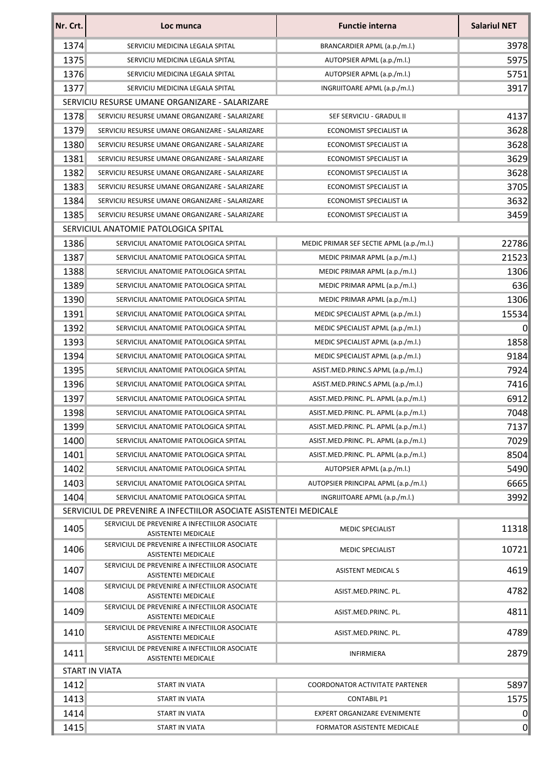| Nr. Crt. | Loc munca                                                                   | <b>Functie interna</b>                   | <b>Salariul NET</b> |
|----------|-----------------------------------------------------------------------------|------------------------------------------|---------------------|
| 1374     | SERVICIU MEDICINA LEGALA SPITAL                                             | BRANCARDIER APML (a.p./m.l.)             | 3978                |
| 1375     | SERVICIU MEDICINA LEGALA SPITAL                                             | AUTOPSIER APML (a.p./m.l.)               | 5975                |
| 1376     | SERVICIU MEDICINA LEGALA SPITAL                                             | AUTOPSIER APML (a.p./m.l.)               | 5751                |
| 1377     | SERVICIU MEDICINA LEGALA SPITAL                                             | INGRIJITOARE APML (a.p./m.l.)            | 3917                |
|          | SERVICIU RESURSE UMANE ORGANIZARE - SALARIZARE                              |                                          |                     |
| 1378     | SERVICIU RESURSE UMANE ORGANIZARE - SALARIZARE                              | SEF SERVICIU - GRADUL II                 | 4137                |
| 1379     | SERVICIU RESURSE UMANE ORGANIZARE - SALARIZARE                              | ECONOMIST SPECIALIST IA                  | 3628                |
| 1380     | SERVICIU RESURSE UMANE ORGANIZARE - SALARIZARE                              | ECONOMIST SPECIALIST IA                  | 3628                |
| 1381     | SERVICIU RESURSE UMANE ORGANIZARE - SALARIZARE                              | ECONOMIST SPECIALIST IA                  | 3629                |
| 1382     | SERVICIU RESURSE UMANE ORGANIZARE - SALARIZARE                              | ECONOMIST SPECIALIST IA                  | 3628                |
| 1383     | SERVICIU RESURSE UMANE ORGANIZARE - SALARIZARE                              | ECONOMIST SPECIALIST IA                  | 3705                |
| 1384     | SERVICIU RESURSE UMANE ORGANIZARE - SALARIZARE                              | ECONOMIST SPECIALIST IA                  | 3632                |
| 1385     | SERVICIU RESURSE UMANE ORGANIZARE - SALARIZARE                              | ECONOMIST SPECIALIST IA                  | 3459                |
|          | SERVICIUL ANATOMIE PATOLOGICA SPITAL                                        |                                          |                     |
| 1386     | SERVICIUL ANATOMIE PATOLOGICA SPITAL                                        | MEDIC PRIMAR SEF SECTIE APML (a.p./m.l.) | 22786               |
| 1387     | SERVICIUL ANATOMIE PATOLOGICA SPITAL                                        | MEDIC PRIMAR APML (a.p./m.l.)            | 21523               |
| 1388     | SERVICIUL ANATOMIE PATOLOGICA SPITAL                                        | MEDIC PRIMAR APML (a.p./m.l.)            | 1306                |
| 1389     | SERVICIUL ANATOMIE PATOLOGICA SPITAL                                        | MEDIC PRIMAR APML (a.p./m.l.)            | 636                 |
| 1390     | SERVICIUL ANATOMIE PATOLOGICA SPITAL                                        | MEDIC PRIMAR APML (a.p./m.l.)            | 1306                |
| 1391     | SERVICIUL ANATOMIE PATOLOGICA SPITAL                                        | MEDIC SPECIALIST APML (a.p./m.l.)        | 15534               |
| 1392     | SERVICIUL ANATOMIE PATOLOGICA SPITAL                                        | MEDIC SPECIALIST APML (a.p./m.l.)        | $\Omega$            |
| 1393     | SERVICIUL ANATOMIE PATOLOGICA SPITAL                                        | MEDIC SPECIALIST APML (a.p./m.l.)        | 1858                |
| 1394     | SERVICIUL ANATOMIE PATOLOGICA SPITAL                                        | MEDIC SPECIALIST APML (a.p./m.l.)        | 9184                |
| 1395     | SERVICIUL ANATOMIE PATOLOGICA SPITAL                                        | ASIST.MED.PRINC.S APML (a.p./m.l.)       | 7924                |
| 1396     | SERVICIUL ANATOMIE PATOLOGICA SPITAL                                        | ASIST.MED.PRINC.S APML (a.p./m.l.)       | 7416                |
| 1397     | SERVICIUL ANATOMIE PATOLOGICA SPITAL                                        | ASIST.MED.PRINC. PL. APML (a.p./m.l.)    | 6912                |
| 1398     | SERVICIUL ANATOMIE PATOLOGICA SPITAL                                        | ASIST.MED.PRINC. PL. APML (a.p./m.l.)    | 7048                |
| 1399     | SERVICIUL ANATOMIE PATOLOGICA SPITAL                                        | ASIST.MED.PRINC. PL. APML (a.p./m.l.)    | 7137                |
| 1400     | SERVICIUL ANATOMIE PATOLOGICA SPITAL                                        | ASIST.MED.PRINC. PL. APML (a.p./m.l.)    | 7029                |
| 1401     | SERVICIUL ANATOMIE PATOLOGICA SPITAL                                        | ASIST.MED.PRINC. PL. APML (a.p./m.l.)    | 8504                |
| 1402     | SERVICIUL ANATOMIE PATOLOGICA SPITAL                                        | AUTOPSIER APML (a.p./m.l.)               | 5490                |
| 1403     | SERVICIUL ANATOMIE PATOLOGICA SPITAL                                        | AUTOPSIER PRINCIPAL APML (a.p./m.l.)     | 6665                |
| 1404     | SERVICIUL ANATOMIE PATOLOGICA SPITAL                                        | INGRIJITOARE APML (a.p./m.l.)            | 3992                |
|          | SERVICIUL DE PREVENIRE A INFECTIILOR ASOCIATE ASISTENTEI MEDICALE           |                                          |                     |
| 1405     | SERVICIUL DE PREVENIRE A INFECTIILOR ASOCIATE<br><b>ASISTENTEI MEDICALE</b> | <b>MEDIC SPECIALIST</b>                  | 11318               |
| 1406     | SERVICIUL DE PREVENIRE A INFECTIILOR ASOCIATE<br>ASISTENTEI MEDICALE        | <b>MEDIC SPECIALIST</b>                  | 10721               |
| 1407     | SERVICIUL DE PREVENIRE A INFECTIILOR ASOCIATE<br><b>ASISTENTEI MEDICALE</b> | <b>ASISTENT MEDICAL S</b>                | 4619                |
| 1408     | SERVICIUL DE PREVENIRE A INFECTIILOR ASOCIATE<br>ASISTENTEI MEDICALE        | ASIST.MED.PRINC. PL.                     | 4782                |
| 1409     | SERVICIUL DE PREVENIRE A INFECTIILOR ASOCIATE<br><b>ASISTENTEI MEDICALE</b> | ASIST.MED.PRINC. PL.                     | 4811                |
| 1410     | SERVICIUL DE PREVENIRE A INFECTIILOR ASOCIATE<br>ASISTENTEI MEDICALE        | ASIST.MED.PRINC. PL.                     | 4789                |
| 1411     | SERVICIUL DE PREVENIRE A INFECTIILOR ASOCIATE<br>ASISTENTEI MEDICALE        | <b>INFIRMIERA</b>                        | 2879                |
|          | <b>START IN VIATA</b>                                                       |                                          |                     |
| 1412     | <b>START IN VIATA</b>                                                       | <b>COORDONATOR ACTIVITATE PARTENER</b>   | 5897                |
| 1413     | START IN VIATA                                                              | <b>CONTABIL P1</b>                       | 1575                |
| 1414     | <b>START IN VIATA</b>                                                       | EXPERT ORGANIZARE EVENIMENTE             | 0                   |
| 1415     | START IN VIATA                                                              | FORMATOR ASISTENTE MEDICALE              | $\overline{0}$      |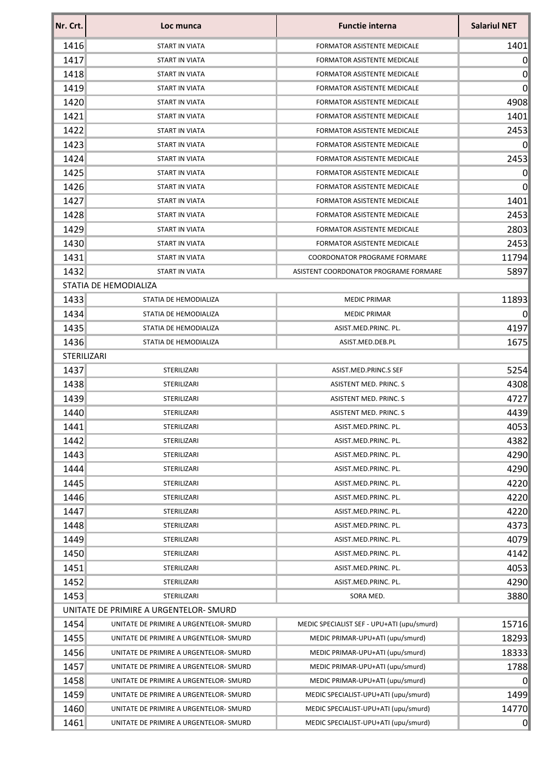| Nr. Crt.    | Loc munca                              | <b>Functie interna</b>                     | <b>Salariul NET</b> |
|-------------|----------------------------------------|--------------------------------------------|---------------------|
| 1416        | START IN VIATA                         | <b>FORMATOR ASISTENTE MEDICALE</b>         | 1401                |
| 1417        | START IN VIATA                         | <b>FORMATOR ASISTENTE MEDICALE</b>         | $\overline{0}$      |
| 1418        | <b>START IN VIATA</b>                  | <b>FORMATOR ASISTENTE MEDICALE</b>         | 0                   |
| 1419        | START IN VIATA                         | <b>FORMATOR ASISTENTE MEDICALE</b>         | 0                   |
| 1420        | START IN VIATA                         | <b>FORMATOR ASISTENTE MEDICALE</b>         | 4908                |
| 1421        | START IN VIATA                         | <b>FORMATOR ASISTENTE MEDICALE</b>         | 1401                |
| 1422        | START IN VIATA                         | <b>FORMATOR ASISTENTE MEDICALE</b>         | 2453                |
| 1423        | START IN VIATA                         | <b>FORMATOR ASISTENTE MEDICALE</b>         | 0                   |
| 1424        | START IN VIATA                         | <b>FORMATOR ASISTENTE MEDICALE</b>         | 2453                |
| 1425        | START IN VIATA                         | <b>FORMATOR ASISTENTE MEDICALE</b>         | 0                   |
| 1426        | START IN VIATA                         | FORMATOR ASISTENTE MEDICALE                | $\overline{0}$      |
| 1427        | START IN VIATA                         | <b>FORMATOR ASISTENTE MEDICALE</b>         | 1401                |
| 1428        | START IN VIATA                         | FORMATOR ASISTENTE MEDICALE                | 2453                |
| 1429        | START IN VIATA                         | <b>FORMATOR ASISTENTE MEDICALE</b>         | 2803                |
| 1430        | START IN VIATA                         | FORMATOR ASISTENTE MEDICALE                | 2453                |
| 1431        | <b>START IN VIATA</b>                  | COORDONATOR PROGRAME FORMARE               | 11794               |
| 1432        | START IN VIATA                         | ASISTENT COORDONATOR PROGRAME FORMARE      | 5897                |
|             | STATIA DE HEMODIALIZA                  |                                            |                     |
| 1433        | STATIA DE HEMODIALIZA                  | <b>MEDIC PRIMAR</b>                        | 11893               |
| 1434        | STATIA DE HEMODIALIZA                  | <b>MEDIC PRIMAR</b>                        | $\vert 0 \vert$     |
| 1435        | STATIA DE HEMODIALIZA                  | ASIST.MED.PRINC. PL.                       | 4197                |
| 1436        | STATIA DE HEMODIALIZA                  | ASIST.MED.DEB.PL                           | 1675                |
| STERILIZARI |                                        |                                            |                     |
| 1437        | STERILIZARI                            | ASIST.MED.PRINC.S SEF                      | 5254                |
| 1438        | STERILIZARI                            | ASISTENT MED. PRINC. S                     | 4308                |
| 1439        | STERILIZARI                            | ASISTENT MED. PRINC. S                     | 4727                |
| 1440        | STERILIZARI                            | ASISTENT MED. PRINC. S                     | 4439                |
| 1441        | STERILIZARI                            | ASIST.MED.PRINC. PL.                       | 4053                |
| 1442        | STERILIZARI                            | ASIST.MED.PRINC. PL.                       | 4382                |
| 1443        | STERILIZARI                            | ASIST.MED.PRINC. PL.                       | 4290                |
| 1444        | STERILIZARI                            | ASIST.MED.PRINC. PL.                       | 4290                |
| 1445        | STERILIZARI                            | ASIST.MED.PRINC. PL.                       | 4220                |
| 1446        | STERILIZARI                            | ASIST.MED.PRINC. PL.                       | 4220                |
| 1447        | STERILIZARI                            | ASIST.MED.PRINC. PL.                       | 4220                |
| 1448        | STERILIZARI                            | ASIST.MED.PRINC. PL.                       | 4373                |
| 1449        | STERILIZARI                            | ASIST.MED.PRINC. PL.                       | 4079                |
| 1450        | STERILIZARI                            | ASIST.MED.PRINC. PL.                       | 4142                |
| 1451        | STERILIZARI                            | ASIST.MED.PRINC. PL.                       | 4053                |
| 1452        | STERILIZARI                            | ASIST.MED.PRINC. PL.                       | 4290                |
| 1453        | STERILIZARI                            | SORA MED.                                  | 3880                |
|             | UNITATE DE PRIMIRE A URGENTELOR- SMURD |                                            |                     |
| 1454        | UNITATE DE PRIMIRE A URGENTELOR- SMURD | MEDIC SPECIALIST SEF - UPU+ATI (upu/smurd) | 15716               |
| 1455        | UNITATE DE PRIMIRE A URGENTELOR-SMURD  | MEDIC PRIMAR-UPU+ATI (upu/smurd)           | 18293               |
| 1456        | UNITATE DE PRIMIRE A URGENTELOR-SMURD  | MEDIC PRIMAR-UPU+ATI (upu/smurd)           | 18333               |
| 1457        | UNITATE DE PRIMIRE A URGENTELOR-SMURD  | MEDIC PRIMAR-UPU+ATI (upu/smurd)           | 1788                |
| 1458        | UNITATE DE PRIMIRE A URGENTELOR- SMURD | MEDIC PRIMAR-UPU+ATI (upu/smurd)           | $\overline{0}$      |
| 1459        | UNITATE DE PRIMIRE A URGENTELOR-SMURD  | MEDIC SPECIALIST-UPU+ATI (upu/smurd)       | 1499                |
| 1460        | UNITATE DE PRIMIRE A URGENTELOR-SMURD  | MEDIC SPECIALIST-UPU+ATI (upu/smurd)       | 14770               |
| 1461        | UNITATE DE PRIMIRE A URGENTELOR-SMURD  | MEDIC SPECIALIST-UPU+ATI (upu/smurd)       | 0                   |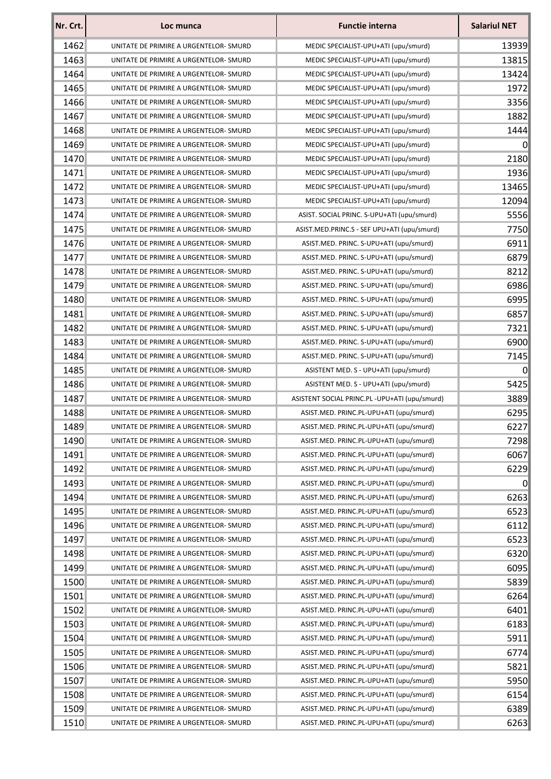| Nr. Crt. | Loc munca                              | <b>Functie interna</b>                                                             | <b>Salariul NET</b> |
|----------|----------------------------------------|------------------------------------------------------------------------------------|---------------------|
| 1462     | UNITATE DE PRIMIRE A URGENTELOR- SMURD | MEDIC SPECIALIST-UPU+ATI (upu/smurd)                                               | 13939               |
| 1463     | UNITATE DE PRIMIRE A URGENTELOR- SMURD | MEDIC SPECIALIST-UPU+ATI (upu/smurd)                                               | 13815               |
| 1464     | UNITATE DE PRIMIRE A URGENTELOR- SMURD | MEDIC SPECIALIST-UPU+ATI (upu/smurd)                                               | 13424               |
| 1465     | UNITATE DE PRIMIRE A URGENTELOR- SMURD | MEDIC SPECIALIST-UPU+ATI (upu/smurd)                                               | 1972                |
| 1466     | UNITATE DE PRIMIRE A URGENTELOR- SMURD | MEDIC SPECIALIST-UPU+ATI (upu/smurd)                                               | 3356                |
| 1467     | UNITATE DE PRIMIRE A URGENTELOR- SMURD | MEDIC SPECIALIST-UPU+ATI (upu/smurd)                                               | 1882                |
| 1468     | UNITATE DE PRIMIRE A URGENTELOR- SMURD | MEDIC SPECIALIST-UPU+ATI (upu/smurd)                                               | 1444                |
| 1469     | UNITATE DE PRIMIRE A URGENTELOR- SMURD | MEDIC SPECIALIST-UPU+ATI (upu/smurd)                                               | 0                   |
| 1470     | UNITATE DE PRIMIRE A URGENTELOR- SMURD | MEDIC SPECIALIST-UPU+ATI (upu/smurd)                                               | 2180                |
| 1471     | UNITATE DE PRIMIRE A URGENTELOR- SMURD | MEDIC SPECIALIST-UPU+ATI (upu/smurd)                                               | 1936                |
| 1472     | UNITATE DE PRIMIRE A URGENTELOR- SMURD | MEDIC SPECIALIST-UPU+ATI (upu/smurd)                                               | 13465               |
| 1473     | UNITATE DE PRIMIRE A URGENTELOR- SMURD | MEDIC SPECIALIST-UPU+ATI (upu/smurd)                                               | 12094               |
| 1474     | UNITATE DE PRIMIRE A URGENTELOR- SMURD | ASIST. SOCIAL PRINC. S-UPU+ATI (upu/smurd)                                         | 5556                |
| 1475     | UNITATE DE PRIMIRE A URGENTELOR- SMURD | ASIST.MED.PRINC.S - SEF UPU+ATI (upu/smurd)                                        | 7750                |
| 1476     | UNITATE DE PRIMIRE A URGENTELOR- SMURD | ASIST.MED. PRINC. S-UPU+ATI (upu/smurd)                                            | 6911                |
| 1477     | UNITATE DE PRIMIRE A URGENTELOR- SMURD | ASIST.MED. PRINC. S-UPU+ATI (upu/smurd)                                            | 6879                |
| 1478     | UNITATE DE PRIMIRE A URGENTELOR- SMURD | ASIST.MED. PRINC. S-UPU+ATI (upu/smurd)                                            | 8212                |
| 1479     | UNITATE DE PRIMIRE A URGENTELOR- SMURD | ASIST.MED. PRINC. S-UPU+ATI (upu/smurd)                                            | 6986                |
| 1480     | UNITATE DE PRIMIRE A URGENTELOR- SMURD | ASIST.MED. PRINC. S-UPU+ATI (upu/smurd)                                            | 6995                |
| 1481     | UNITATE DE PRIMIRE A URGENTELOR-SMURD  | ASIST.MED. PRINC. S-UPU+ATI (upu/smurd)                                            | 6857                |
| 1482     | UNITATE DE PRIMIRE A URGENTELOR- SMURD | ASIST.MED. PRINC. S-UPU+ATI (upu/smurd)                                            | 7321                |
| 1483     | UNITATE DE PRIMIRE A URGENTELOR-SMURD  | ASIST.MED. PRINC. S-UPU+ATI (upu/smurd)                                            | 6900                |
| 1484     | UNITATE DE PRIMIRE A URGENTELOR- SMURD | ASIST.MED. PRINC. S-UPU+ATI (upu/smurd)                                            | 7145                |
| 1485     | UNITATE DE PRIMIRE A URGENTELOR-SMURD  | ASISTENT MED. S - UPU+ATI (upu/smurd)                                              | $\vert 0 \vert$     |
| 1486     | UNITATE DE PRIMIRE A URGENTELOR- SMURD | ASISTENT MED. S - UPU+ATI (upu/smurd)                                              | 5425                |
| 1487     | UNITATE DE PRIMIRE A URGENTELOR- SMURD | ASISTENT SOCIAL PRINC.PL -UPU+ATI (upu/smurd)                                      | 3889                |
| 1488     | UNITATE DE PRIMIRE A URGENTELOR- SMURD | ASIST.MED. PRINC.PL-UPU+ATI (upu/smurd)                                            | 6295                |
| 1489     | UNITATE DE PRIMIRE A URGENTELOR-SMURD  | ASIST.MED. PRINC.PL-UPU+ATI (upu/smurd)                                            | 6227                |
| 1490     | UNITATE DE PRIMIRE A URGENTELOR- SMURD | ASIST.MED. PRINC.PL-UPU+ATI (upu/smurd)                                            | 7298                |
| 1491     | UNITATE DE PRIMIRE A URGENTELOR-SMURD  | ASIST.MED. PRINC.PL-UPU+ATI (upu/smurd)                                            | 6067                |
| 1492     | UNITATE DE PRIMIRE A URGENTELOR-SMURD  | ASIST.MED. PRINC.PL-UPU+ATI (upu/smurd)                                            | 6229                |
| 1493     | UNITATE DE PRIMIRE A URGENTELOR-SMURD  | ASIST.MED. PRINC.PL-UPU+ATI (upu/smurd)                                            | 0                   |
| 1494     | UNITATE DE PRIMIRE A URGENTELOR-SMURD  | ASIST.MED. PRINC.PL-UPU+ATI (upu/smurd)                                            | 6263                |
| 1495     | UNITATE DE PRIMIRE A URGENTELOR- SMURD |                                                                                    | 6523                |
| 1496     | UNITATE DE PRIMIRE A URGENTELOR-SMURD  | ASIST.MED. PRINC.PL-UPU+ATI (upu/smurd)<br>ASIST.MED. PRINC.PL-UPU+ATI (upu/smurd) | 6112                |
|          |                                        |                                                                                    | 6523                |
| 1497     | UNITATE DE PRIMIRE A URGENTELOR-SMURD  | ASIST.MED. PRINC.PL-UPU+ATI (upu/smurd)                                            |                     |
| 1498     | UNITATE DE PRIMIRE A URGENTELOR-SMURD  | ASIST.MED. PRINC.PL-UPU+ATI (upu/smurd)                                            | 6320                |
| 1499     | UNITATE DE PRIMIRE A URGENTELOR- SMURD | ASIST.MED. PRINC.PL-UPU+ATI (upu/smurd)                                            | 6095                |
| 1500     | UNITATE DE PRIMIRE A URGENTELOR-SMURD  | ASIST.MED. PRINC.PL-UPU+ATI (upu/smurd)                                            | 5839                |
| 1501     | UNITATE DE PRIMIRE A URGENTELOR-SMURD  | ASIST.MED. PRINC.PL-UPU+ATI (upu/smurd)                                            | 6264                |
| 1502     | UNITATE DE PRIMIRE A URGENTELOR-SMURD  | ASIST.MED. PRINC.PL-UPU+ATI (upu/smurd)                                            | 6401                |
| 1503     | UNITATE DE PRIMIRE A URGENTELOR-SMURD  | ASIST.MED. PRINC.PL-UPU+ATI (upu/smurd)                                            | 6183                |
| 1504     | UNITATE DE PRIMIRE A URGENTELOR-SMURD  | ASIST.MED. PRINC.PL-UPU+ATI (upu/smurd)                                            | 5911                |
| 1505     | UNITATE DE PRIMIRE A URGENTELOR-SMURD  | ASIST.MED. PRINC.PL-UPU+ATI (upu/smurd)                                            | 6774                |
| 1506     | UNITATE DE PRIMIRE A URGENTELOR-SMURD  | ASIST.MED. PRINC.PL-UPU+ATI (upu/smurd)                                            | 5821                |
| 1507     | UNITATE DE PRIMIRE A URGENTELOR-SMURD  | ASIST.MED. PRINC.PL-UPU+ATI (upu/smurd)                                            | 5950                |
| 1508     | UNITATE DE PRIMIRE A URGENTELOR-SMURD  | ASIST.MED. PRINC.PL-UPU+ATI (upu/smurd)                                            | 6154                |
| 1509     | UNITATE DE PRIMIRE A URGENTELOR-SMURD  | ASIST.MED. PRINC.PL-UPU+ATI (upu/smurd)                                            | 6389                |
| 1510     | UNITATE DE PRIMIRE A URGENTELOR-SMURD  | ASIST.MED. PRINC.PL-UPU+ATI (upu/smurd)                                            | 6263                |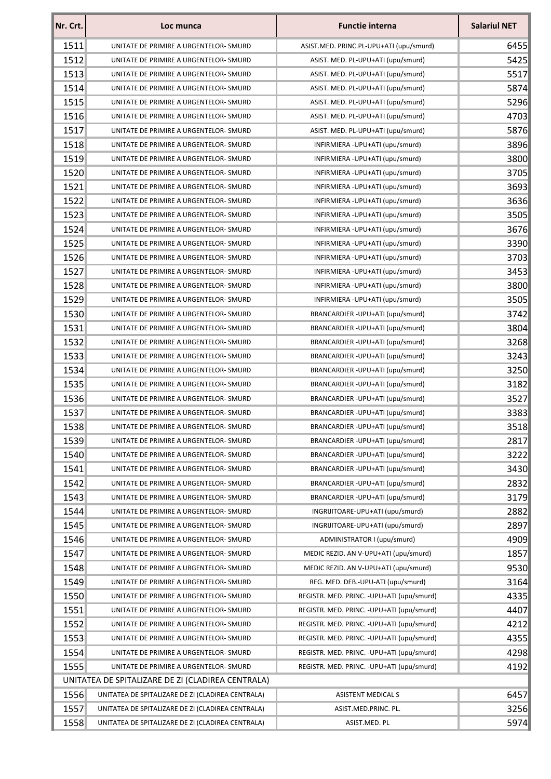| Nr. Crt.                                          | Loc munca                                         | <b>Functie interna</b>                     | <b>Salariul NET</b> |  |
|---------------------------------------------------|---------------------------------------------------|--------------------------------------------|---------------------|--|
| 1511                                              | UNITATE DE PRIMIRE A URGENTELOR- SMURD            | ASIST.MED. PRINC.PL-UPU+ATI (upu/smurd)    | 6455                |  |
| 1512                                              | UNITATE DE PRIMIRE A URGENTELOR-SMURD             | ASIST. MED. PL-UPU+ATI (upu/smurd)         | 5425                |  |
| 1513                                              | UNITATE DE PRIMIRE A URGENTELOR- SMURD            | ASIST. MED. PL-UPU+ATI (upu/smurd)         | 5517                |  |
| 1514                                              | UNITATE DE PRIMIRE A URGENTELOR-SMURD             | ASIST. MED. PL-UPU+ATI (upu/smurd)         | 5874                |  |
| 1515                                              | UNITATE DE PRIMIRE A URGENTELOR- SMURD            | ASIST. MED. PL-UPU+ATI (upu/smurd)         | 5296                |  |
| 1516                                              | UNITATE DE PRIMIRE A URGENTELOR- SMURD            | ASIST. MED. PL-UPU+ATI (upu/smurd)         | 4703                |  |
| 1517                                              | UNITATE DE PRIMIRE A URGENTELOR- SMURD            | ASIST. MED. PL-UPU+ATI (upu/smurd)         | 5876                |  |
| 1518                                              | UNITATE DE PRIMIRE A URGENTELOR-SMURD             | INFIRMIERA - UPU+ATI (upu/smurd)           | 3896                |  |
| 1519                                              | UNITATE DE PRIMIRE A URGENTELOR-SMURD             | INFIRMIERA - UPU+ATI (upu/smurd)           | 3800                |  |
| 1520                                              | UNITATE DE PRIMIRE A URGENTELOR-SMURD             | INFIRMIERA - UPU+ATI (upu/smurd)           | 3705                |  |
| 1521                                              | UNITATE DE PRIMIRE A URGENTELOR- SMURD            | INFIRMIERA - UPU+ATI (upu/smurd)           | 3693                |  |
| 1522                                              | UNITATE DE PRIMIRE A URGENTELOR-SMURD             | INFIRMIERA - UPU+ATI (upu/smurd)           | 3636                |  |
| 1523                                              | UNITATE DE PRIMIRE A URGENTELOR-SMURD             | INFIRMIERA - UPU+ATI (upu/smurd)           | 3505                |  |
| 1524                                              | UNITATE DE PRIMIRE A URGENTELOR- SMURD            | INFIRMIERA - UPU+ATI (upu/smurd)           | 3676                |  |
| 1525                                              | UNITATE DE PRIMIRE A URGENTELOR-SMURD             | INFIRMIERA - UPU+ATI (upu/smurd)           | 3390                |  |
| 1526                                              | UNITATE DE PRIMIRE A URGENTELOR- SMURD            | INFIRMIERA - UPU+ATI (upu/smurd)           | 3703                |  |
| 1527                                              | UNITATE DE PRIMIRE A URGENTELOR-SMURD             | INFIRMIERA - UPU+ATI (upu/smurd)           | 3453                |  |
| 1528                                              | UNITATE DE PRIMIRE A URGENTELOR- SMURD            | INFIRMIERA - UPU+ATI (upu/smurd)           | 3800                |  |
| 1529                                              | UNITATE DE PRIMIRE A URGENTELOR-SMURD             | INFIRMIERA - UPU+ATI (upu/smurd)           | 3505                |  |
| 1530                                              | UNITATE DE PRIMIRE A URGENTELOR-SMURD             | BRANCARDIER-UPU+ATI (upu/smurd)            | 3742                |  |
| 1531                                              | UNITATE DE PRIMIRE A URGENTELOR-SMURD             | BRANCARDIER - UPU+ATI (upu/smurd)          | 3804                |  |
| 1532                                              | UNITATE DE PRIMIRE A URGENTELOR-SMURD             | BRANCARDIER-UPU+ATI (upu/smurd)            | 3268                |  |
| 1533                                              | UNITATE DE PRIMIRE A URGENTELOR-SMURD             | BRANCARDIER - UPU+ATI (upu/smurd)          | 3243                |  |
| 1534                                              | UNITATE DE PRIMIRE A URGENTELOR- SMURD            | BRANCARDIER-UPU+ATI (upu/smurd)            | 3250                |  |
| 1535                                              | UNITATE DE PRIMIRE A URGENTELOR- SMURD            | BRANCARDIER-UPU+ATI (upu/smurd)            | 3182                |  |
| 1536                                              | UNITATE DE PRIMIRE A URGENTELOR- SMURD            | BRANCARDIER-UPU+ATI (upu/smurd)            | 3527                |  |
| 1537                                              | UNITATE DE PRIMIRE A URGENTELOR-SMURD             | BRANCARDIER-UPU+ATI (upu/smurd)            | 3383                |  |
| 1538                                              | UNITATE DE PRIMIRE A URGENTELOR- SMURD            | BRANCARDIER - UPU+ATI (upu/smurd)          | 3518                |  |
| 1539                                              | UNITATE DE PRIMIRE A URGENTELOR- SMURD            | BRANCARDIER-UPU+ATI (upu/smurd)            | 2817                |  |
| 1540                                              | UNITATE DE PRIMIRE A URGENTELOR-SMURD             | BRANCARDIER-UPU+ATI (upu/smurd)            | 3222                |  |
| 1541                                              | UNITATE DE PRIMIRE A URGENTELOR-SMURD             | BRANCARDIER-UPU+ATI (upu/smurd)            | 3430                |  |
| 1542                                              | UNITATE DE PRIMIRE A URGENTELOR- SMURD            | BRANCARDIER - UPU+ATI (upu/smurd)          | 2832                |  |
| 1543                                              | UNITATE DE PRIMIRE A URGENTELOR- SMURD            | BRANCARDIER-UPU+ATI (upu/smurd)            | 3179                |  |
| 1544                                              | UNITATE DE PRIMIRE A URGENTELOR-SMURD             | INGRIJITOARE-UPU+ATI (upu/smurd)           | 2882                |  |
| 1545                                              | UNITATE DE PRIMIRE A URGENTELOR-SMURD             | INGRIJITOARE-UPU+ATI (upu/smurd)           | 2897                |  |
| 1546                                              | UNITATE DE PRIMIRE A URGENTELOR-SMURD             | ADMINISTRATOR I (upu/smurd)                | 4909                |  |
| 1547                                              | UNITATE DE PRIMIRE A URGENTELOR- SMURD            | MEDIC REZID. AN V-UPU+ATI (upu/smurd)      | 1857                |  |
| 1548                                              | UNITATE DE PRIMIRE A URGENTELOR-SMURD             | MEDIC REZID. AN V-UPU+ATI (upu/smurd)      | 9530                |  |
| 1549                                              | UNITATE DE PRIMIRE A URGENTELOR- SMURD            | REG. MED. DEB.-UPU-ATI (upu/smurd)         | 3164                |  |
| 1550                                              | UNITATE DE PRIMIRE A URGENTELOR-SMURD             | REGISTR. MED. PRINC. - UPU+ATI (upu/smurd) | 4335                |  |
| 1551                                              | UNITATE DE PRIMIRE A URGENTELOR-SMURD             | REGISTR. MED. PRINC. - UPU+ATI (upu/smurd) | 4407                |  |
| 1552                                              | UNITATE DE PRIMIRE A URGENTELOR- SMURD            | REGISTR. MED. PRINC. - UPU+ATI (upu/smurd) | 4212                |  |
| 1553                                              | UNITATE DE PRIMIRE A URGENTELOR-SMURD             | REGISTR. MED. PRINC. - UPU+ATI (upu/smurd) | 4355                |  |
| 1554                                              | UNITATE DE PRIMIRE A URGENTELOR- SMURD            | REGISTR. MED. PRINC. - UPU+ATI (upu/smurd) | 4298                |  |
| 1555                                              | UNITATE DE PRIMIRE A URGENTELOR-SMURD             | REGISTR. MED. PRINC. - UPU+ATI (upu/smurd) | 4192                |  |
| UNITATEA DE SPITALIZARE DE ZI (CLADIREA CENTRALA) |                                                   |                                            |                     |  |
| 1556                                              | UNITATEA DE SPITALIZARE DE ZI (CLADIREA CENTRALA) | <b>ASISTENT MEDICAL S</b>                  | 6457                |  |
| 1557                                              | UNITATEA DE SPITALIZARE DE ZI (CLADIREA CENTRALA) | ASIST.MED.PRINC. PL.                       | 3256                |  |
| 1558                                              | UNITATEA DE SPITALIZARE DE ZI (CLADIREA CENTRALA) | ASIST.MED. PL                              | 5974                |  |
|                                                   |                                                   |                                            |                     |  |